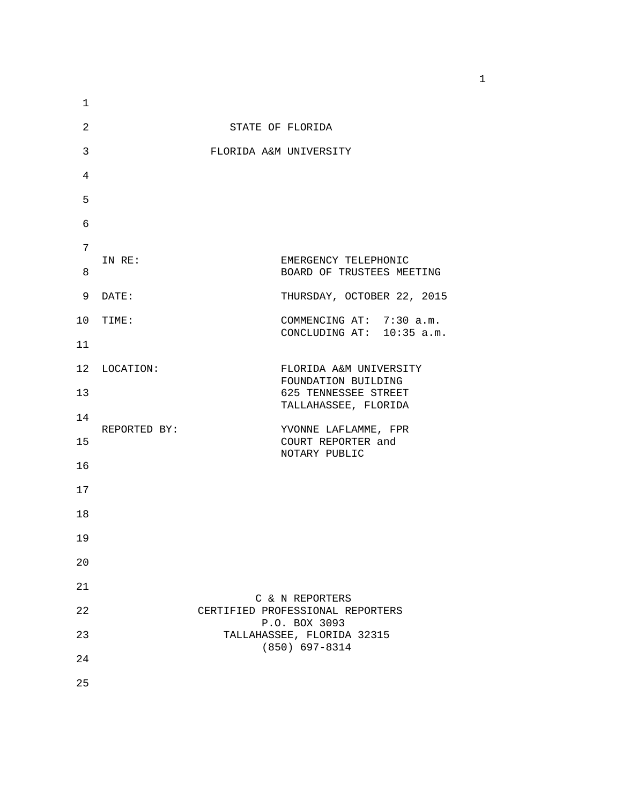| 1  |              |                                                             |
|----|--------------|-------------------------------------------------------------|
| 2  |              | STATE OF FLORIDA                                            |
| 3  |              | FLORIDA A&M UNIVERSITY                                      |
| 4  |              |                                                             |
| 5  |              |                                                             |
| 6  |              |                                                             |
| 7  |              |                                                             |
| 8  | IN RE:       | EMERGENCY TELEPHONIC<br>BOARD OF TRUSTEES MEETING           |
| 9  | DATE:        | THURSDAY, OCTOBER 22, 2015                                  |
|    | 10 TIME:     | COMMENCING AT: 7:30 a.m.<br>CONCLUDING AT: 10:35 a.m.       |
| 11 |              |                                                             |
|    | 12 LOCATION: | FLORIDA A&M UNIVERSITY<br>FOUNDATION BUILDING               |
| 13 |              | 625 TENNESSEE STREET<br>TALLAHASSEE, FLORIDA                |
| 14 |              |                                                             |
| 15 | REPORTED BY: | YVONNE LAFLAMME, FPR<br>COURT REPORTER and<br>NOTARY PUBLIC |
| 16 |              |                                                             |
| 17 |              |                                                             |
| 18 |              |                                                             |
| 19 |              |                                                             |
| 20 |              |                                                             |
| 21 |              | C & N REPORTERS                                             |
| 22 |              | CERTIFIED PROFESSIONAL REPORTERS<br>P.O. BOX 3093           |
| 23 |              | TALLAHASSEE, FLORIDA 32315<br>$(850)$ 697-8314              |
| 24 |              |                                                             |
| 25 |              |                                                             |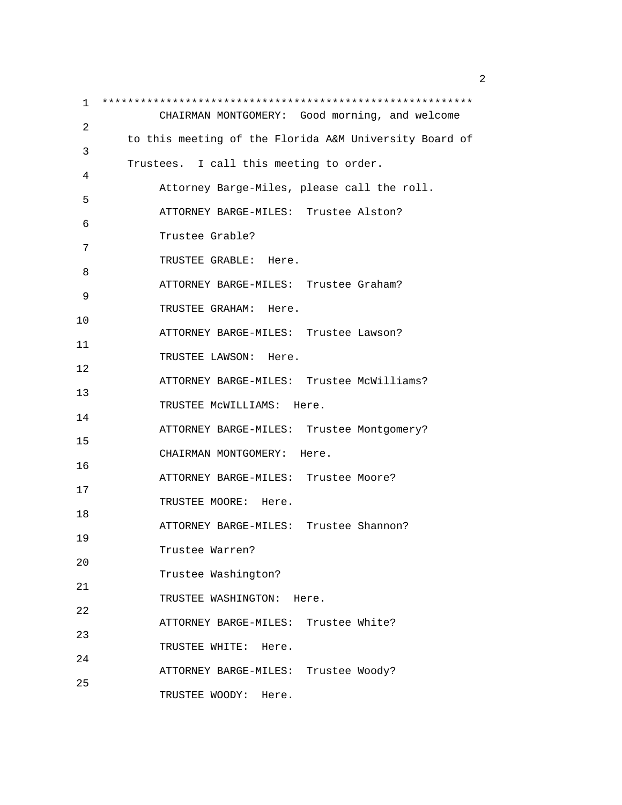1 \*\*\*\*\*\*\*\*\*\*\*\*\*\*\*\*\*\*\*\*\*\*\*\*\*\*\*\*\*\*\*\*\*\*\*\*\*\*\*\*\*\*\*\*\*\*\*\*\*\*\*\*\*\*\*\*\*\* CHAIRMAN MONTGOMERY: Good morning, and welcome 2 to this meeting of the Florida A&M University Board of 3 Trustees. I call this meeting to order. 4 Attorney Barge-Miles, please call the roll. 5 ATTORNEY BARGE-MILES: Trustee Alston? 6 Trustee Grable? 7 TRUSTEE GRABLE: Here. 8 ATTORNEY BARGE-MILES: Trustee Graham? 9 TRUSTEE GRAHAM: Here. 10 ATTORNEY BARGE-MILES: Trustee Lawson? 11 TRUSTEE LAWSON: Here. 12 ATTORNEY BARGE-MILES: Trustee McWilliams? 13 TRUSTEE McWILLIAMS: Here. 14 ATTORNEY BARGE-MILES: Trustee Montgomery? 15 CHAIRMAN MONTGOMERY: Here. 16 ATTORNEY BARGE-MILES: Trustee Moore? 17 TRUSTEE MOORE: Here. 18 ATTORNEY BARGE-MILES: Trustee Shannon? 19 Trustee Warren? 20 Trustee Washington? 21 TRUSTEE WASHINGTON: Here. 22 ATTORNEY BARGE-MILES: Trustee White? 23 TRUSTEE WHITE: Here. 24 ATTORNEY BARGE-MILES: Trustee Woody? 25 TRUSTEE WOODY: Here.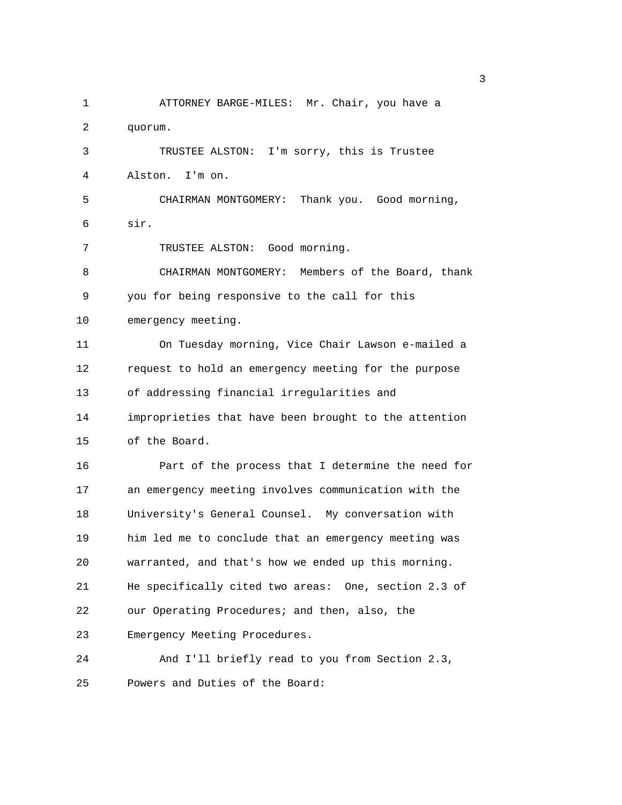1 ATTORNEY BARGE-MILES: Mr. Chair, you have a 2 quorum. 3 TRUSTEE ALSTON: I'm sorry, this is Trustee 4 Alston. I'm on. 5 CHAIRMAN MONTGOMERY: Thank you. Good morning, 6 sir. 7 TRUSTEE ALSTON: Good morning. 8 CHAIRMAN MONTGOMERY: Members of the Board, thank 9 you for being responsive to the call for this 10 emergency meeting. 11 On Tuesday morning, Vice Chair Lawson e-mailed a 12 request to hold an emergency meeting for the purpose 13 of addressing financial irregularities and 14 improprieties that have been brought to the attention 15 of the Board. 16 Part of the process that I determine the need for 17 an emergency meeting involves communication with the 18 University's General Counsel. My conversation with 19 him led me to conclude that an emergency meeting was 20 warranted, and that's how we ended up this morning. 21 He specifically cited two areas: One, section 2.3 of 22 our Operating Procedures; and then, also, the 23 Emergency Meeting Procedures. 24 And I'll briefly read to you from Section 2.3, 25 Powers and Duties of the Board:

 $\sim$  3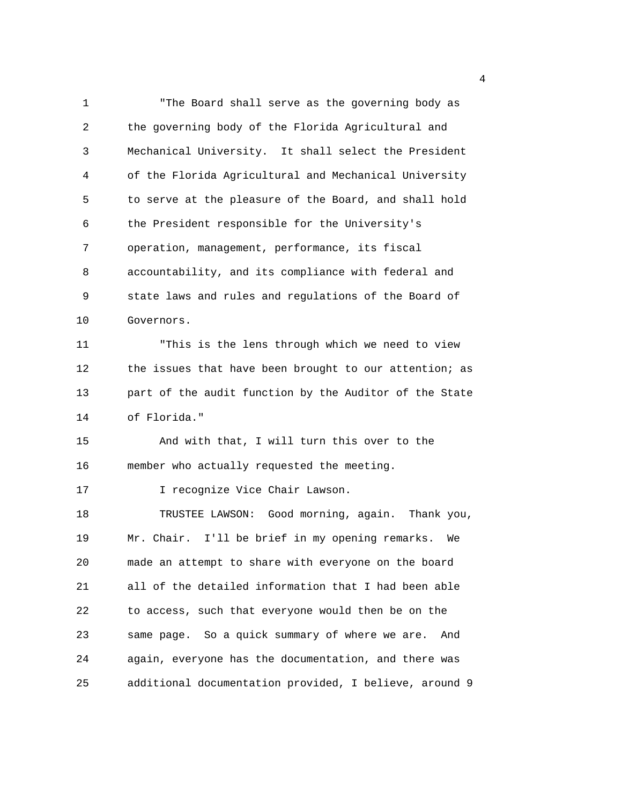1 "The Board shall serve as the governing body as 2 the governing body of the Florida Agricultural and 3 Mechanical University. It shall select the President 4 of the Florida Agricultural and Mechanical University 5 to serve at the pleasure of the Board, and shall hold 6 the President responsible for the University's 7 operation, management, performance, its fiscal 8 accountability, and its compliance with federal and 9 state laws and rules and regulations of the Board of 10 Governors. 11 "This is the lens through which we need to view 12 the issues that have been brought to our attention; as 13 part of the audit function by the Auditor of the State 14 of Florida." 15 And with that, I will turn this over to the 16 member who actually requested the meeting. 17 **I** recognize Vice Chair Lawson. 18 TRUSTEE LAWSON: Good morning, again. Thank you, 19 Mr. Chair. I'll be brief in my opening remarks. We 20 made an attempt to share with everyone on the board 21 all of the detailed information that I had been able 22 to access, such that everyone would then be on the 23 same page. So a quick summary of where we are. And 24 again, everyone has the documentation, and there was 25 additional documentation provided, I believe, around 9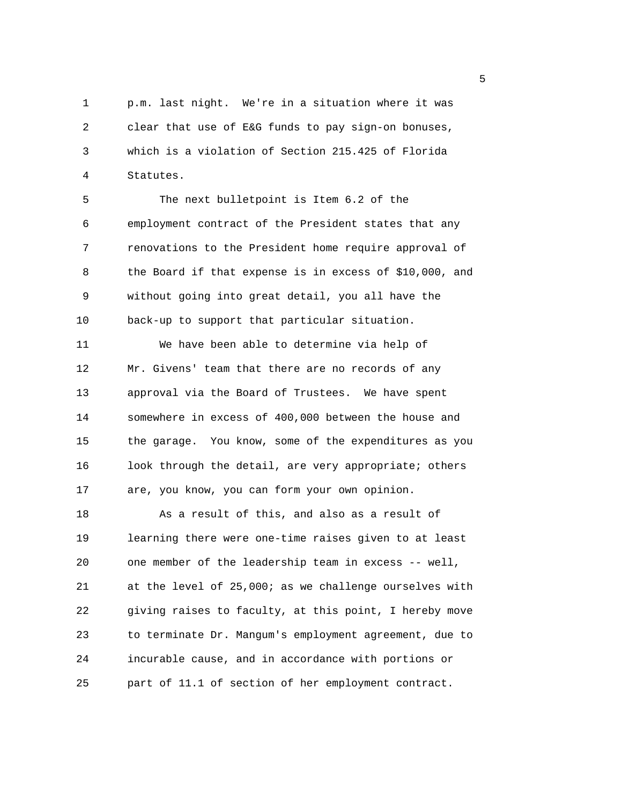1 p.m. last night. We're in a situation where it was 2 clear that use of E&G funds to pay sign-on bonuses, 3 which is a violation of Section 215.425 of Florida 4 Statutes.

5 The next bulletpoint is Item 6.2 of the 6 employment contract of the President states that any 7 renovations to the President home require approval of 8 the Board if that expense is in excess of \$10,000, and 9 without going into great detail, you all have the 10 back-up to support that particular situation.

11 We have been able to determine via help of 12 Mr. Givens' team that there are no records of any 13 approval via the Board of Trustees. We have spent 14 somewhere in excess of 400,000 between the house and 15 the garage. You know, some of the expenditures as you 16 look through the detail, are very appropriate; others 17 are, you know, you can form your own opinion.

18 As a result of this, and also as a result of 19 learning there were one-time raises given to at least 20 one member of the leadership team in excess -- well, 21 at the level of 25,000; as we challenge ourselves with 22 giving raises to faculty, at this point, I hereby move 23 to terminate Dr. Mangum's employment agreement, due to 24 incurable cause, and in accordance with portions or 25 part of 11.1 of section of her employment contract.

 $\sim$  5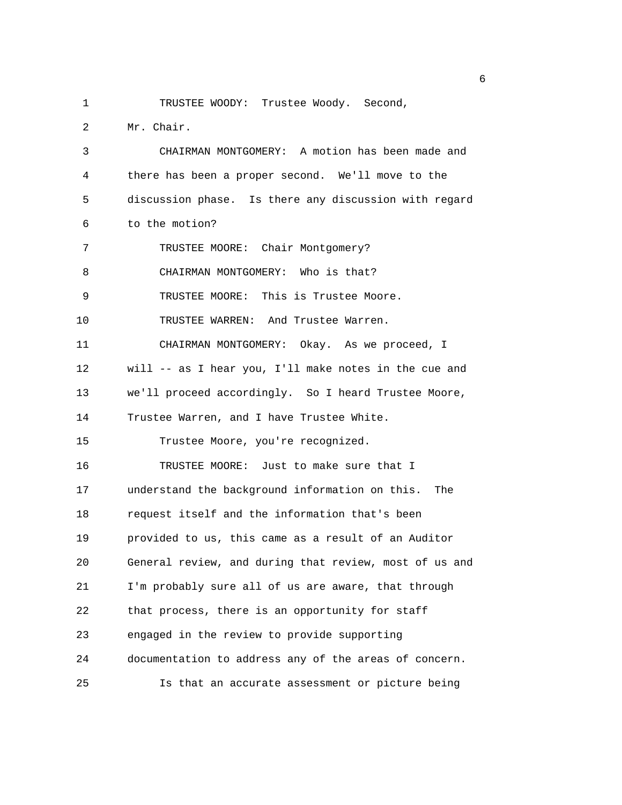1 TRUSTEE WOODY: Trustee Woody. Second,

2 Mr. Chair.

3 CHAIRMAN MONTGOMERY: A motion has been made and 4 there has been a proper second. We'll move to the 5 discussion phase. Is there any discussion with regard 6 to the motion? 7 TRUSTEE MOORE: Chair Montgomery? 8 CHAIRMAN MONTGOMERY: Who is that? 9 TRUSTEE MOORE: This is Trustee Moore. 10 TRUSTEE WARREN: And Trustee Warren. 11 CHAIRMAN MONTGOMERY: Okay. As we proceed, I 12 will -- as I hear you, I'll make notes in the cue and 13 we'll proceed accordingly. So I heard Trustee Moore, 14 Trustee Warren, and I have Trustee White. 15 Trustee Moore, you're recognized. 16 TRUSTEE MOORE: Just to make sure that I 17 understand the background information on this. The 18 request itself and the information that's been 19 provided to us, this came as a result of an Auditor 20 General review, and during that review, most of us and 21 I'm probably sure all of us are aware, that through 22 that process, there is an opportunity for staff 23 engaged in the review to provide supporting 24 documentation to address any of the areas of concern. 25 Is that an accurate assessment or picture being

entration of the contract of the contract of the contract of the contract of the contract of the contract of t<br>The contract of the contract of the contract of the contract of the contract of the contract of the contract o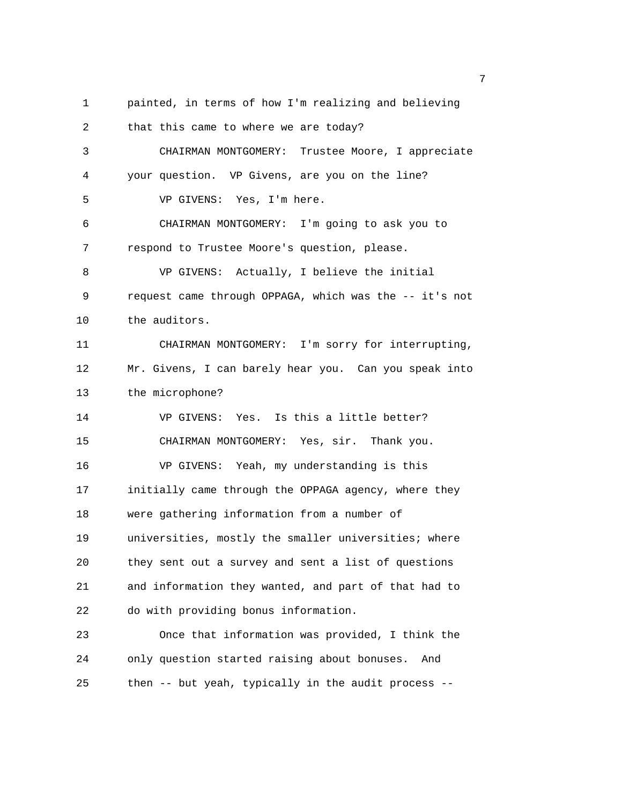1 painted, in terms of how I'm realizing and believing

2 that this came to where we are today? 3 CHAIRMAN MONTGOMERY: Trustee Moore, I appreciate 4 your question. VP Givens, are you on the line? 5 VP GIVENS: Yes, I'm here. 6 CHAIRMAN MONTGOMERY: I'm going to ask you to 7 respond to Trustee Moore's question, please. 8 VP GIVENS: Actually, I believe the initial 9 request came through OPPAGA, which was the -- it's not 10 the auditors. 11 CHAIRMAN MONTGOMERY: I'm sorry for interrupting, 12 Mr. Givens, I can barely hear you. Can you speak into 13 the microphone? 14 VP GIVENS: Yes. Is this a little better? 15 CHAIRMAN MONTGOMERY: Yes, sir. Thank you. 16 VP GIVENS: Yeah, my understanding is this 17 initially came through the OPPAGA agency, where they 18 were gathering information from a number of 19 universities, mostly the smaller universities; where 20 they sent out a survey and sent a list of questions 21 and information they wanted, and part of that had to 22 do with providing bonus information. 23 Once that information was provided, I think the 24 only question started raising about bonuses. And

25 then -- but yeah, typically in the audit process --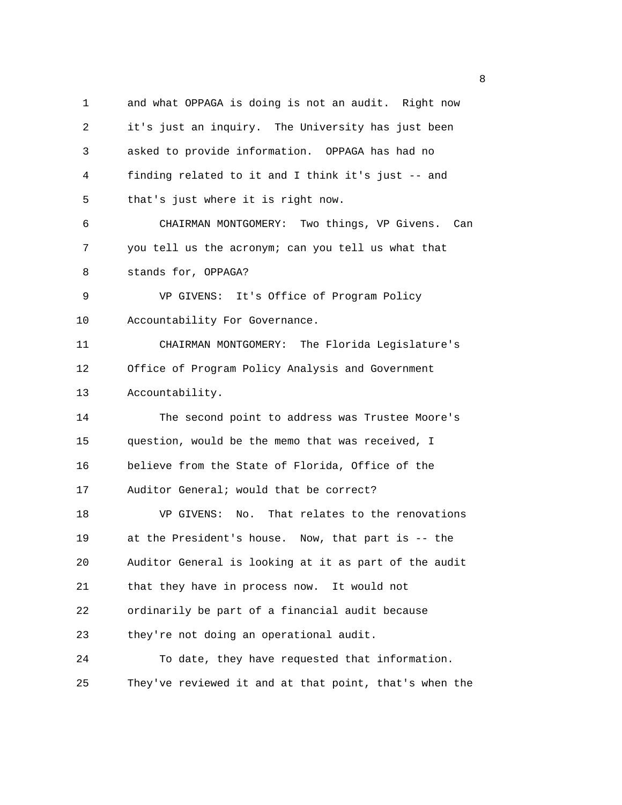1 and what OPPAGA is doing is not an audit. Right now 2 it's just an inquiry. The University has just been 3 asked to provide information. OPPAGA has had no 4 finding related to it and I think it's just -- and 5 that's just where it is right now. 6 CHAIRMAN MONTGOMERY: Two things, VP Givens. Can 7 you tell us the acronym; can you tell us what that 8 stands for, OPPAGA? 9 VP GIVENS: It's Office of Program Policy 10 Accountability For Governance. 11 CHAIRMAN MONTGOMERY: The Florida Legislature's 12 Office of Program Policy Analysis and Government 13 Accountability. 14 The second point to address was Trustee Moore's 15 question, would be the memo that was received, I 16 believe from the State of Florida, Office of the 17 Auditor General; would that be correct? 18 VP GIVENS: No. That relates to the renovations 19 at the President's house. Now, that part is -- the 20 Auditor General is looking at it as part of the audit 21 that they have in process now. It would not 22 ordinarily be part of a financial audit because 23 they're not doing an operational audit. 24 To date, they have requested that information. 25 They've reviewed it and at that point, that's when the

en de la construction de la construction de la construction de la construction de la construction de la constr<br>La construction de la construction de la construction de la construction de la construction de la construction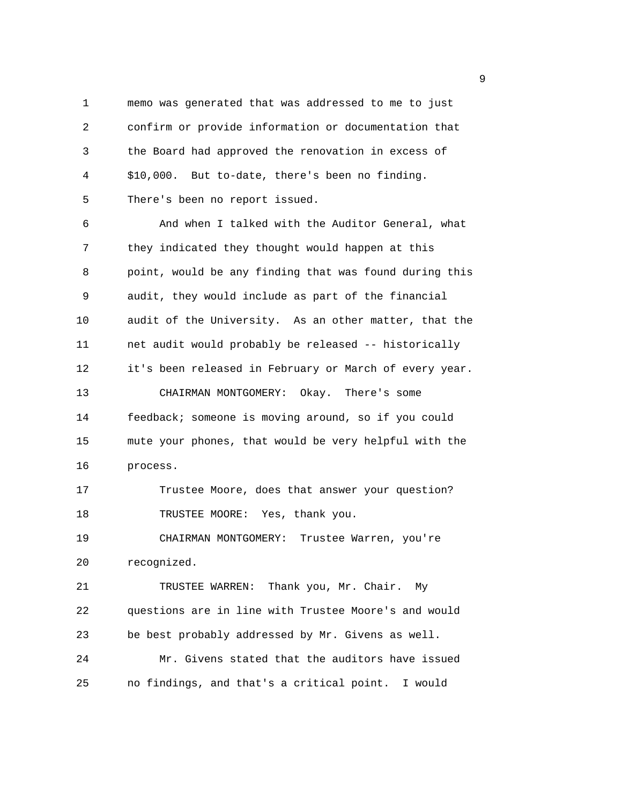1 memo was generated that was addressed to me to just 2 confirm or provide information or documentation that 3 the Board had approved the renovation in excess of 4 \$10,000. But to-date, there's been no finding. 5 There's been no report issued.

6 And when I talked with the Auditor General, what 7 they indicated they thought would happen at this 8 point, would be any finding that was found during this 9 audit, they would include as part of the financial 10 audit of the University. As an other matter, that the 11 net audit would probably be released -- historically 12 it's been released in February or March of every year. 13 CHAIRMAN MONTGOMERY: Okay. There's some 14 feedback; someone is moving around, so if you could 15 mute your phones, that would be very helpful with the 16 process.

17 Trustee Moore, does that answer your question? 18 TRUSTEE MOORE: Yes, thank you.

19 CHAIRMAN MONTGOMERY: Trustee Warren, you're 20 recognized.

21 TRUSTEE WARREN: Thank you, Mr. Chair. My 22 questions are in line with Trustee Moore's and would 23 be best probably addressed by Mr. Givens as well. 24 Mr. Givens stated that the auditors have issued

25 no findings, and that's a critical point. I would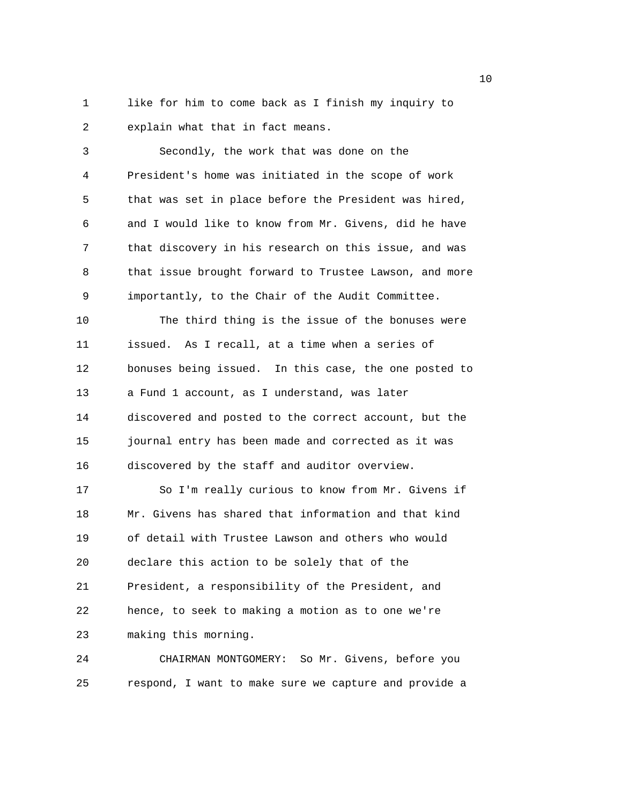1 like for him to come back as I finish my inquiry to 2 explain what that in fact means.

3 Secondly, the work that was done on the 4 President's home was initiated in the scope of work 5 that was set in place before the President was hired, 6 and I would like to know from Mr. Givens, did he have 7 that discovery in his research on this issue, and was 8 that issue brought forward to Trustee Lawson, and more 9 importantly, to the Chair of the Audit Committee. 10 The third thing is the issue of the bonuses were 11 issued. As I recall, at a time when a series of 12 bonuses being issued. In this case, the one posted to 13 a Fund 1 account, as I understand, was later 14 discovered and posted to the correct account, but the 15 journal entry has been made and corrected as it was 16 discovered by the staff and auditor overview. 17 So I'm really curious to know from Mr. Givens if 18 Mr. Givens has shared that information and that kind

19 of detail with Trustee Lawson and others who would 20 declare this action to be solely that of the 21 President, a responsibility of the President, and 22 hence, to seek to making a motion as to one we're 23 making this morning.

24 CHAIRMAN MONTGOMERY: So Mr. Givens, before you 25 respond, I want to make sure we capture and provide a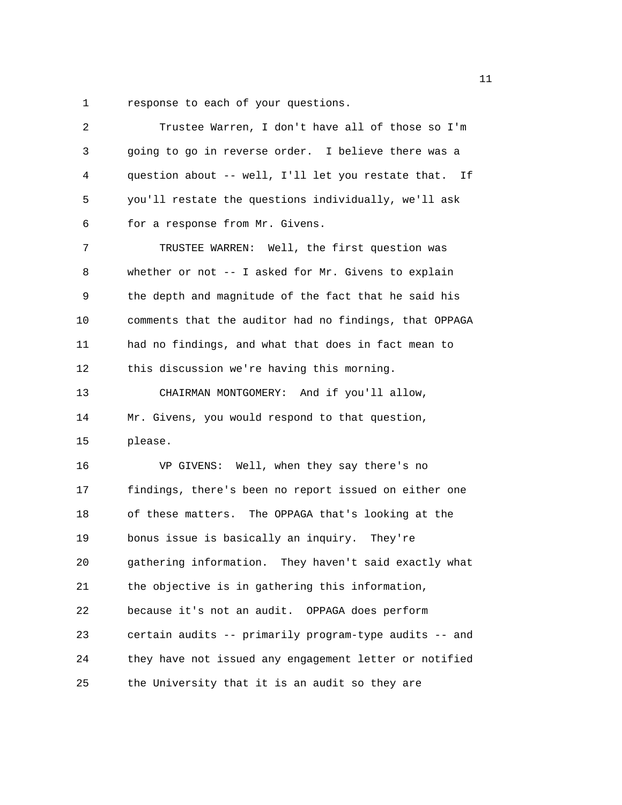1 response to each of your questions.

| $\overline{2}$ | Trustee Warren, I don't have all of those so I'm       |
|----------------|--------------------------------------------------------|
| 3              | going to go in reverse order. I believe there was a    |
| 4              | question about -- well, I'll let you restate that. If  |
| 5              | you'll restate the questions individually, we'll ask   |
| 6              | for a response from Mr. Givens.                        |
| 7              | TRUSTEE WARREN: Well, the first question was           |
| 8              | whether or not -- I asked for Mr. Givens to explain    |
| 9              | the depth and magnitude of the fact that he said his   |
| 10             | comments that the auditor had no findings, that OPPAGA |
| 11             | had no findings, and what that does in fact mean to    |
| 12             | this discussion we're having this morning.             |
| 13             | CHAIRMAN MONTGOMERY: And if you'll allow,              |
|                |                                                        |
| 14             | Mr. Givens, you would respond to that question,        |
| 15             | please.                                                |
| 16             | VP GIVENS: Well, when they say there's no              |
| 17             | findings, there's been no report issued on either one  |
| 18             | of these matters. The OPPAGA that's looking at the     |
| 19             | bonus issue is basically an inquiry. They're           |
| 20             | gathering information. They haven't said exactly what  |
| 21             | the objective is in gathering this information,        |
| 22             | because it's not an audit. OPPAGA does perform         |
| 23             | certain audits -- primarily program-type audits -- and |
| 24             | they have not issued any engagement letter or notified |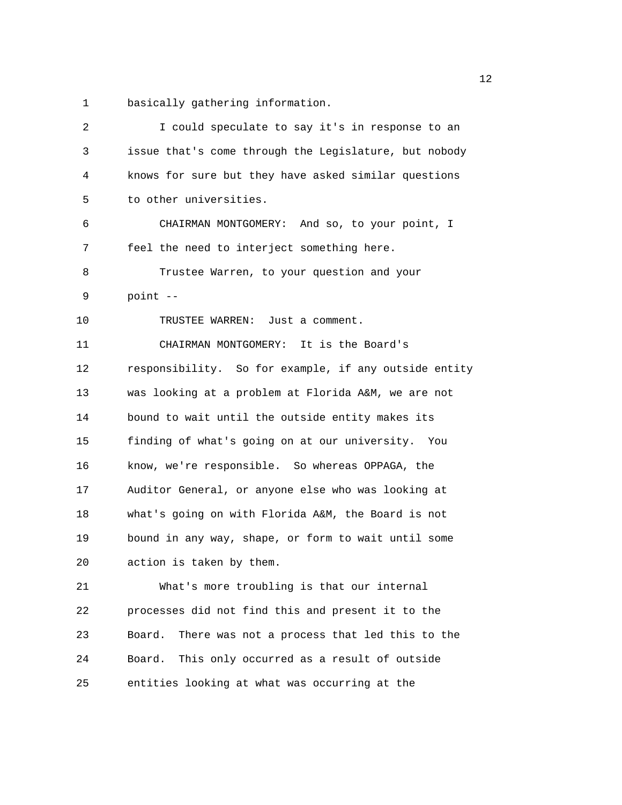1 basically gathering information.

| 2  | I could speculate to say it's in response to an        |  |
|----|--------------------------------------------------------|--|
| 3  | issue that's come through the Legislature, but nobody  |  |
| 4  | knows for sure but they have asked similar questions   |  |
| 5  | to other universities.                                 |  |
| 6  | CHAIRMAN MONTGOMERY: And so, to your point, I          |  |
| 7  | feel the need to interject something here.             |  |
| 8  | Trustee Warren, to your question and your              |  |
| 9  | point --                                               |  |
| 10 | TRUSTEE WARREN: Just a comment.                        |  |
| 11 | CHAIRMAN MONTGOMERY: It is the Board's                 |  |
| 12 | responsibility. So for example, if any outside entity  |  |
| 13 | was looking at a problem at Florida A&M, we are not    |  |
| 14 | bound to wait until the outside entity makes its       |  |
| 15 | finding of what's going on at our university. You      |  |
| 16 | know, we're responsible. So whereas OPPAGA, the        |  |
| 17 | Auditor General, or anyone else who was looking at     |  |
| 18 | what's going on with Florida A&M, the Board is not     |  |
| 19 | bound in any way, shape, or form to wait until some    |  |
| 20 | action is taken by them.                               |  |
| 21 | What's more troubling is that our internal             |  |
| 22 | processes did not find this and present it to the      |  |
| 23 | There was not a process that led this to the<br>Board. |  |
| 24 | This only occurred as a result of outside<br>Board.    |  |
| 25 | entities looking at what was occurring at the          |  |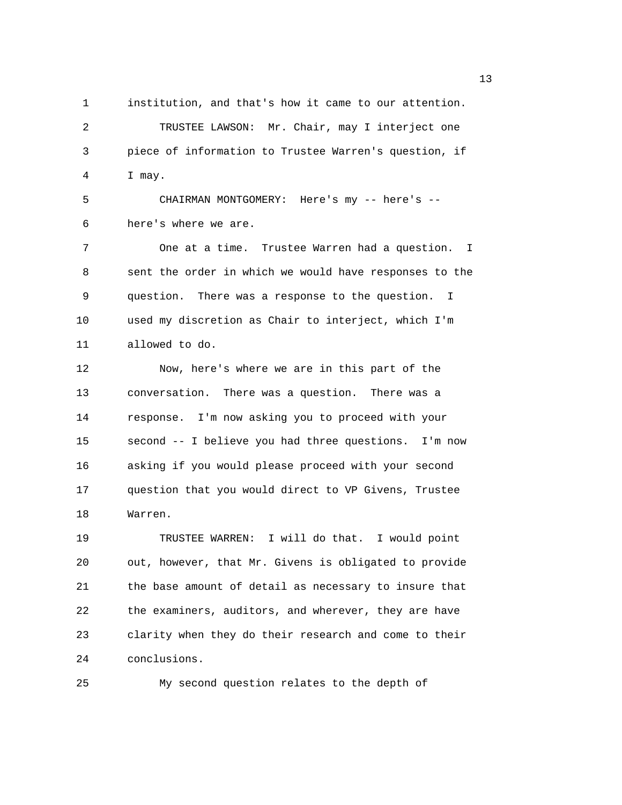1 institution, and that's how it came to our attention. 2 TRUSTEE LAWSON: Mr. Chair, may I interject one 3 piece of information to Trustee Warren's question, if 4 I may.

5 CHAIRMAN MONTGOMERY: Here's my -- here's -- 6 here's where we are.

7 One at a time. Trustee Warren had a question. I 8 sent the order in which we would have responses to the 9 question. There was a response to the question. I 10 used my discretion as Chair to interject, which I'm 11 allowed to do.

12 Now, here's where we are in this part of the 13 conversation. There was a question. There was a 14 response. I'm now asking you to proceed with your 15 second -- I believe you had three questions. I'm now 16 asking if you would please proceed with your second 17 question that you would direct to VP Givens, Trustee 18 Warren.

19 TRUSTEE WARREN: I will do that. I would point 20 out, however, that Mr. Givens is obligated to provide 21 the base amount of detail as necessary to insure that 22 the examiners, auditors, and wherever, they are have 23 clarity when they do their research and come to their 24 conclusions.

25 My second question relates to the depth of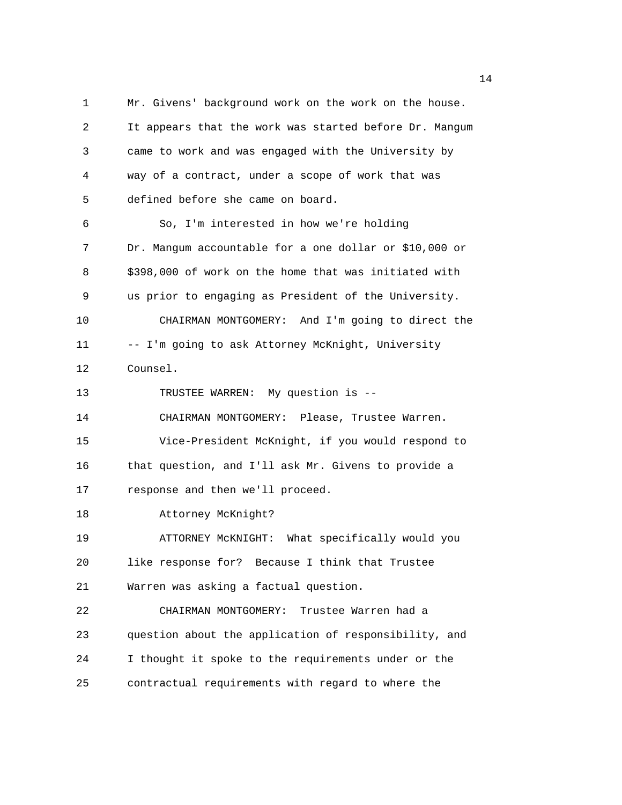1 Mr. Givens' background work on the work on the house. 2 It appears that the work was started before Dr. Mangum 3 came to work and was engaged with the University by 4 way of a contract, under a scope of work that was 5 defined before she came on board. 6 So, I'm interested in how we're holding 7 Dr. Mangum accountable for a one dollar or \$10,000 or 8 \$398,000 of work on the home that was initiated with 9 us prior to engaging as President of the University. 10 CHAIRMAN MONTGOMERY: And I'm going to direct the 11 -- I'm going to ask Attorney McKnight, University 12 Counsel. 13 TRUSTEE WARREN: My question is -- 14 CHAIRMAN MONTGOMERY: Please, Trustee Warren. 15 Vice-President McKnight, if you would respond to 16 that question, and I'll ask Mr. Givens to provide a 17 response and then we'll proceed. 18 Attorney McKnight? 19 ATTORNEY McKNIGHT: What specifically would you 20 like response for? Because I think that Trustee 21 Warren was asking a factual question. 22 CHAIRMAN MONTGOMERY: Trustee Warren had a 23 question about the application of responsibility, and 24 I thought it spoke to the requirements under or the 25 contractual requirements with regard to where the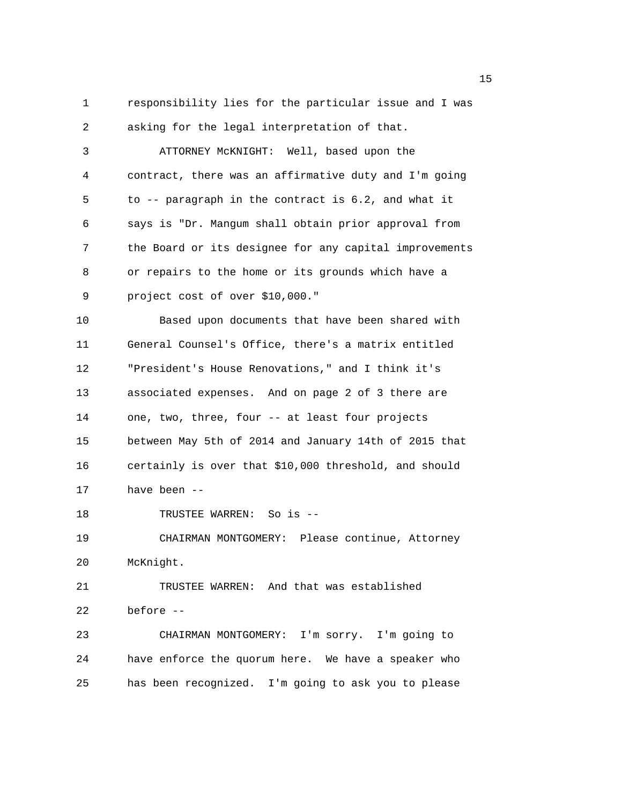1 responsibility lies for the particular issue and I was 2 asking for the legal interpretation of that.

3 ATTORNEY McKNIGHT: Well, based upon the 4 contract, there was an affirmative duty and I'm going 5 to -- paragraph in the contract is 6.2, and what it 6 says is "Dr. Mangum shall obtain prior approval from 7 the Board or its designee for any capital improvements 8 or repairs to the home or its grounds which have a 9 project cost of over \$10,000."

10 Based upon documents that have been shared with 11 General Counsel's Office, there's a matrix entitled 12 "President's House Renovations," and I think it's 13 associated expenses. And on page 2 of 3 there are 14 one, two, three, four -- at least four projects 15 between May 5th of 2014 and January 14th of 2015 that 16 certainly is over that \$10,000 threshold, and should 17 have been --

18 TRUSTEE WARREN: So is --

19 CHAIRMAN MONTGOMERY: Please continue, Attorney 20 McKnight.

21 TRUSTEE WARREN: And that was established 22 before --

23 CHAIRMAN MONTGOMERY: I'm sorry. I'm going to 24 have enforce the quorum here. We have a speaker who 25 has been recognized. I'm going to ask you to please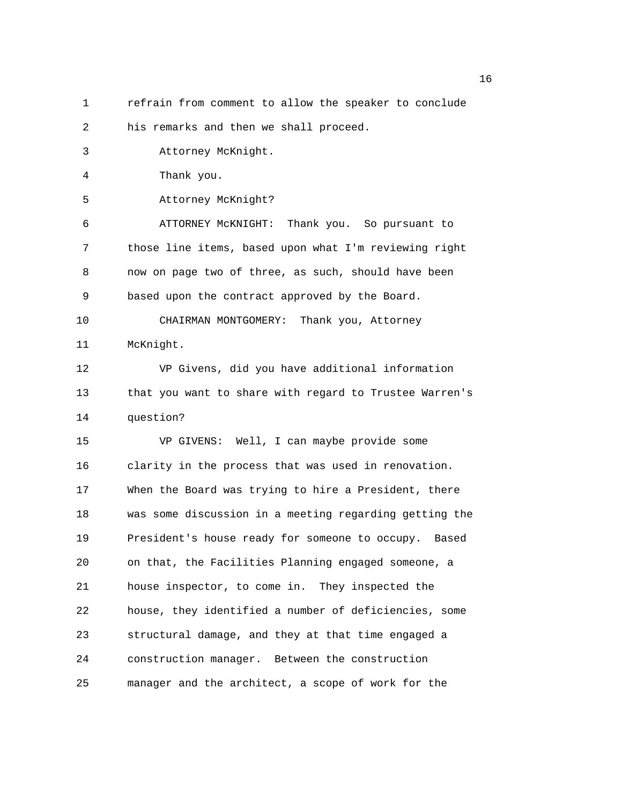1 refrain from comment to allow the speaker to conclude

2 his remarks and then we shall proceed.

3 Attorney McKnight.

4 Thank you.

5 Attorney McKnight?

6 ATTORNEY McKNIGHT: Thank you. So pursuant to 7 those line items, based upon what I'm reviewing right 8 now on page two of three, as such, should have been 9 based upon the contract approved by the Board. 10 CHAIRMAN MONTGOMERY: Thank you, Attorney

11 McKnight.

12 VP Givens, did you have additional information 13 that you want to share with regard to Trustee Warren's 14 question?

15 VP GIVENS: Well, I can maybe provide some 16 clarity in the process that was used in renovation. 17 When the Board was trying to hire a President, there 18 was some discussion in a meeting regarding getting the 19 President's house ready for someone to occupy. Based 20 on that, the Facilities Planning engaged someone, a 21 house inspector, to come in. They inspected the 22 house, they identified a number of deficiencies, some 23 structural damage, and they at that time engaged a 24 construction manager. Between the construction 25 manager and the architect, a scope of work for the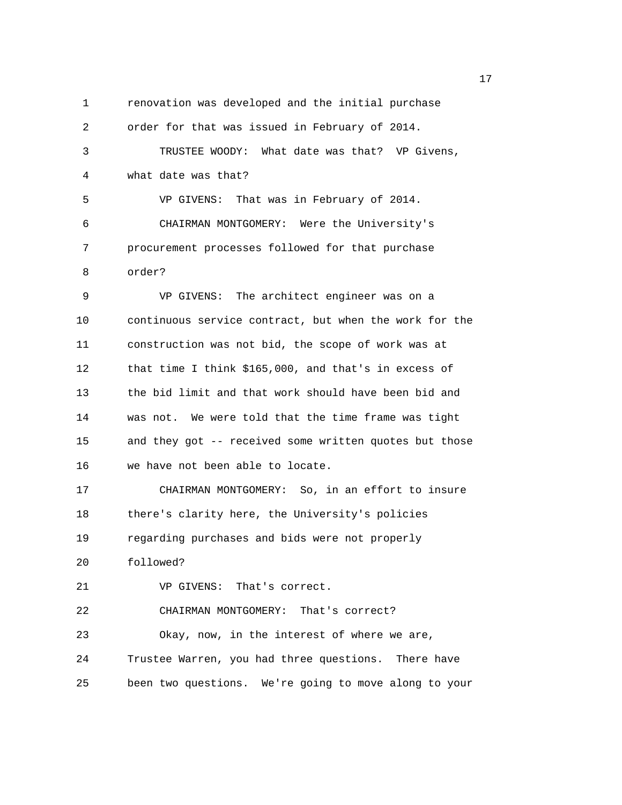1 renovation was developed and the initial purchase 2 order for that was issued in February of 2014. 3 TRUSTEE WOODY: What date was that? VP Givens, 4 what date was that? 5 VP GIVENS: That was in February of 2014. 6 CHAIRMAN MONTGOMERY: Were the University's 7 procurement processes followed for that purchase 8 order? 9 VP GIVENS: The architect engineer was on a 10 continuous service contract, but when the work for the 11 construction was not bid, the scope of work was at 12 that time I think \$165,000, and that's in excess of 13 the bid limit and that work should have been bid and 14 was not. We were told that the time frame was tight 15 and they got -- received some written quotes but those 16 we have not been able to locate. 17 CHAIRMAN MONTGOMERY: So, in an effort to insure 18 there's clarity here, the University's policies 19 regarding purchases and bids were not properly 20 followed? 21 VP GIVENS: That's correct. 22 CHAIRMAN MONTGOMERY: That's correct? 23 Okay, now, in the interest of where we are, 24 Trustee Warren, you had three questions. There have 25 been two questions. We're going to move along to your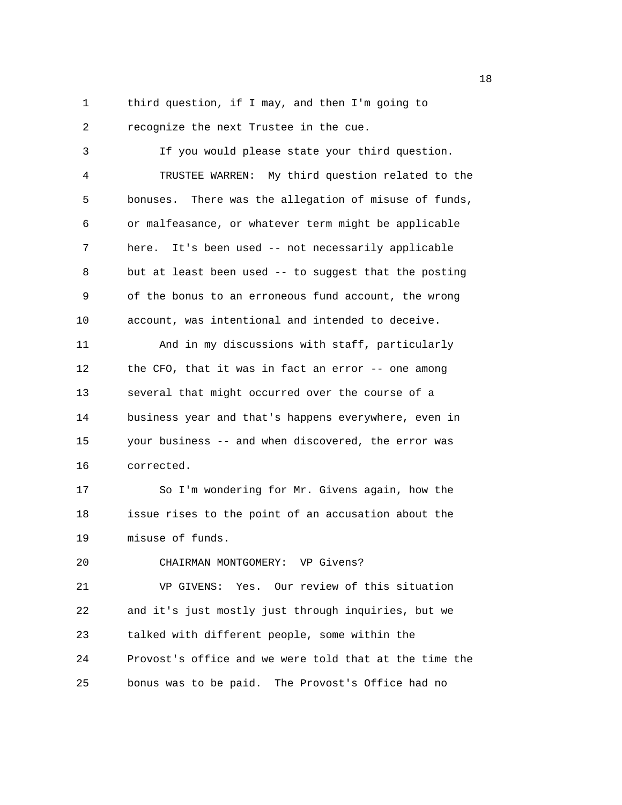1 third question, if I may, and then I'm going to 2 recognize the next Trustee in the cue.

3 If you would please state your third question. 4 TRUSTEE WARREN: My third question related to the 5 bonuses. There was the allegation of misuse of funds, 6 or malfeasance, or whatever term might be applicable 7 here. It's been used -- not necessarily applicable 8 but at least been used -- to suggest that the posting 9 of the bonus to an erroneous fund account, the wrong 10 account, was intentional and intended to deceive.

11 And in my discussions with staff, particularly 12 the CFO, that it was in fact an error -- one among 13 several that might occurred over the course of a 14 business year and that's happens everywhere, even in 15 your business -- and when discovered, the error was 16 corrected.

17 So I'm wondering for Mr. Givens again, how the 18 issue rises to the point of an accusation about the 19 misuse of funds.

20 CHAIRMAN MONTGOMERY: VP Givens?

21 VP GIVENS: Yes. Our review of this situation 22 and it's just mostly just through inquiries, but we 23 talked with different people, some within the 24 Provost's office and we were told that at the time the 25 bonus was to be paid. The Provost's Office had no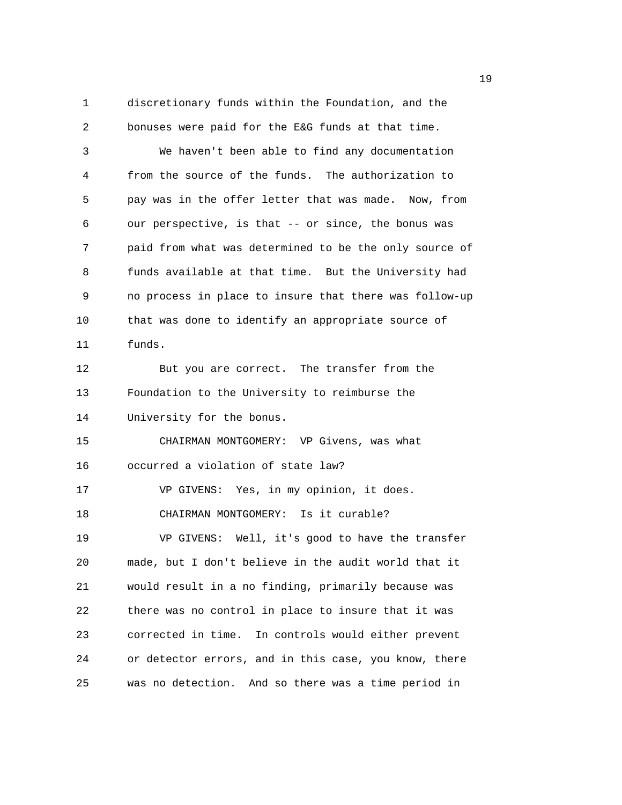1 discretionary funds within the Foundation, and the 2 bonuses were paid for the E&G funds at that time. 3 We haven't been able to find any documentation 4 from the source of the funds. The authorization to 5 pay was in the offer letter that was made. Now, from 6 our perspective, is that -- or since, the bonus was 7 paid from what was determined to be the only source of 8 funds available at that time. But the University had 9 no process in place to insure that there was follow-up 10 that was done to identify an appropriate source of 11 funds. 12 But you are correct. The transfer from the 13 Foundation to the University to reimburse the 14 University for the bonus. 15 CHAIRMAN MONTGOMERY: VP Givens, was what 16 occurred a violation of state law? 17 VP GIVENS: Yes, in my opinion, it does. 18 CHAIRMAN MONTGOMERY: Is it curable? 19 VP GIVENS: Well, it's good to have the transfer 20 made, but I don't believe in the audit world that it 21 would result in a no finding, primarily because was 22 there was no control in place to insure that it was 23 corrected in time. In controls would either prevent 24 or detector errors, and in this case, you know, there 25 was no detection. And so there was a time period in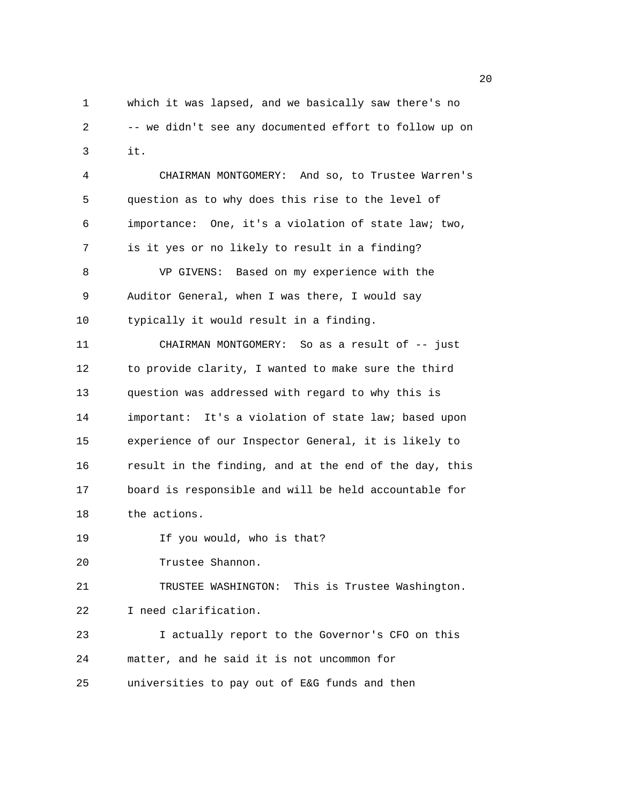1 which it was lapsed, and we basically saw there's no 2 -- we didn't see any documented effort to follow up on 3 it.

4 CHAIRMAN MONTGOMERY: And so, to Trustee Warren's 5 question as to why does this rise to the level of 6 importance: One, it's a violation of state law; two, 7 is it yes or no likely to result in a finding? 8 VP GIVENS: Based on my experience with the 9 Auditor General, when I was there, I would say 10 typically it would result in a finding. 11 CHAIRMAN MONTGOMERY: So as a result of -- just 12 to provide clarity, I wanted to make sure the third 13 question was addressed with regard to why this is 14 important: It's a violation of state law; based upon 15 experience of our Inspector General, it is likely to 16 result in the finding, and at the end of the day, this 17 board is responsible and will be held accountable for 18 the actions. 19 If you would, who is that? 20 Trustee Shannon. 21 TRUSTEE WASHINGTON: This is Trustee Washington. 22 I need clarification.

23 I actually report to the Governor's CFO on this 24 matter, and he said it is not uncommon for 25 universities to pay out of E&G funds and then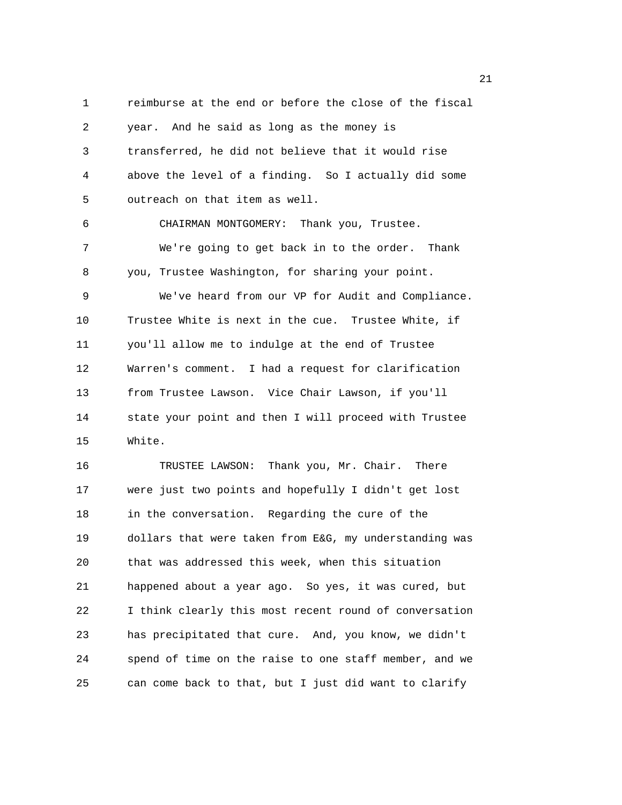1 reimburse at the end or before the close of the fiscal 2 year. And he said as long as the money is 3 transferred, he did not believe that it would rise 4 above the level of a finding. So I actually did some 5 outreach on that item as well. 6 CHAIRMAN MONTGOMERY: Thank you, Trustee. 7 We're going to get back in to the order. Thank 8 you, Trustee Washington, for sharing your point. 9 We've heard from our VP for Audit and Compliance. 10 Trustee White is next in the cue. Trustee White, if 11 you'll allow me to indulge at the end of Trustee 12 Warren's comment. I had a request for clarification 13 from Trustee Lawson. Vice Chair Lawson, if you'll 14 state your point and then I will proceed with Trustee 15 White. 16 TRUSTEE LAWSON: Thank you, Mr. Chair. There 17 were just two points and hopefully I didn't get lost 18 in the conversation. Regarding the cure of the 19 dollars that were taken from E&G, my understanding was 20 that was addressed this week, when this situation 21 happened about a year ago. So yes, it was cured, but 22 I think clearly this most recent round of conversation 23 has precipitated that cure. And, you know, we didn't 24 spend of time on the raise to one staff member, and we

25 can come back to that, but I just did want to clarify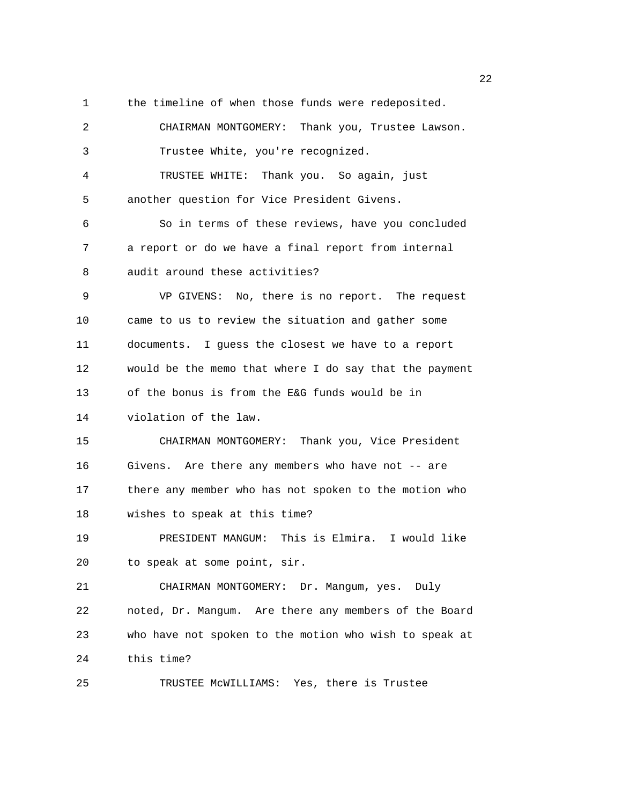1 the timeline of when those funds were redeposited.

2 CHAIRMAN MONTGOMERY: Thank you, Trustee Lawson. 3 Trustee White, you're recognized. 4 TRUSTEE WHITE: Thank you. So again, just 5 another question for Vice President Givens. 6 So in terms of these reviews, have you concluded 7 a report or do we have a final report from internal 8 audit around these activities? 9 VP GIVENS: No, there is no report. The request 10 came to us to review the situation and gather some 11 documents. I guess the closest we have to a report 12 would be the memo that where I do say that the payment 13 of the bonus is from the E&G funds would be in 14 violation of the law. 15 CHAIRMAN MONTGOMERY: Thank you, Vice President 16 Givens. Are there any members who have not -- are 17 there any member who has not spoken to the motion who 18 wishes to speak at this time? 19 PRESIDENT MANGUM: This is Elmira. I would like 20 to speak at some point, sir. 21 CHAIRMAN MONTGOMERY: Dr. Mangum, yes. Duly 22 noted, Dr. Mangum. Are there any members of the Board 23 who have not spoken to the motion who wish to speak at 24 this time? 25 TRUSTEE McWILLIAMS: Yes, there is Trustee

22 and 22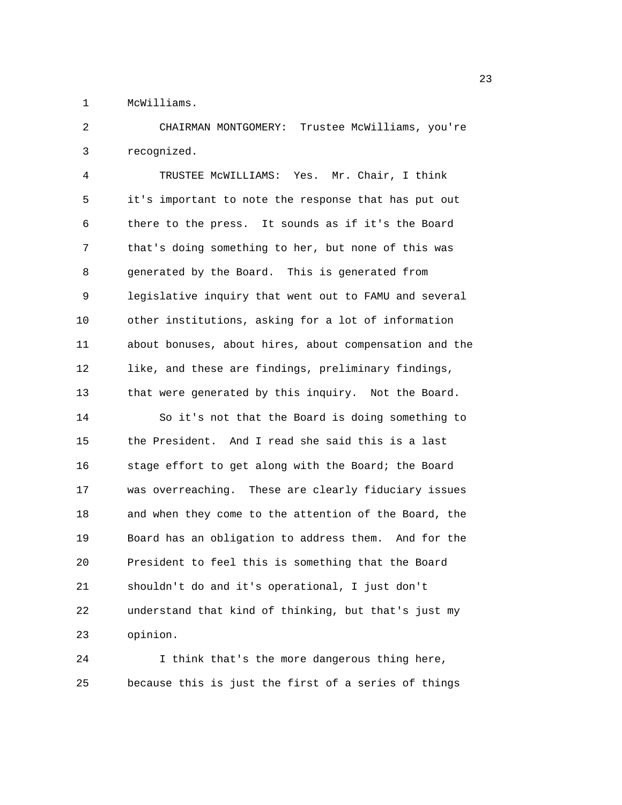1 McWilliams.

2 CHAIRMAN MONTGOMERY: Trustee McWilliams, you're 3 recognized.

4 TRUSTEE McWILLIAMS: Yes. Mr. Chair, I think 5 it's important to note the response that has put out 6 there to the press. It sounds as if it's the Board 7 that's doing something to her, but none of this was 8 generated by the Board. This is generated from 9 legislative inquiry that went out to FAMU and several 10 other institutions, asking for a lot of information 11 about bonuses, about hires, about compensation and the 12 like, and these are findings, preliminary findings, 13 that were generated by this inquiry. Not the Board. 14 So it's not that the Board is doing something to 15 the President. And I read she said this is a last 16 stage effort to get along with the Board; the Board 17 was overreaching. These are clearly fiduciary issues 18 and when they come to the attention of the Board, the 19 Board has an obligation to address them. And for the 20 President to feel this is something that the Board 21 shouldn't do and it's operational, I just don't 22 understand that kind of thinking, but that's just my 23 opinion.

24 I think that's the more dangerous thing here, 25 because this is just the first of a series of things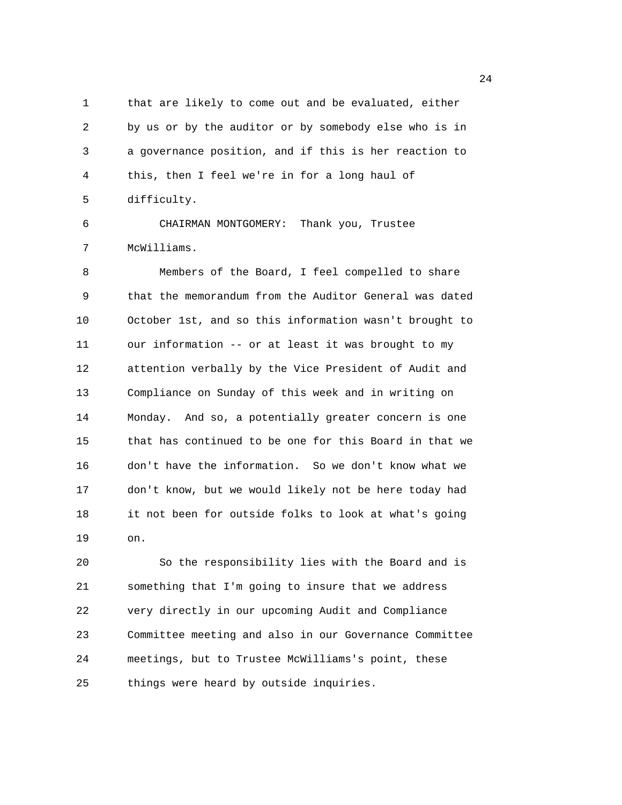1 that are likely to come out and be evaluated, either 2 by us or by the auditor or by somebody else who is in 3 a governance position, and if this is her reaction to 4 this, then I feel we're in for a long haul of 5 difficulty.

6 CHAIRMAN MONTGOMERY: Thank you, Trustee 7 McWilliams.

8 Members of the Board, I feel compelled to share 9 that the memorandum from the Auditor General was dated 10 October 1st, and so this information wasn't brought to 11 our information -- or at least it was brought to my 12 attention verbally by the Vice President of Audit and 13 Compliance on Sunday of this week and in writing on 14 Monday. And so, a potentially greater concern is one 15 that has continued to be one for this Board in that we 16 don't have the information. So we don't know what we 17 don't know, but we would likely not be here today had 18 it not been for outside folks to look at what's going 19 on.

20 So the responsibility lies with the Board and is 21 something that I'm going to insure that we address 22 very directly in our upcoming Audit and Compliance 23 Committee meeting and also in our Governance Committee 24 meetings, but to Trustee McWilliams's point, these 25 things were heard by outside inquiries.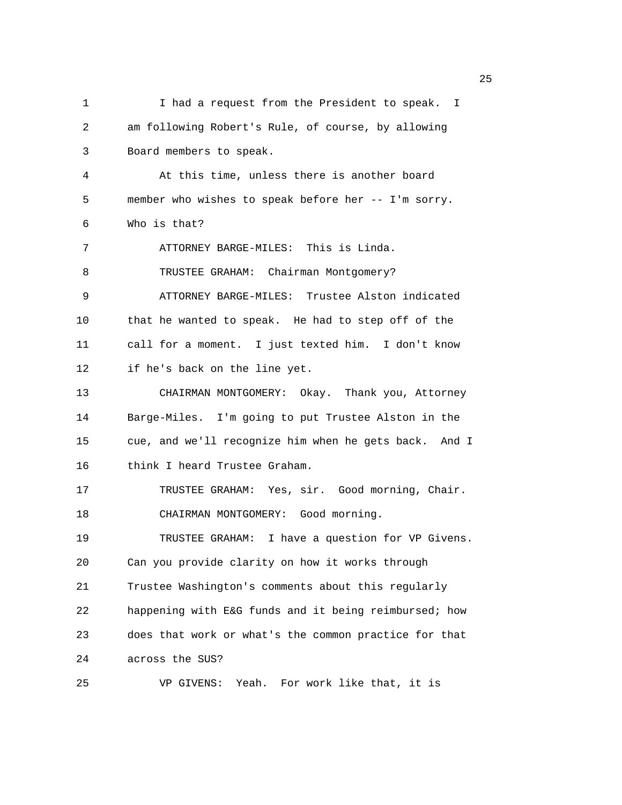1 I had a request from the President to speak. I 2 am following Robert's Rule, of course, by allowing 3 Board members to speak. 4 At this time, unless there is another board 5 member who wishes to speak before her -- I'm sorry. 6 Who is that? 7 ATTORNEY BARGE-MILES: This is Linda. 8 TRUSTEE GRAHAM: Chairman Montgomery? 9 ATTORNEY BARGE-MILES: Trustee Alston indicated 10 that he wanted to speak. He had to step off of the 11 call for a moment. I just texted him. I don't know 12 if he's back on the line yet. 13 CHAIRMAN MONTGOMERY: Okay. Thank you, Attorney 14 Barge-Miles. I'm going to put Trustee Alston in the 15 cue, and we'll recognize him when he gets back. And I 16 think I heard Trustee Graham. 17 TRUSTEE GRAHAM: Yes, sir. Good morning, Chair. 18 CHAIRMAN MONTGOMERY: Good morning. 19 TRUSTEE GRAHAM: I have a question for VP Givens. 20 Can you provide clarity on how it works through 21 Trustee Washington's comments about this regularly 22 happening with E&G funds and it being reimbursed; how 23 does that work or what's the common practice for that 24 across the SUS? 25 VP GIVENS: Yeah. For work like that, it is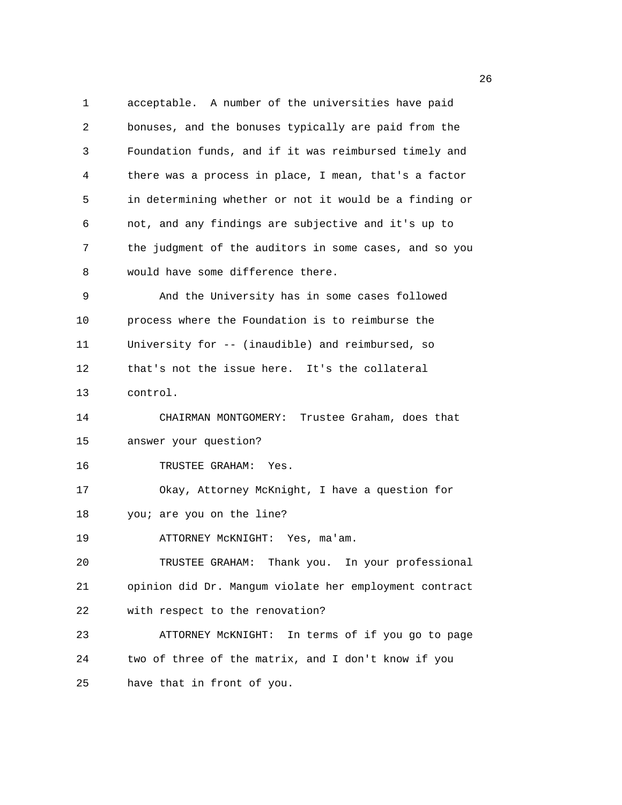1 acceptable. A number of the universities have paid 2 bonuses, and the bonuses typically are paid from the 3 Foundation funds, and if it was reimbursed timely and 4 there was a process in place, I mean, that's a factor 5 in determining whether or not it would be a finding or 6 not, and any findings are subjective and it's up to 7 the judgment of the auditors in some cases, and so you 8 would have some difference there. 9 And the University has in some cases followed 10 process where the Foundation is to reimburse the 11 University for -- (inaudible) and reimbursed, so 12 that's not the issue here. It's the collateral 13 control. 14 CHAIRMAN MONTGOMERY: Trustee Graham, does that 15 answer your question? 16 TRUSTEE GRAHAM: Yes. 17 Okay, Attorney McKnight, I have a question for 18 you; are you on the line? 19 ATTORNEY McKNIGHT: Yes, ma'am. 20 TRUSTEE GRAHAM: Thank you. In your professional 21 opinion did Dr. Mangum violate her employment contract 22 with respect to the renovation? 23 ATTORNEY McKNIGHT: In terms of if you go to page 24 two of three of the matrix, and I don't know if you 25 have that in front of you.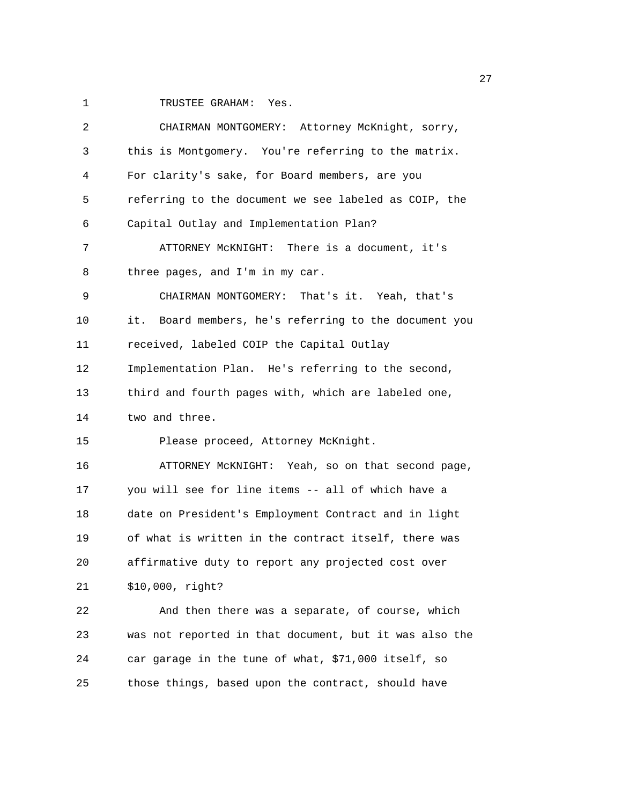1 TRUSTEE GRAHAM: Yes.

| 2  | CHAIRMAN MONTGOMERY: Attorney McKnight, sorry,           |
|----|----------------------------------------------------------|
| 3  | this is Montgomery. You're referring to the matrix.      |
| 4  | For clarity's sake, for Board members, are you           |
| 5  | referring to the document we see labeled as COIP, the    |
| 6  | Capital Outlay and Implementation Plan?                  |
| 7  | ATTORNEY MCKNIGHT: There is a document, it's             |
| 8  | three pages, and I'm in my car.                          |
| 9  | CHAIRMAN MONTGOMERY: That's it. Yeah, that's             |
| 10 | Board members, he's referring to the document you<br>it. |
| 11 | received, labeled COIP the Capital Outlay                |
| 12 | Implementation Plan. He's referring to the second,       |
| 13 | third and fourth pages with, which are labeled one,      |
| 14 | two and three.                                           |
| 15 | Please proceed, Attorney McKnight.                       |
| 16 | ATTORNEY MCKNIGHT: Yeah, so on that second page,         |
| 17 | you will see for line items -- all of which have a       |
| 18 | date on President's Employment Contract and in light     |
| 19 | of what is written in the contract itself, there was     |
| 20 | affirmative duty to report any projected cost over       |
| 21 | \$10,000, right?                                         |
| 22 | And then there was a separate, of course, which          |
| 23 | was not reported in that document, but it was also the   |
| 24 | car garage in the tune of what, \$71,000 itself, so      |
| 25 | those things, based upon the contract, should have       |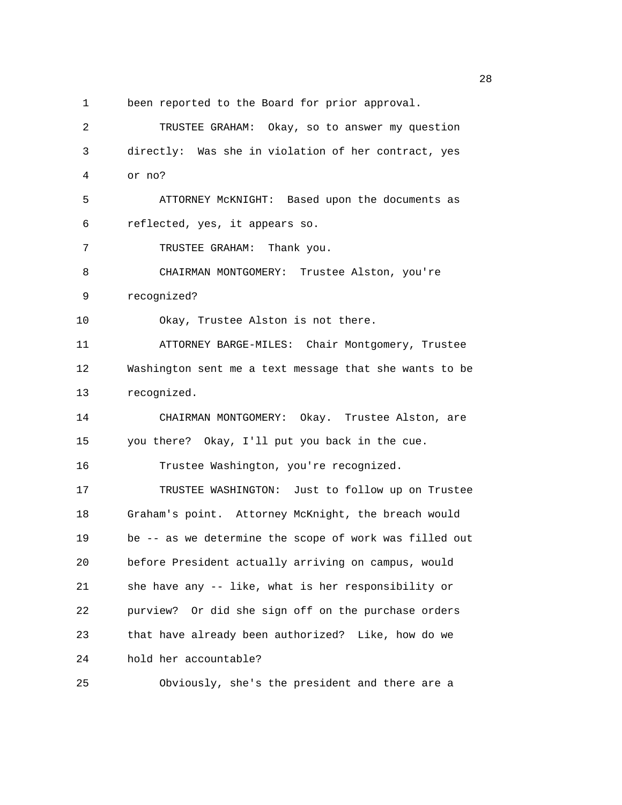1 been reported to the Board for prior approval.

2 TRUSTEE GRAHAM: Okay, so to answer my question 3 directly: Was she in violation of her contract, yes 4 or no? 5 ATTORNEY McKNIGHT: Based upon the documents as 6 reflected, yes, it appears so. 7 TRUSTEE GRAHAM: Thank you. 8 CHAIRMAN MONTGOMERY: Trustee Alston, you're 9 recognized? 10 Okay, Trustee Alston is not there. 11 ATTORNEY BARGE-MILES: Chair Montgomery, Trustee 12 Washington sent me a text message that she wants to be 13 recognized. 14 CHAIRMAN MONTGOMERY: Okay. Trustee Alston, are 15 you there? Okay, I'll put you back in the cue. 16 Trustee Washington, you're recognized. 17 TRUSTEE WASHINGTON: Just to follow up on Trustee 18 Graham's point. Attorney McKnight, the breach would 19 be -- as we determine the scope of work was filled out 20 before President actually arriving on campus, would 21 she have any -- like, what is her responsibility or 22 purview? Or did she sign off on the purchase orders 23 that have already been authorized? Like, how do we 24 hold her accountable? 25 Obviously, she's the president and there are a

<u>28 and 28</u>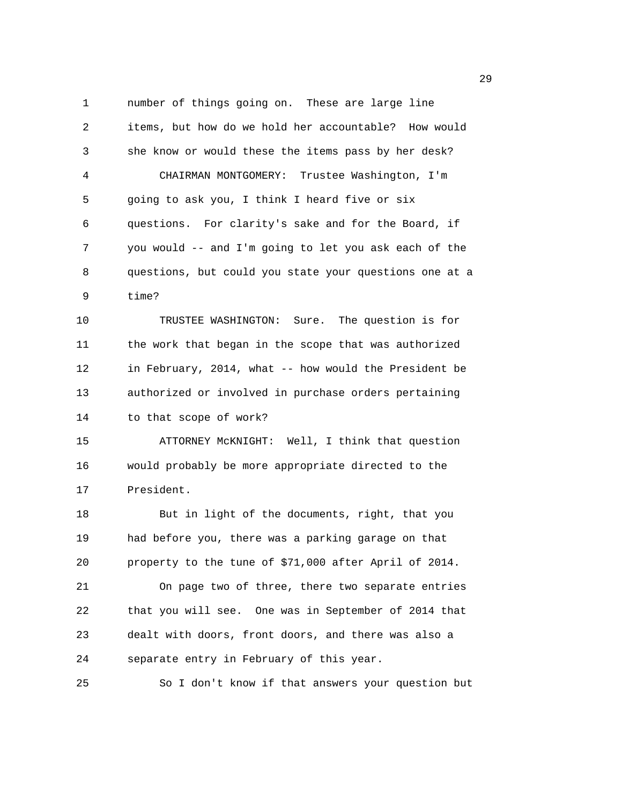1 number of things going on. These are large line 2 items, but how do we hold her accountable? How would 3 she know or would these the items pass by her desk? 4 CHAIRMAN MONTGOMERY: Trustee Washington, I'm 5 going to ask you, I think I heard five or six 6 questions. For clarity's sake and for the Board, if 7 you would -- and I'm going to let you ask each of the 8 questions, but could you state your questions one at a 9 time? 10 TRUSTEE WASHINGTON: Sure. The question is for 11 the work that began in the scope that was authorized 12 in February, 2014, what -- how would the President be 13 authorized or involved in purchase orders pertaining

15 ATTORNEY McKNIGHT: Well, I think that question

14 to that scope of work?

16 would probably be more appropriate directed to the 17 President.

18 But in light of the documents, right, that you 19 had before you, there was a parking garage on that 20 property to the tune of \$71,000 after April of 2014. 21 On page two of three, there two separate entries 22 that you will see. One was in September of 2014 that 23 dealt with doors, front doors, and there was also a 24 separate entry in February of this year.

25 So I don't know if that answers your question but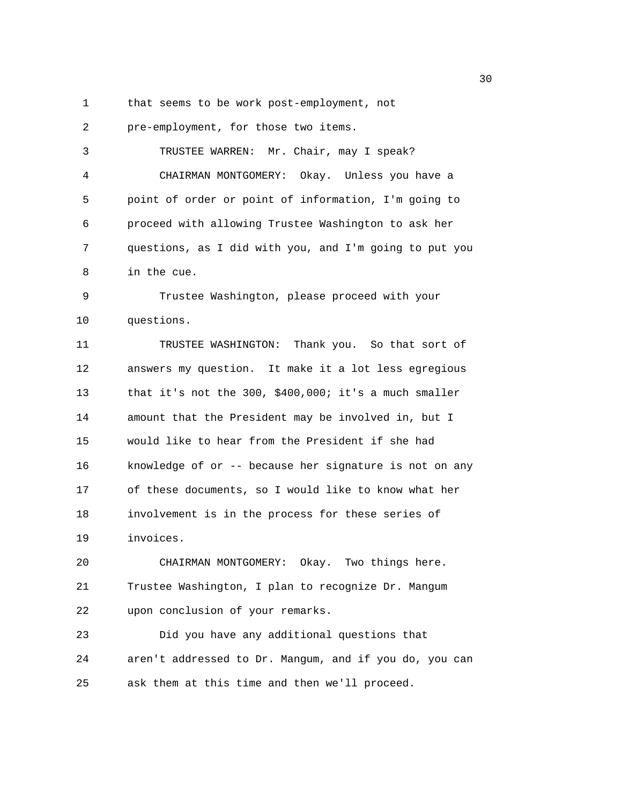1 that seems to be work post-employment, not

2 pre-employment, for those two items. 3 TRUSTEE WARREN: Mr. Chair, may I speak? 4 CHAIRMAN MONTGOMERY: Okay. Unless you have a 5 point of order or point of information, I'm going to 6 proceed with allowing Trustee Washington to ask her 7 questions, as I did with you, and I'm going to put you 8 in the cue. 9 Trustee Washington, please proceed with your 10 questions. 11 TRUSTEE WASHINGTON: Thank you. So that sort of 12 answers my question. It make it a lot less egregious

13 that it's not the 300, \$400,000; it's a much smaller 14 amount that the President may be involved in, but I 15 would like to hear from the President if she had 16 knowledge of or -- because her signature is not on any 17 of these documents, so I would like to know what her 18 involvement is in the process for these series of 19 invoices.

20 CHAIRMAN MONTGOMERY: Okay. Two things here. 21 Trustee Washington, I plan to recognize Dr. Mangum 22 upon conclusion of your remarks.

23 Did you have any additional questions that 24 aren't addressed to Dr. Mangum, and if you do, you can 25 ask them at this time and then we'll proceed.

 $30<sup>2</sup>$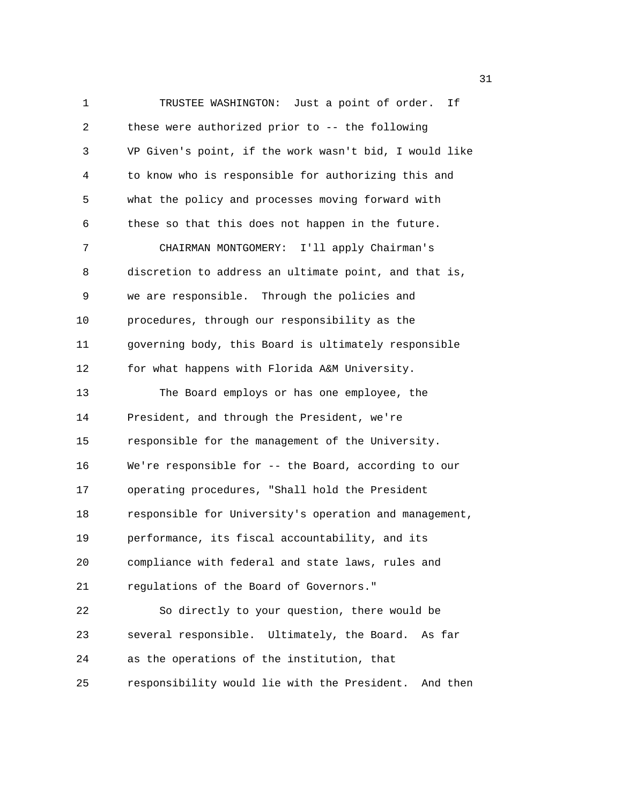1 TRUSTEE WASHINGTON: Just a point of order. If 2 these were authorized prior to -- the following 3 VP Given's point, if the work wasn't bid, I would like 4 to know who is responsible for authorizing this and 5 what the policy and processes moving forward with 6 these so that this does not happen in the future. 7 CHAIRMAN MONTGOMERY: I'll apply Chairman's 8 discretion to address an ultimate point, and that is, 9 we are responsible. Through the policies and 10 procedures, through our responsibility as the 11 governing body, this Board is ultimately responsible 12 for what happens with Florida A&M University. 13 The Board employs or has one employee, the 14 President, and through the President, we're 15 responsible for the management of the University. 16 We're responsible for -- the Board, according to our 17 operating procedures, "Shall hold the President 18 responsible for University's operation and management, 19 performance, its fiscal accountability, and its 20 compliance with federal and state laws, rules and 21 regulations of the Board of Governors." 22 So directly to your question, there would be 23 several responsible. Ultimately, the Board. As far 24 as the operations of the institution, that 25 responsibility would lie with the President. And then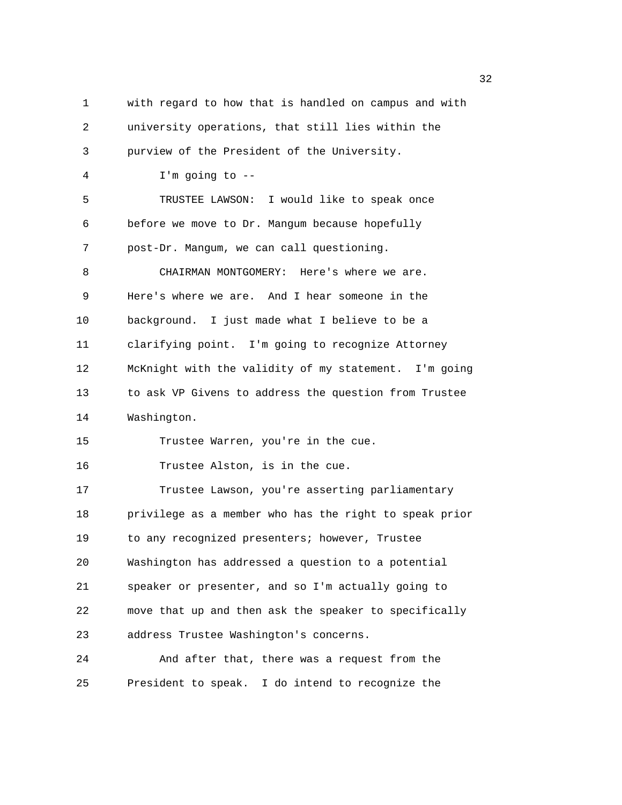1 with regard to how that is handled on campus and with 2 university operations, that still lies within the 3 purview of the President of the University. 4 I'm going to -- 5 TRUSTEE LAWSON: I would like to speak once 6 before we move to Dr. Mangum because hopefully 7 post-Dr. Mangum, we can call questioning. 8 CHAIRMAN MONTGOMERY: Here's where we are. 9 Here's where we are. And I hear someone in the 10 background. I just made what I believe to be a 11 clarifying point. I'm going to recognize Attorney 12 McKnight with the validity of my statement. I'm going 13 to ask VP Givens to address the question from Trustee 14 Washington. 15 Trustee Warren, you're in the cue. 16 Trustee Alston, is in the cue. 17 Trustee Lawson, you're asserting parliamentary 18 privilege as a member who has the right to speak prior 19 to any recognized presenters; however, Trustee 20 Washington has addressed a question to a potential 21 speaker or presenter, and so I'm actually going to 22 move that up and then ask the speaker to specifically 23 address Trustee Washington's concerns. 24 And after that, there was a request from the 25 President to speak. I do intend to recognize the

 $\frac{32}{2}$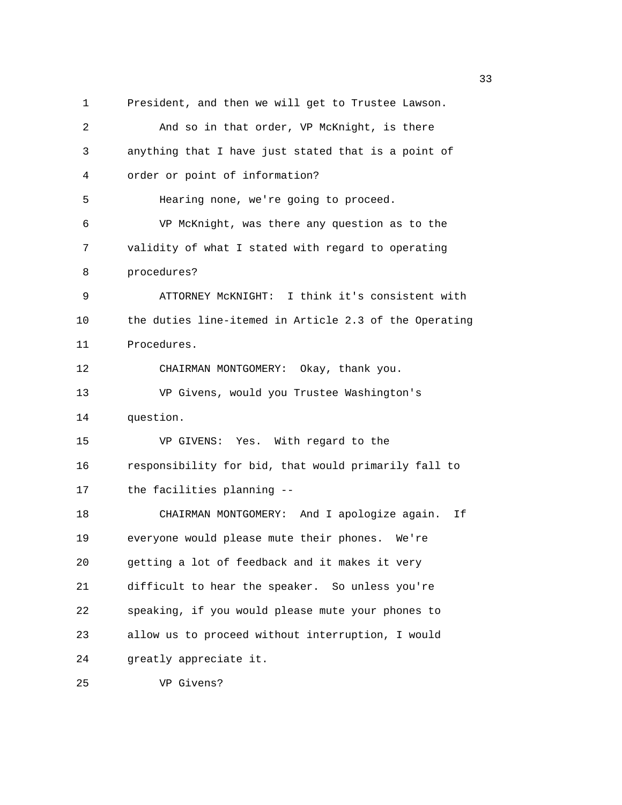1 President, and then we will get to Trustee Lawson. 2 And so in that order, VP McKnight, is there 3 anything that I have just stated that is a point of 4 order or point of information? 5 Hearing none, we're going to proceed. 6 VP McKnight, was there any question as to the 7 validity of what I stated with regard to operating 8 procedures? 9 ATTORNEY McKNIGHT: I think it's consistent with 10 the duties line-itemed in Article 2.3 of the Operating 11 Procedures. 12 CHAIRMAN MONTGOMERY: Okay, thank you. 13 VP Givens, would you Trustee Washington's 14 question. 15 VP GIVENS: Yes. With regard to the 16 responsibility for bid, that would primarily fall to 17 the facilities planning -- 18 CHAIRMAN MONTGOMERY: And I apologize again. If 19 everyone would please mute their phones. We're 20 getting a lot of feedback and it makes it very 21 difficult to hear the speaker. So unless you're 22 speaking, if you would please mute your phones to 23 allow us to proceed without interruption, I would 24 greatly appreciate it.

 $33$ 

25 VP Givens?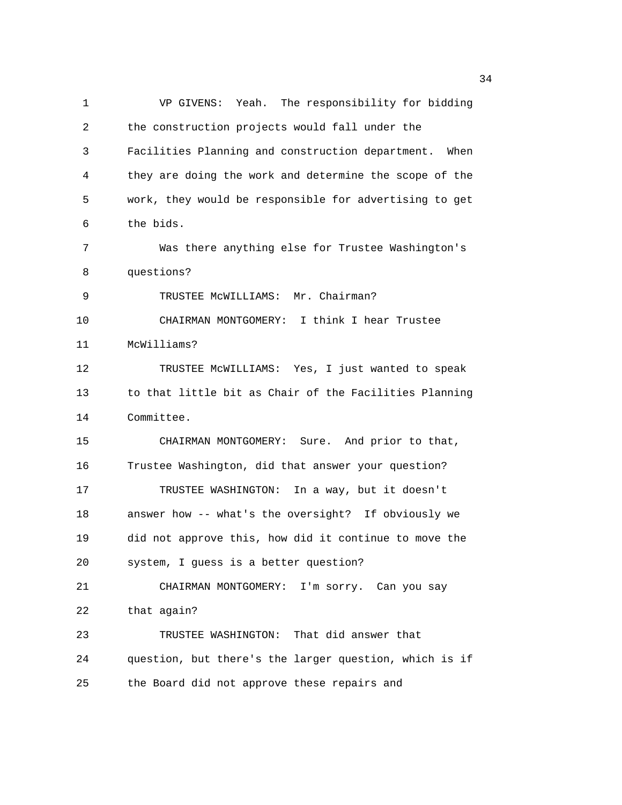1 VP GIVENS: Yeah. The responsibility for bidding 2 the construction projects would fall under the 3 Facilities Planning and construction department. When 4 they are doing the work and determine the scope of the 5 work, they would be responsible for advertising to get 6 the bids. 7 Was there anything else for Trustee Washington's 8 questions? 9 TRUSTEE MCWILLIAMS: Mr. Chairman? 10 CHAIRMAN MONTGOMERY: I think I hear Trustee 11 McWilliams? 12 TRUSTEE McWILLIAMS: Yes, I just wanted to speak 13 to that little bit as Chair of the Facilities Planning 14 Committee. 15 CHAIRMAN MONTGOMERY: Sure. And prior to that, 16 Trustee Washington, did that answer your question? 17 TRUSTEE WASHINGTON: In a way, but it doesn't 18 answer how -- what's the oversight? If obviously we 19 did not approve this, how did it continue to move the 20 system, I guess is a better question? 21 CHAIRMAN MONTGOMERY: I'm sorry. Can you say 22 that again? 23 TRUSTEE WASHINGTON: That did answer that 24 question, but there's the larger question, which is if 25 the Board did not approve these repairs and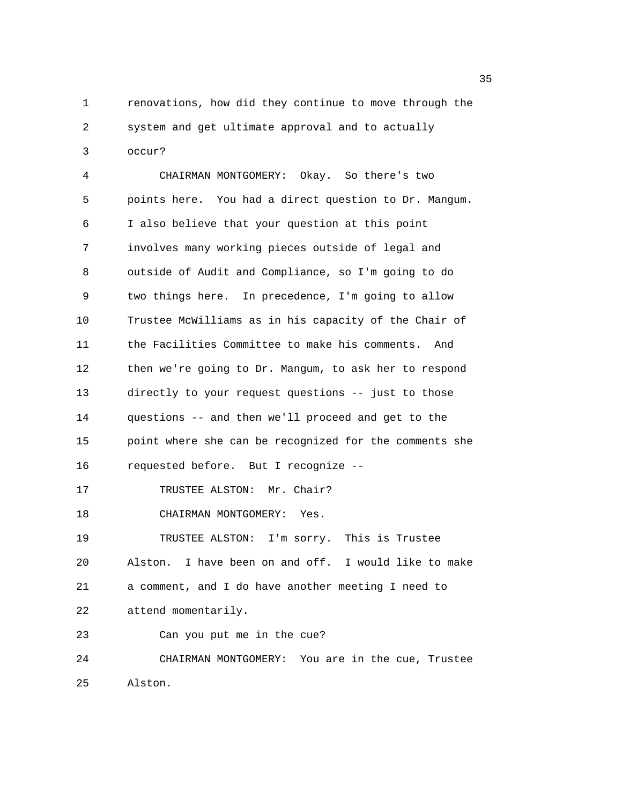1 renovations, how did they continue to move through the 2 system and get ultimate approval and to actually 3 occur?

4 CHAIRMAN MONTGOMERY: Okay. So there's two 5 points here. You had a direct question to Dr. Mangum. 6 I also believe that your question at this point 7 involves many working pieces outside of legal and 8 outside of Audit and Compliance, so I'm going to do 9 two things here. In precedence, I'm going to allow 10 Trustee McWilliams as in his capacity of the Chair of 11 the Facilities Committee to make his comments. And 12 then we're going to Dr. Mangum, to ask her to respond 13 directly to your request questions -- just to those 14 questions -- and then we'll proceed and get to the 15 point where she can be recognized for the comments she 16 requested before. But I recognize -- 17 TRUSTEE ALSTON: Mr. Chair? 18 CHAIRMAN MONTGOMERY: Yes. 19 TRUSTEE ALSTON: I'm sorry. This is Trustee 20 Alston. I have been on and off. I would like to make 21 a comment, and I do have another meeting I need to 22 attend momentarily. 23 Can you put me in the cue? 24 CHAIRMAN MONTGOMERY: You are in the cue, Trustee 25 Alston.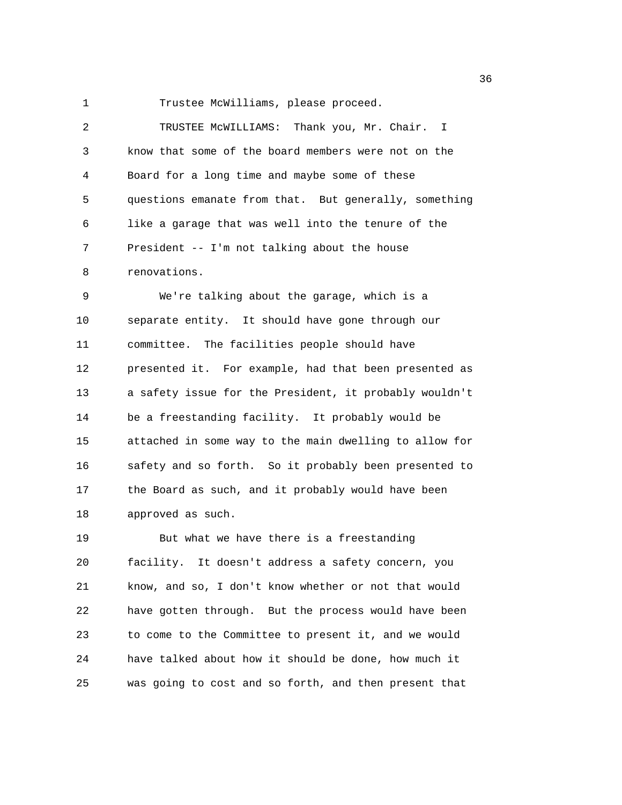1 Trustee McWilliams, please proceed.

2 TRUSTEE McWILLIAMS: Thank you, Mr. Chair. I 3 know that some of the board members were not on the 4 Board for a long time and maybe some of these 5 questions emanate from that. But generally, something 6 like a garage that was well into the tenure of the 7 President -- I'm not talking about the house 8 renovations. 9 We're talking about the garage, which is a 10 separate entity. It should have gone through our 11 committee. The facilities people should have 12 presented it. For example, had that been presented as 13 a safety issue for the President, it probably wouldn't 14 be a freestanding facility. It probably would be 15 attached in some way to the main dwelling to allow for 16 safety and so forth. So it probably been presented to 17 the Board as such, and it probably would have been 18 approved as such. 19 But what we have there is a freestanding

20 facility. It doesn't address a safety concern, you 21 know, and so, I don't know whether or not that would 22 have gotten through. But the process would have been 23 to come to the Committee to present it, and we would 24 have talked about how it should be done, how much it 25 was going to cost and so forth, and then present that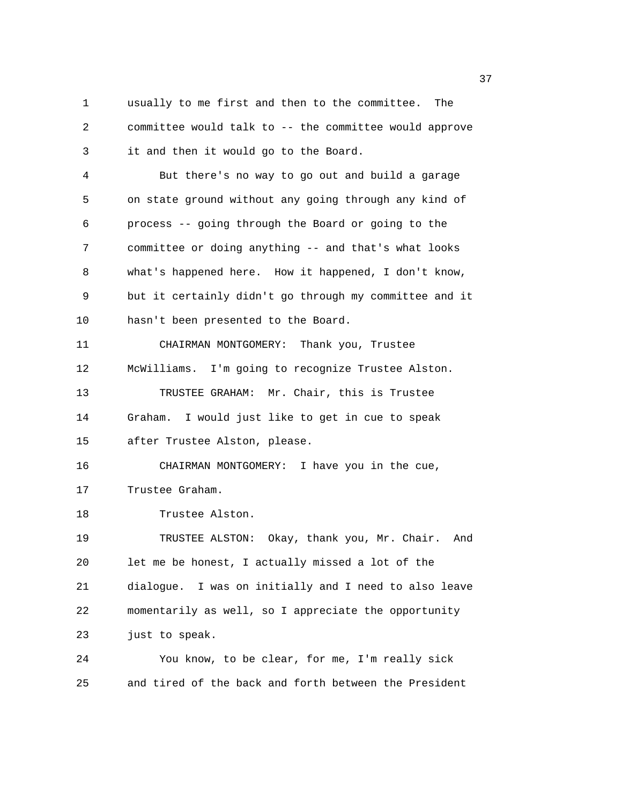1 usually to me first and then to the committee. The 2 committee would talk to -- the committee would approve 3 it and then it would go to the Board. 4 But there's no way to go out and build a garage 5 on state ground without any going through any kind of 6 process -- going through the Board or going to the 7 committee or doing anything -- and that's what looks 8 what's happened here. How it happened, I don't know, 9 but it certainly didn't go through my committee and it 10 hasn't been presented to the Board. 11 CHAIRMAN MONTGOMERY: Thank you, Trustee 12 McWilliams. I'm going to recognize Trustee Alston. 13 TRUSTEE GRAHAM: Mr. Chair, this is Trustee 14 Graham. I would just like to get in cue to speak 15 after Trustee Alston, please. 16 CHAIRMAN MONTGOMERY: I have you in the cue, 17 Trustee Graham. 18 Trustee Alston. 19 TRUSTEE ALSTON: Okay, thank you, Mr. Chair. And 20 let me be honest, I actually missed a lot of the 21 dialogue. I was on initially and I need to also leave 22 momentarily as well, so I appreciate the opportunity 23 just to speak. 24 You know, to be clear, for me, I'm really sick 25 and tired of the back and forth between the President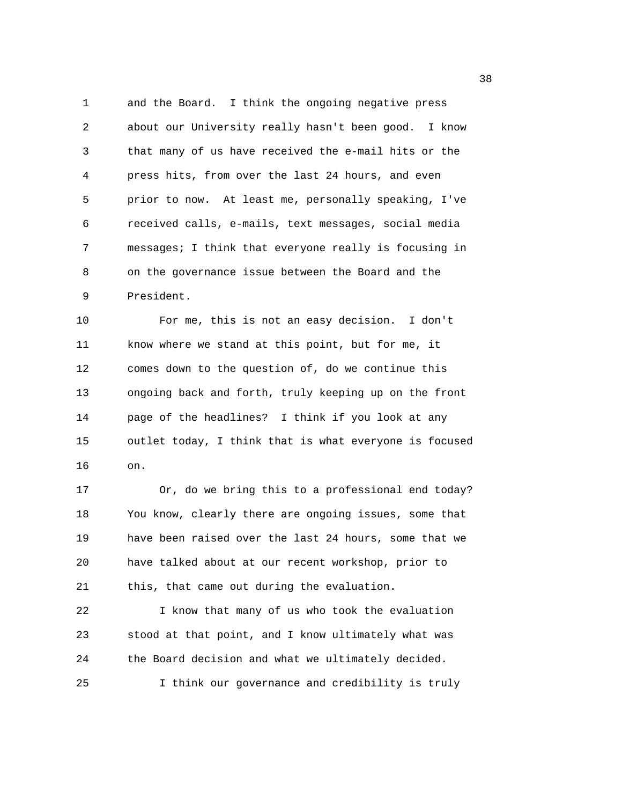1 and the Board. I think the ongoing negative press 2 about our University really hasn't been good. I know 3 that many of us have received the e-mail hits or the 4 press hits, from over the last 24 hours, and even 5 prior to now. At least me, personally speaking, I've 6 received calls, e-mails, text messages, social media 7 messages; I think that everyone really is focusing in 8 on the governance issue between the Board and the 9 President.

10 For me, this is not an easy decision. I don't 11 know where we stand at this point, but for me, it 12 comes down to the question of, do we continue this 13 ongoing back and forth, truly keeping up on the front 14 page of the headlines? I think if you look at any 15 outlet today, I think that is what everyone is focused 16 on.

17 Or, do we bring this to a professional end today? 18 You know, clearly there are ongoing issues, some that 19 have been raised over the last 24 hours, some that we 20 have talked about at our recent workshop, prior to 21 this, that came out during the evaluation.

22 I know that many of us who took the evaluation 23 stood at that point, and I know ultimately what was 24 the Board decision and what we ultimately decided. 25 I think our governance and credibility is truly

and the state of the state of the state of the state of the state of the state of the state of the state of th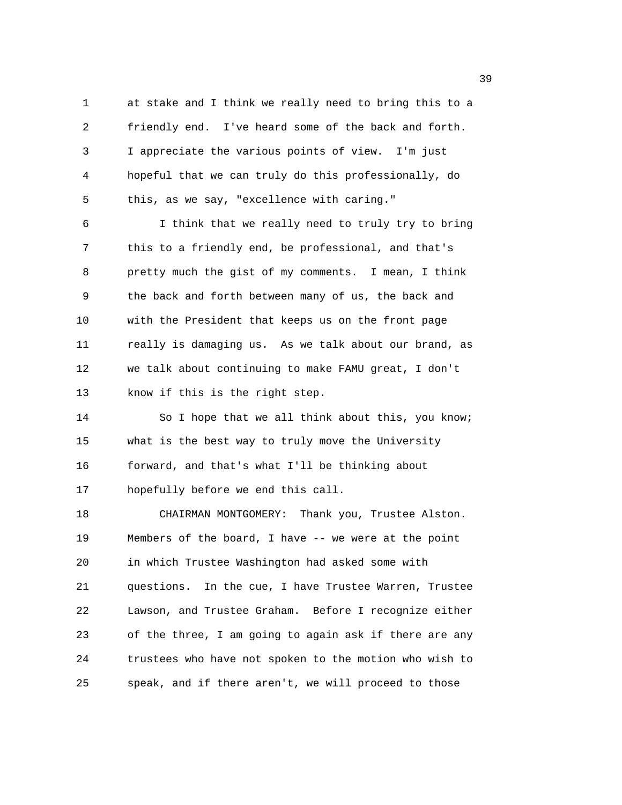1 at stake and I think we really need to bring this to a 2 friendly end. I've heard some of the back and forth. 3 I appreciate the various points of view. I'm just 4 hopeful that we can truly do this professionally, do 5 this, as we say, "excellence with caring."

6 I think that we really need to truly try to bring 7 this to a friendly end, be professional, and that's 8 pretty much the gist of my comments. I mean, I think 9 the back and forth between many of us, the back and 10 with the President that keeps us on the front page 11 really is damaging us. As we talk about our brand, as 12 we talk about continuing to make FAMU great, I don't 13 know if this is the right step.

14 So I hope that we all think about this, you know; 15 what is the best way to truly move the University 16 forward, and that's what I'll be thinking about 17 hopefully before we end this call.

18 CHAIRMAN MONTGOMERY: Thank you, Trustee Alston. 19 Members of the board, I have -- we were at the point 20 in which Trustee Washington had asked some with 21 questions. In the cue, I have Trustee Warren, Trustee 22 Lawson, and Trustee Graham. Before I recognize either 23 of the three, I am going to again ask if there are any 24 trustees who have not spoken to the motion who wish to 25 speak, and if there aren't, we will proceed to those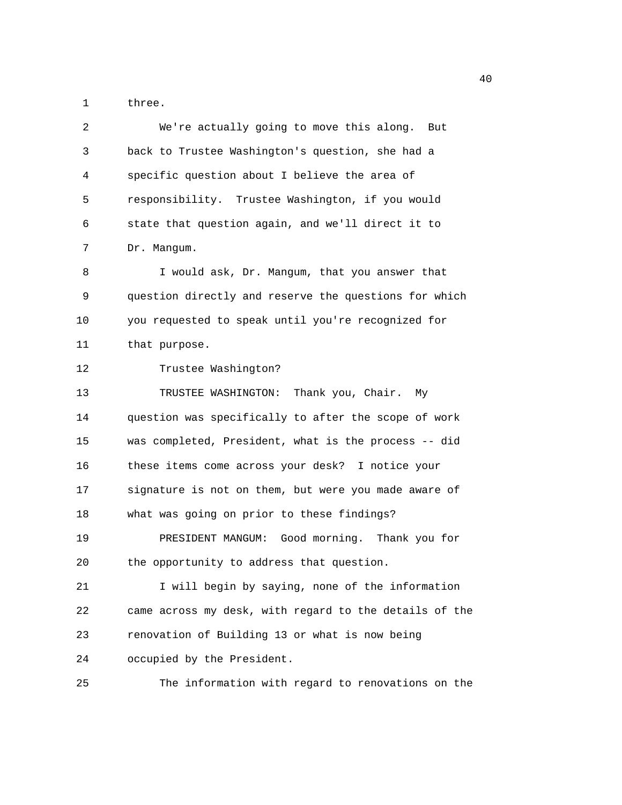1 three.

| 2  | We're actually going to move this along. But           |
|----|--------------------------------------------------------|
| 3  | back to Trustee Washington's question, she had a       |
| 4  | specific question about I believe the area of          |
| 5  | responsibility. Trustee Washington, if you would       |
| 6  | state that question again, and we'll direct it to      |
| 7  | Dr. Mangum.                                            |
| 8  | I would ask, Dr. Mangum, that you answer that          |
| 9  | question directly and reserve the questions for which  |
| 10 | you requested to speak until you're recognized for     |
| 11 | that purpose.                                          |
| 12 | Trustee Washington?                                    |
| 13 | TRUSTEE WASHINGTON: Thank you, Chair.<br>Мv            |
| 14 | question was specifically to after the scope of work   |
| 15 | was completed, President, what is the process -- did   |
| 16 | these items come across your desk? I notice your       |
| 17 | signature is not on them, but were you made aware of   |
| 18 | what was going on prior to these findings?             |
| 19 | PRESIDENT MANGUM: Good morning. Thank you for          |
| 20 | the opportunity to address that question.              |
| 21 | I will begin by saying, none of the information        |
| 22 | came across my desk, with regard to the details of the |
| 23 | renovation of Building 13 or what is now being         |
| 24 | occupied by the President.                             |
| 25 | The information with regard to renovations on the      |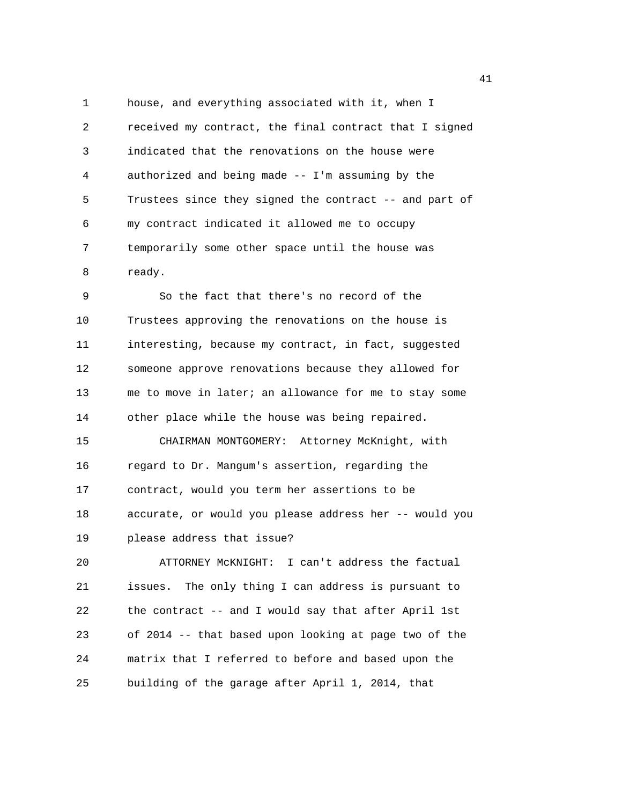1 house, and everything associated with it, when I 2 received my contract, the final contract that I signed 3 indicated that the renovations on the house were 4 authorized and being made -- I'm assuming by the 5 Trustees since they signed the contract -- and part of 6 my contract indicated it allowed me to occupy 7 temporarily some other space until the house was 8 ready.

9 So the fact that there's no record of the 10 Trustees approving the renovations on the house is 11 interesting, because my contract, in fact, suggested 12 someone approve renovations because they allowed for 13 me to move in later; an allowance for me to stay some 14 other place while the house was being repaired. 15 CHAIRMAN MONTGOMERY: Attorney McKnight, with 16 regard to Dr. Mangum's assertion, regarding the 17 contract, would you term her assertions to be 18 accurate, or would you please address her -- would you 19 please address that issue?

20 ATTORNEY McKNIGHT: I can't address the factual 21 issues. The only thing I can address is pursuant to 22 the contract -- and I would say that after April 1st 23 of 2014 -- that based upon looking at page two of the 24 matrix that I referred to before and based upon the 25 building of the garage after April 1, 2014, that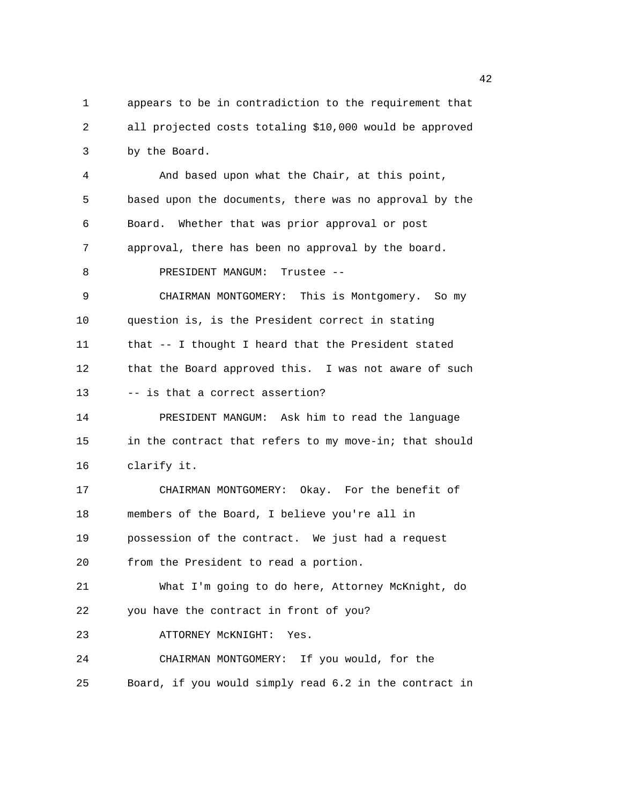1 appears to be in contradiction to the requirement that 2 all projected costs totaling \$10,000 would be approved 3 by the Board. 4 And based upon what the Chair, at this point, 5 based upon the documents, there was no approval by the 6 Board. Whether that was prior approval or post 7 approval, there has been no approval by the board. 8 PRESIDENT MANGUM: Trustee --9 CHAIRMAN MONTGOMERY: This is Montgomery. So my 10 question is, is the President correct in stating 11 that -- I thought I heard that the President stated 12 that the Board approved this. I was not aware of such 13 -- is that a correct assertion? 14 PRESIDENT MANGUM: Ask him to read the language 15 in the contract that refers to my move-in; that should 16 clarify it. 17 CHAIRMAN MONTGOMERY: Okay. For the benefit of 18 members of the Board, I believe you're all in 19 possession of the contract. We just had a request 20 from the President to read a portion. 21 What I'm going to do here, Attorney McKnight, do 22 you have the contract in front of you? 23 ATTORNEY McKNIGHT: Yes. 24 CHAIRMAN MONTGOMERY: If you would, for the 25 Board, if you would simply read 6.2 in the contract in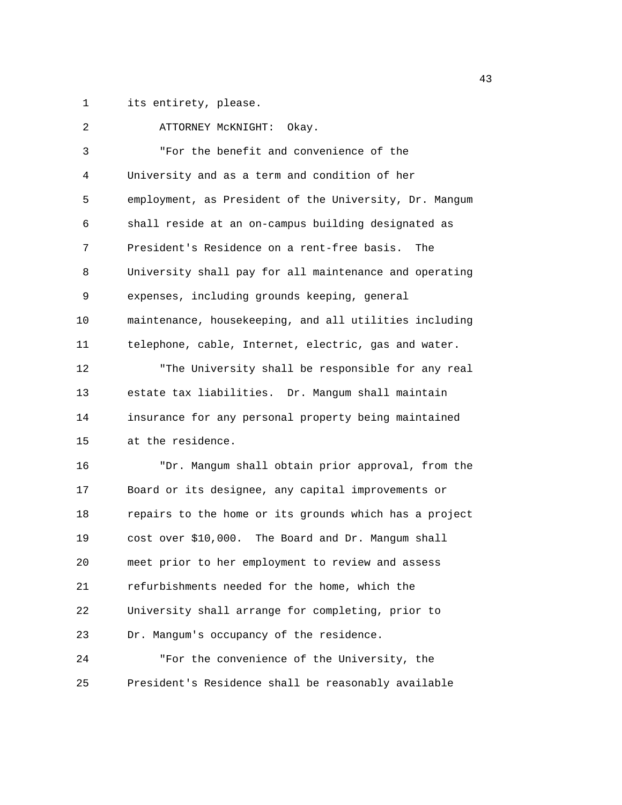1 its entirety, please.

| 2  | ATTORNEY MCKNIGHT: Okay.                               |
|----|--------------------------------------------------------|
| 3  | "For the benefit and convenience of the                |
| 4  | University and as a term and condition of her          |
| 5  | employment, as President of the University, Dr. Mangum |
| 6  | shall reside at an on-campus building designated as    |
| 7  | President's Residence on a rent-free basis. The        |
| 8  | University shall pay for all maintenance and operating |
| 9  | expenses, including grounds keeping, general           |
| 10 | maintenance, housekeeping, and all utilities including |
| 11 | telephone, cable, Internet, electric, gas and water.   |
| 12 | "The University shall be responsible for any real      |
| 13 | estate tax liabilities. Dr. Mangum shall maintain      |
| 14 | insurance for any personal property being maintained   |
| 15 | at the residence.                                      |
| 16 | "Dr. Mangum shall obtain prior approval, from the      |
| 17 | Board or its designee, any capital improvements or     |
| 18 | repairs to the home or its grounds which has a project |
| 19 | cost over \$10,000. The Board and Dr. Mangum shall     |
| 20 | meet prior to her employment to review and assess      |
| 21 | refurbishments needed for the home, which the          |
| 22 | University shall arrange for completing, prior to      |
| 23 | Dr. Mangum's occupancy of the residence.               |
| 24 | "For the convenience of the University, the            |
| 25 | President's Residence shall be reasonably available    |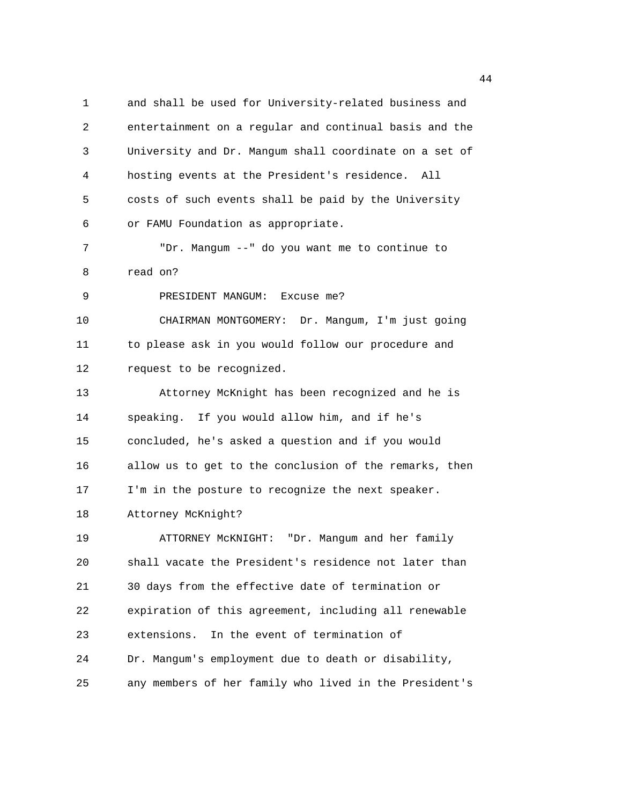1 and shall be used for University-related business and 2 entertainment on a regular and continual basis and the 3 University and Dr. Mangum shall coordinate on a set of 4 hosting events at the President's residence. All 5 costs of such events shall be paid by the University 6 or FAMU Foundation as appropriate. 7 "Dr. Mangum --" do you want me to continue to 8 read on? 9 PRESIDENT MANGUM: Excuse me? 10 CHAIRMAN MONTGOMERY: Dr. Mangum, I'm just going 11 to please ask in you would follow our procedure and 12 request to be recognized. 13 Attorney McKnight has been recognized and he is 14 speaking. If you would allow him, and if he's 15 concluded, he's asked a question and if you would 16 allow us to get to the conclusion of the remarks, then 17 I'm in the posture to recognize the next speaker. 18 Attorney McKnight? 19 ATTORNEY McKNIGHT: "Dr. Mangum and her family 20 shall vacate the President's residence not later than 21 30 days from the effective date of termination or 22 expiration of this agreement, including all renewable 23 extensions. In the event of termination of 24 Dr. Mangum's employment due to death or disability, 25 any members of her family who lived in the President's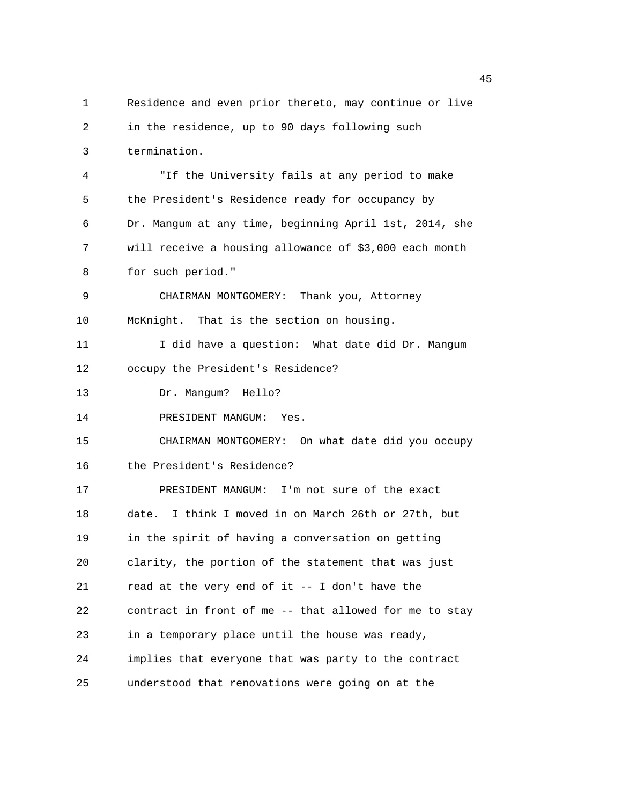1 Residence and even prior thereto, may continue or live 2 in the residence, up to 90 days following such 3 termination. 4 "If the University fails at any period to make 5 the President's Residence ready for occupancy by 6 Dr. Mangum at any time, beginning April 1st, 2014, she 7 will receive a housing allowance of \$3,000 each month 8 for such period." 9 CHAIRMAN MONTGOMERY: Thank you, Attorney 10 McKnight. That is the section on housing. 11 I did have a question: What date did Dr. Mangum 12 occupy the President's Residence? 13 Dr. Mangum? Hello? 14 PRESIDENT MANGUM: Yes. 15 CHAIRMAN MONTGOMERY: On what date did you occupy 16 the President's Residence? 17 PRESIDENT MANGUM: I'm not sure of the exact 18 date. I think I moved in on March 26th or 27th, but 19 in the spirit of having a conversation on getting 20 clarity, the portion of the statement that was just 21 read at the very end of it -- I don't have the 22 contract in front of me -- that allowed for me to stay 23 in a temporary place until the house was ready, 24 implies that everyone that was party to the contract 25 understood that renovations were going on at the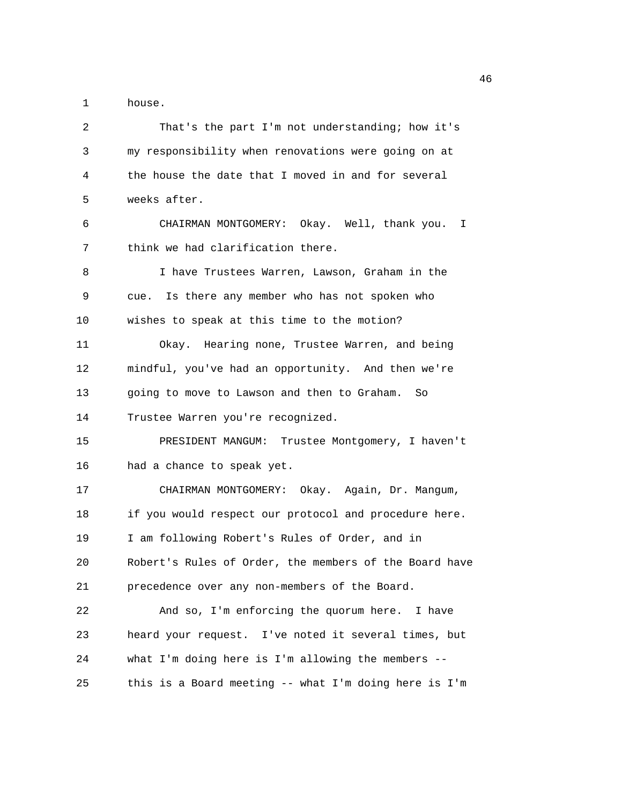1 house.

| 2  | That's the part I'm not understanding; how it's        |
|----|--------------------------------------------------------|
| 3  | my responsibility when renovations were going on at    |
| 4  | the house the date that I moved in and for several     |
| 5  | weeks after.                                           |
| 6  | CHAIRMAN MONTGOMERY: Okay. Well, thank you.<br>I       |
| 7  | think we had clarification there.                      |
| 8  | I have Trustees Warren, Lawson, Graham in the          |
| 9  | Is there any member who has not spoken who<br>cue.     |
| 10 | wishes to speak at this time to the motion?            |
| 11 | Okay. Hearing none, Trustee Warren, and being          |
| 12 | mindful, you've had an opportunity. And then we're     |
| 13 | going to move to Lawson and then to Graham.<br>So      |
| 14 | Trustee Warren you're recognized.                      |
| 15 | PRESIDENT MANGUM: Trustee Montgomery, I haven't        |
| 16 | had a chance to speak yet.                             |
| 17 | CHAIRMAN MONTGOMERY: Okay. Again, Dr. Mangum,          |
| 18 | if you would respect our protocol and procedure here.  |
| 19 | I am following Robert's Rules of Order, and in         |
| 20 | Robert's Rules of Order, the members of the Board have |
| 21 | precedence over any non-members of the Board.          |
| 22 | And so, I'm enforcing the quorum here. I have          |
| 23 | heard your request. I've noted it several times, but   |
| 24 | what I'm doing here is I'm allowing the members --     |
| 25 | this is a Board meeting -- what I'm doing here is I'm  |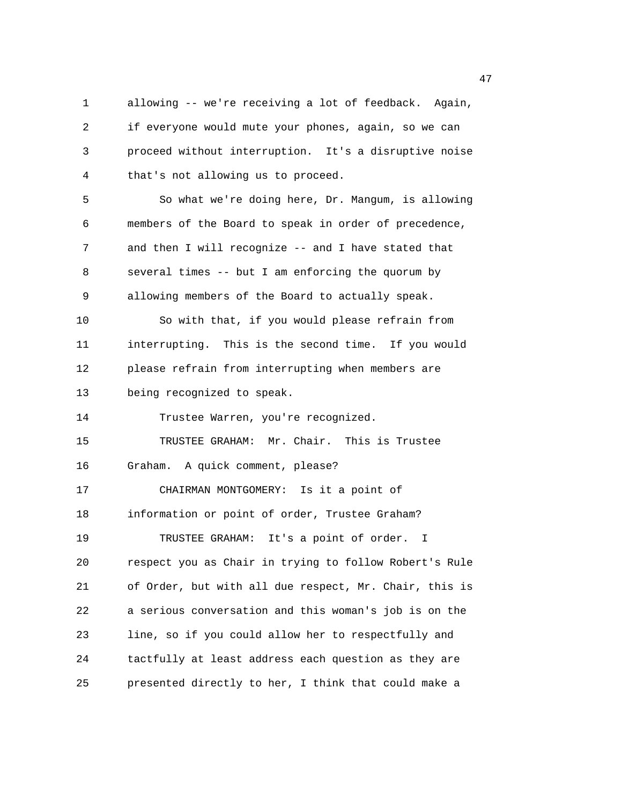1 allowing -- we're receiving a lot of feedback. Again, 2 if everyone would mute your phones, again, so we can 3 proceed without interruption. It's a disruptive noise 4 that's not allowing us to proceed. 5 So what we're doing here, Dr. Mangum, is allowing 6 members of the Board to speak in order of precedence, 7 and then I will recognize -- and I have stated that 8 several times -- but I am enforcing the quorum by 9 allowing members of the Board to actually speak. 10 So with that, if you would please refrain from 11 interrupting. This is the second time. If you would 12 please refrain from interrupting when members are 13 being recognized to speak. 14 Trustee Warren, you're recognized. 15 TRUSTEE GRAHAM: Mr. Chair. This is Trustee 16 Graham. A quick comment, please? 17 CHAIRMAN MONTGOMERY: Is it a point of 18 information or point of order, Trustee Graham? 19 TRUSTEE GRAHAM: It's a point of order. I 20 respect you as Chair in trying to follow Robert's Rule 21 of Order, but with all due respect, Mr. Chair, this is 22 a serious conversation and this woman's job is on the 23 line, so if you could allow her to respectfully and 24 tactfully at least address each question as they are 25 presented directly to her, I think that could make a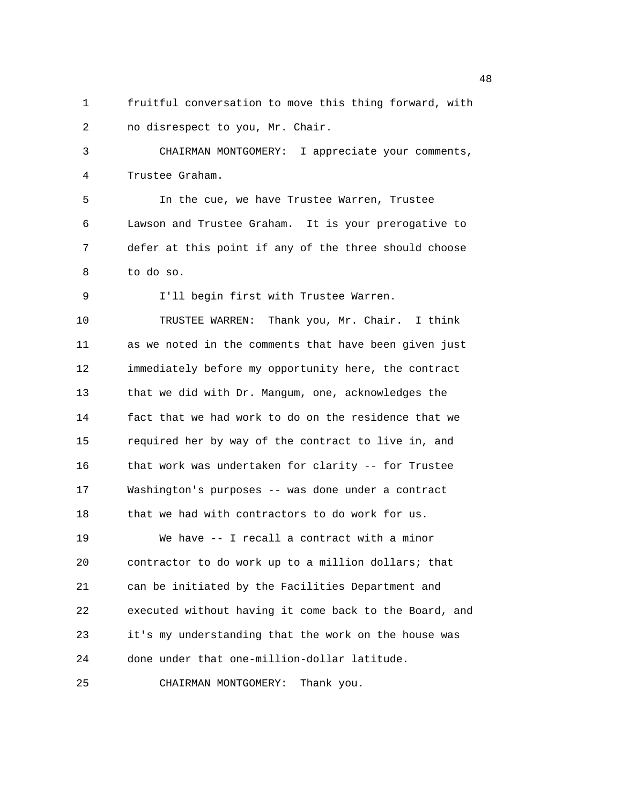1 fruitful conversation to move this thing forward, with 2 no disrespect to you, Mr. Chair.

3 CHAIRMAN MONTGOMERY: I appreciate your comments, 4 Trustee Graham.

5 In the cue, we have Trustee Warren, Trustee 6 Lawson and Trustee Graham. It is your prerogative to 7 defer at this point if any of the three should choose 8 to do so.

9 I'll begin first with Trustee Warren.

10 TRUSTEE WARREN: Thank you, Mr. Chair. I think 11 as we noted in the comments that have been given just 12 immediately before my opportunity here, the contract 13 that we did with Dr. Mangum, one, acknowledges the 14 fact that we had work to do on the residence that we 15 required her by way of the contract to live in, and 16 that work was undertaken for clarity -- for Trustee 17 Washington's purposes -- was done under a contract 18 that we had with contractors to do work for us. 19 We have -- I recall a contract with a minor 20 contractor to do work up to a million dollars; that 21 can be initiated by the Facilities Department and 22 executed without having it come back to the Board, and 23 it's my understanding that the work on the house was 24 done under that one-million-dollar latitude.

25 CHAIRMAN MONTGOMERY: Thank you.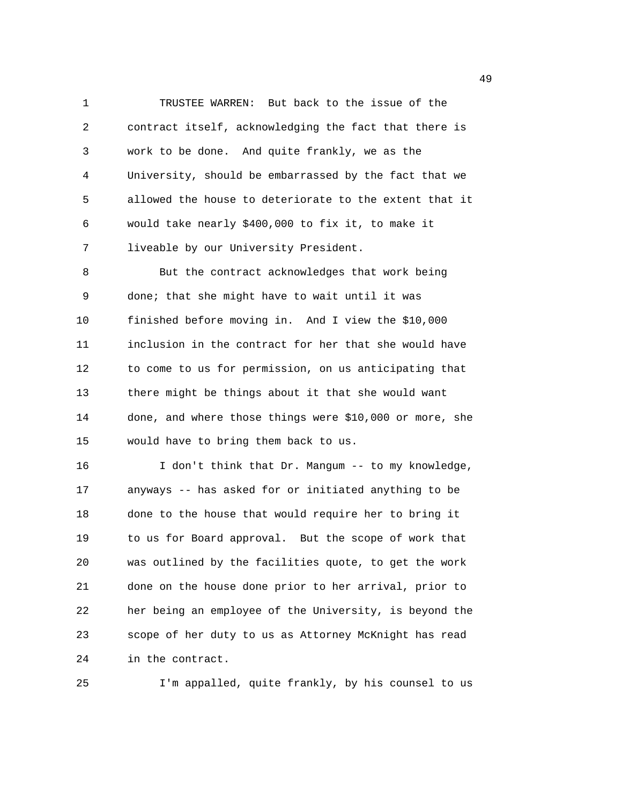1 TRUSTEE WARREN: But back to the issue of the 2 contract itself, acknowledging the fact that there is 3 work to be done. And quite frankly, we as the 4 University, should be embarrassed by the fact that we 5 allowed the house to deteriorate to the extent that it 6 would take nearly \$400,000 to fix it, to make it 7 liveable by our University President.

8 But the contract acknowledges that work being 9 done; that she might have to wait until it was 10 finished before moving in. And I view the \$10,000 11 inclusion in the contract for her that she would have 12 to come to us for permission, on us anticipating that 13 there might be things about it that she would want 14 done, and where those things were \$10,000 or more, she 15 would have to bring them back to us.

16 I don't think that Dr. Mangum -- to my knowledge, 17 anyways -- has asked for or initiated anything to be 18 done to the house that would require her to bring it 19 to us for Board approval. But the scope of work that 20 was outlined by the facilities quote, to get the work 21 done on the house done prior to her arrival, prior to 22 her being an employee of the University, is beyond the 23 scope of her duty to us as Attorney McKnight has read 24 in the contract.

25 I'm appalled, quite frankly, by his counsel to us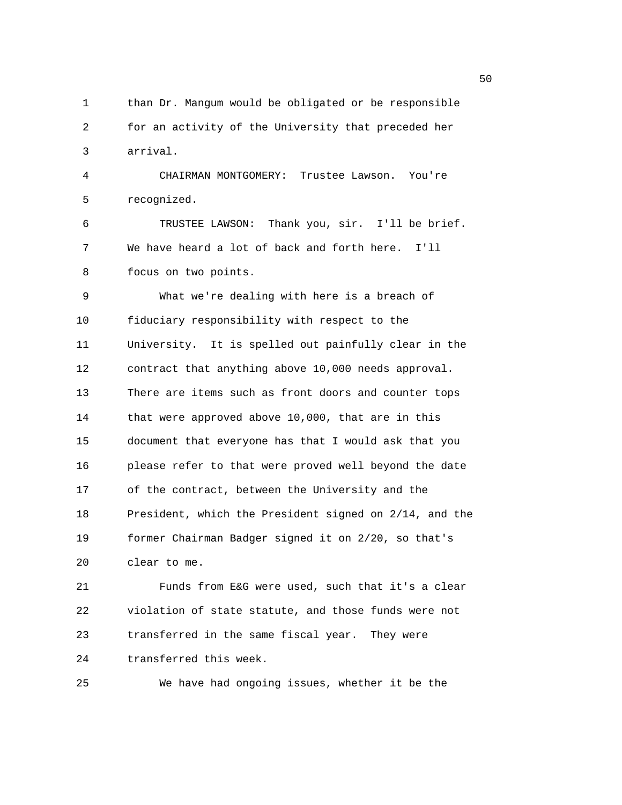1 than Dr. Mangum would be obligated or be responsible 2 for an activity of the University that preceded her 3 arrival. 4 CHAIRMAN MONTGOMERY: Trustee Lawson. You're 5 recognized. 6 TRUSTEE LAWSON: Thank you, sir. I'll be brief. 7 We have heard a lot of back and forth here. I'll 8 focus on two points. 9 What we're dealing with here is a breach of 10 fiduciary responsibility with respect to the 11 University. It is spelled out painfully clear in the 12 contract that anything above 10,000 needs approval. 13 There are items such as front doors and counter tops 14 that were approved above 10,000, that are in this 15 document that everyone has that I would ask that you 16 please refer to that were proved well beyond the date 17 of the contract, between the University and the 18 President, which the President signed on 2/14, and the 19 former Chairman Badger signed it on 2/20, so that's 20 clear to me. 21 Funds from E&G were used, such that it's a clear 22 violation of state statute, and those funds were not

24 transferred this week.

25 We have had ongoing issues, whether it be the

23 transferred in the same fiscal year. They were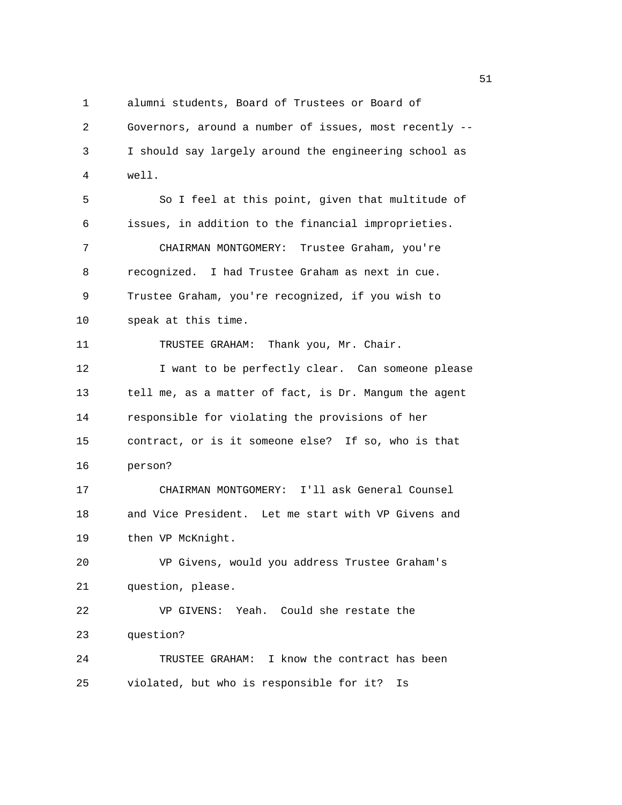1 alumni students, Board of Trustees or Board of 2 Governors, around a number of issues, most recently -- 3 I should say largely around the engineering school as 4 well. 5 So I feel at this point, given that multitude of 6 issues, in addition to the financial improprieties. 7 CHAIRMAN MONTGOMERY: Trustee Graham, you're 8 recognized. I had Trustee Graham as next in cue. 9 Trustee Graham, you're recognized, if you wish to 10 speak at this time. 11 TRUSTEE GRAHAM: Thank you, Mr. Chair. 12 12 I want to be perfectly clear. Can someone please 13 tell me, as a matter of fact, is Dr. Mangum the agent 14 responsible for violating the provisions of her 15 contract, or is it someone else? If so, who is that 16 person? 17 CHAIRMAN MONTGOMERY: I'll ask General Counsel 18 and Vice President. Let me start with VP Givens and 19 then VP McKnight. 20 VP Givens, would you address Trustee Graham's 21 question, please. 22 VP GIVENS: Yeah. Could she restate the 23 question? 24 TRUSTEE GRAHAM: I know the contract has been 25 violated, but who is responsible for it? Is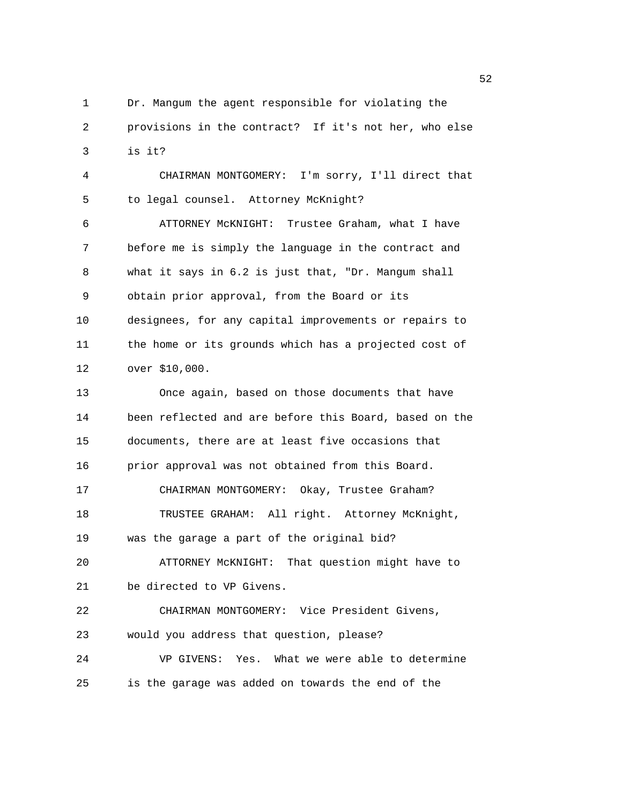1 Dr. Mangum the agent responsible for violating the 2 provisions in the contract? If it's not her, who else 3 is it?

4 CHAIRMAN MONTGOMERY: I'm sorry, I'll direct that 5 to legal counsel. Attorney McKnight? 6 ATTORNEY McKNIGHT: Trustee Graham, what I have 7 before me is simply the language in the contract and 8 what it says in 6.2 is just that, "Dr. Mangum shall 9 obtain prior approval, from the Board or its 10 designees, for any capital improvements or repairs to 11 the home or its grounds which has a projected cost of

12 over \$10,000.

13 Once again, based on those documents that have 14 been reflected and are before this Board, based on the 15 documents, there are at least five occasions that 16 prior approval was not obtained from this Board. 17 CHAIRMAN MONTGOMERY: Okay, Trustee Graham? 18 TRUSTEE GRAHAM: All right. Attorney McKnight, 19 was the garage a part of the original bid?

20 ATTORNEY McKNIGHT: That question might have to 21 be directed to VP Givens.

22 CHAIRMAN MONTGOMERY: Vice President Givens, 23 would you address that question, please? 24 VP GIVENS: Yes. What we were able to determine

25 is the garage was added on towards the end of the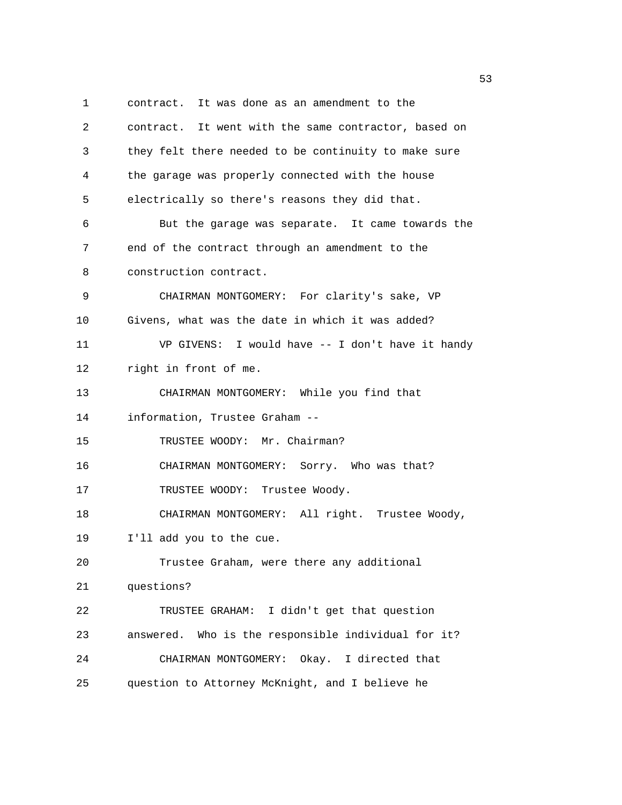1 contract. It was done as an amendment to the 2 contract. It went with the same contractor, based on 3 they felt there needed to be continuity to make sure 4 the garage was properly connected with the house 5 electrically so there's reasons they did that. 6 But the garage was separate. It came towards the 7 end of the contract through an amendment to the 8 construction contract. 9 CHAIRMAN MONTGOMERY: For clarity's sake, VP 10 Givens, what was the date in which it was added? 11 VP GIVENS: I would have -- I don't have it handy 12 right in front of me. 13 CHAIRMAN MONTGOMERY: While you find that 14 information, Trustee Graham -- 15 TRUSTEE WOODY: Mr. Chairman? 16 CHAIRMAN MONTGOMERY: Sorry. Who was that? 17 TRUSTEE WOODY: Trustee Woody. 18 CHAIRMAN MONTGOMERY: All right. Trustee Woody, 19 I'll add you to the cue. 20 Trustee Graham, were there any additional 21 questions? 22 TRUSTEE GRAHAM: I didn't get that question 23 answered. Who is the responsible individual for it? 24 CHAIRMAN MONTGOMERY: Okay. I directed that 25 question to Attorney McKnight, and I believe he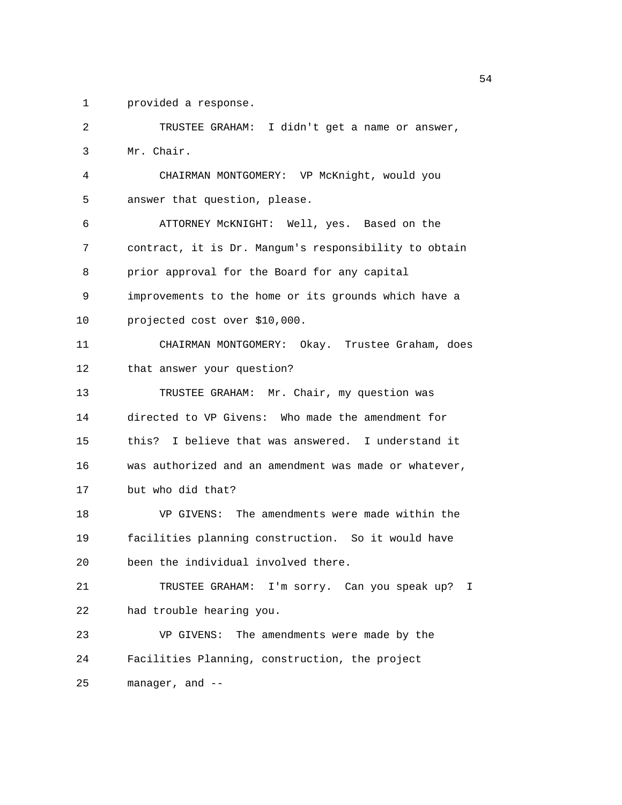1 provided a response.

2 TRUSTEE GRAHAM: I didn't get a name or answer, 3 Mr. Chair. 4 CHAIRMAN MONTGOMERY: VP McKnight, would you 5 answer that question, please. 6 ATTORNEY McKNIGHT: Well, yes. Based on the 7 contract, it is Dr. Mangum's responsibility to obtain 8 prior approval for the Board for any capital 9 improvements to the home or its grounds which have a 10 projected cost over \$10,000. 11 CHAIRMAN MONTGOMERY: Okay. Trustee Graham, does 12 that answer your question? 13 TRUSTEE GRAHAM: Mr. Chair, my question was 14 directed to VP Givens: Who made the amendment for 15 this? I believe that was answered. I understand it 16 was authorized and an amendment was made or whatever, 17 but who did that? 18 VP GIVENS: The amendments were made within the 19 facilities planning construction. So it would have 20 been the individual involved there. 21 TRUSTEE GRAHAM: I'm sorry. Can you speak up? I 22 had trouble hearing you. 23 VP GIVENS: The amendments were made by the 24 Facilities Planning, construction, the project 25 manager, and --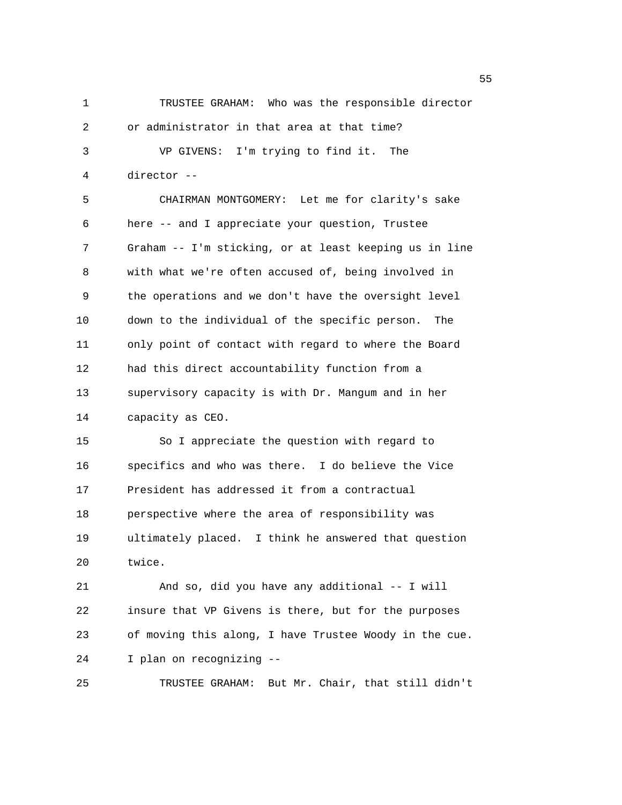1 TRUSTEE GRAHAM: Who was the responsible director 2 or administrator in that area at that time? 3 VP GIVENS: I'm trying to find it. The 4 director -- 5 CHAIRMAN MONTGOMERY: Let me for clarity's sake 6 here -- and I appreciate your question, Trustee 7 Graham -- I'm sticking, or at least keeping us in line 8 with what we're often accused of, being involved in 9 the operations and we don't have the oversight level 10 down to the individual of the specific person. The 11 only point of contact with regard to where the Board 12 had this direct accountability function from a 13 supervisory capacity is with Dr. Mangum and in her 14 capacity as CEO. 15 So I appreciate the question with regard to 16 specifics and who was there. I do believe the Vice 17 President has addressed it from a contractual 18 perspective where the area of responsibility was 19 ultimately placed. I think he answered that question 20 twice. 21 And so, did you have any additional -- I will 22 insure that VP Givens is there, but for the purposes 23 of moving this along, I have Trustee Woody in the cue. 24 I plan on recognizing --

25 TRUSTEE GRAHAM: But Mr. Chair, that still didn't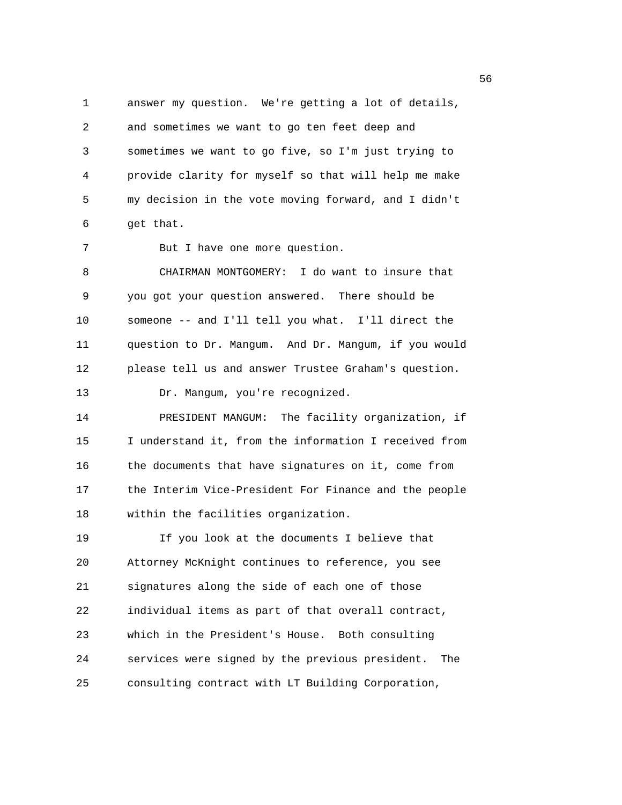1 answer my question. We're getting a lot of details, 2 and sometimes we want to go ten feet deep and 3 sometimes we want to go five, so I'm just trying to 4 provide clarity for myself so that will help me make 5 my decision in the vote moving forward, and I didn't 6 get that.

7 But I have one more question.

8 CHAIRMAN MONTGOMERY: I do want to insure that 9 you got your question answered. There should be 10 someone -- and I'll tell you what. I'll direct the 11 question to Dr. Mangum. And Dr. Mangum, if you would 12 please tell us and answer Trustee Graham's question. 13 Dr. Mangum, you're recognized.

14 PRESIDENT MANGUM: The facility organization, if 15 I understand it, from the information I received from 16 the documents that have signatures on it, come from 17 the Interim Vice-President For Finance and the people 18 within the facilities organization.

19 If you look at the documents I believe that 20 Attorney McKnight continues to reference, you see 21 signatures along the side of each one of those 22 individual items as part of that overall contract, 23 which in the President's House. Both consulting 24 services were signed by the previous president. The 25 consulting contract with LT Building Corporation,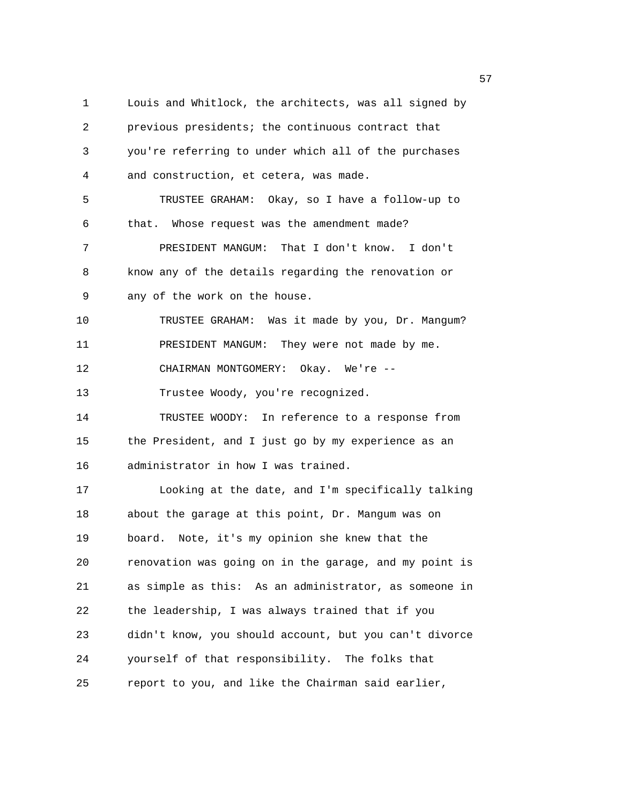1 Louis and Whitlock, the architects, was all signed by 2 previous presidents; the continuous contract that 3 you're referring to under which all of the purchases 4 and construction, et cetera, was made. 5 TRUSTEE GRAHAM: Okay, so I have a follow-up to 6 that. Whose request was the amendment made? 7 PRESIDENT MANGUM: That I don't know. I don't 8 know any of the details regarding the renovation or 9 any of the work on the house. 10 TRUSTEE GRAHAM: Was it made by you, Dr. Mangum? 11 PRESIDENT MANGUM: They were not made by me. 12 CHAIRMAN MONTGOMERY: Okay. We're -- 13 Trustee Woody, you're recognized. 14 TRUSTEE WOODY: In reference to a response from 15 the President, and I just go by my experience as an 16 administrator in how I was trained. 17 Looking at the date, and I'm specifically talking 18 about the garage at this point, Dr. Mangum was on 19 board. Note, it's my opinion she knew that the 20 renovation was going on in the garage, and my point is 21 as simple as this: As an administrator, as someone in 22 the leadership, I was always trained that if you 23 didn't know, you should account, but you can't divorce 24 yourself of that responsibility. The folks that 25 report to you, and like the Chairman said earlier,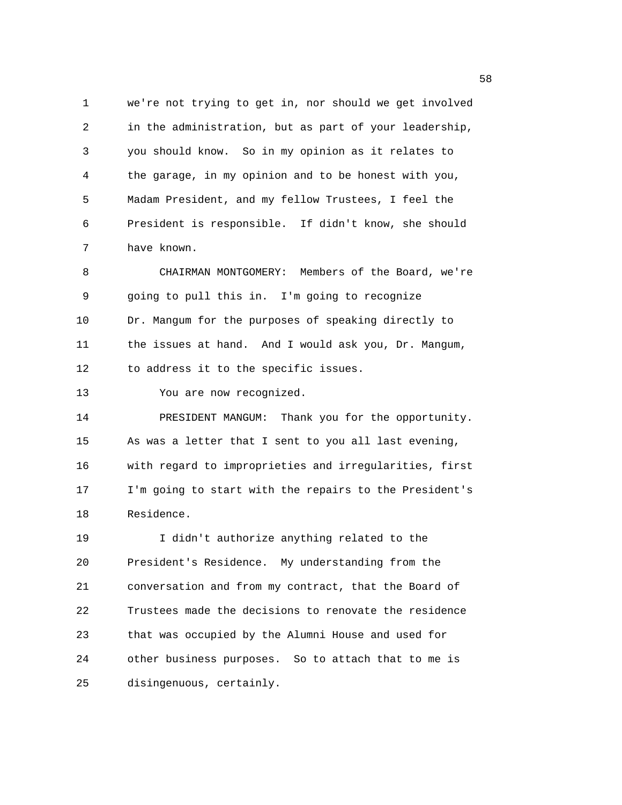1 we're not trying to get in, nor should we get involved 2 in the administration, but as part of your leadership, 3 you should know. So in my opinion as it relates to 4 the garage, in my opinion and to be honest with you, 5 Madam President, and my fellow Trustees, I feel the 6 President is responsible. If didn't know, she should 7 have known.

8 CHAIRMAN MONTGOMERY: Members of the Board, we're 9 going to pull this in. I'm going to recognize 10 Dr. Mangum for the purposes of speaking directly to 11 the issues at hand. And I would ask you, Dr. Mangum, 12 to address it to the specific issues.

13 You are now recognized.

14 PRESIDENT MANGUM: Thank you for the opportunity. 15 As was a letter that I sent to you all last evening, 16 with regard to improprieties and irregularities, first 17 I'm going to start with the repairs to the President's 18 Residence.

19 I didn't authorize anything related to the 20 President's Residence. My understanding from the 21 conversation and from my contract, that the Board of 22 Trustees made the decisions to renovate the residence 23 that was occupied by the Alumni House and used for 24 other business purposes. So to attach that to me is 25 disingenuous, certainly.

the contract of the contract of the contract of the contract of the contract of the contract of the contract o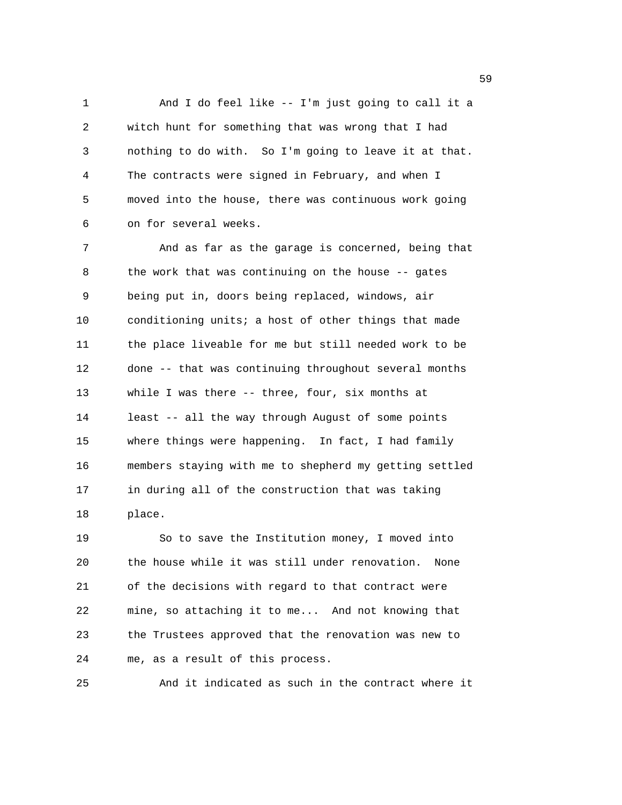1 And I do feel like -- I'm just going to call it a 2 witch hunt for something that was wrong that I had 3 nothing to do with. So I'm going to leave it at that. 4 The contracts were signed in February, and when I 5 moved into the house, there was continuous work going 6 on for several weeks.

7 And as far as the garage is concerned, being that 8 the work that was continuing on the house -- gates 9 being put in, doors being replaced, windows, air 10 conditioning units; a host of other things that made 11 the place liveable for me but still needed work to be 12 done -- that was continuing throughout several months 13 while I was there -- three, four, six months at 14 least -- all the way through August of some points 15 where things were happening. In fact, I had family 16 members staying with me to shepherd my getting settled 17 in during all of the construction that was taking 18 place.

19 So to save the Institution money, I moved into 20 the house while it was still under renovation. None 21 of the decisions with regard to that contract were 22 mine, so attaching it to me... And not knowing that 23 the Trustees approved that the renovation was new to 24 me, as a result of this process.

25 And it indicated as such in the contract where it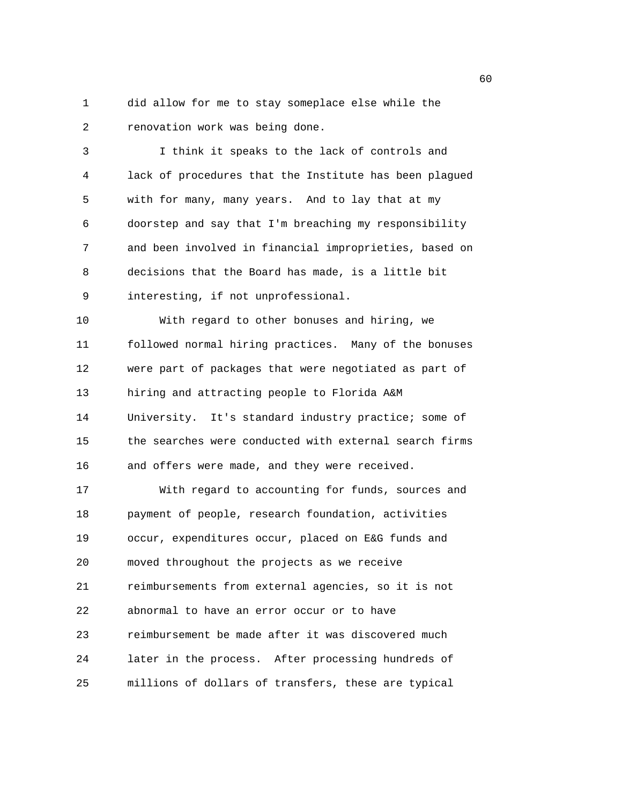1 did allow for me to stay someplace else while the 2 renovation work was being done.

3 I think it speaks to the lack of controls and 4 lack of procedures that the Institute has been plagued 5 with for many, many years. And to lay that at my 6 doorstep and say that I'm breaching my responsibility 7 and been involved in financial improprieties, based on 8 decisions that the Board has made, is a little bit 9 interesting, if not unprofessional.

10 With regard to other bonuses and hiring, we 11 followed normal hiring practices. Many of the bonuses 12 were part of packages that were negotiated as part of 13 hiring and attracting people to Florida A&M 14 University. It's standard industry practice; some of 15 the searches were conducted with external search firms 16 and offers were made, and they were received.

17 With regard to accounting for funds, sources and 18 payment of people, research foundation, activities 19 occur, expenditures occur, placed on E&G funds and 20 moved throughout the projects as we receive 21 reimbursements from external agencies, so it is not 22 abnormal to have an error occur or to have 23 reimbursement be made after it was discovered much 24 later in the process. After processing hundreds of 25 millions of dollars of transfers, these are typical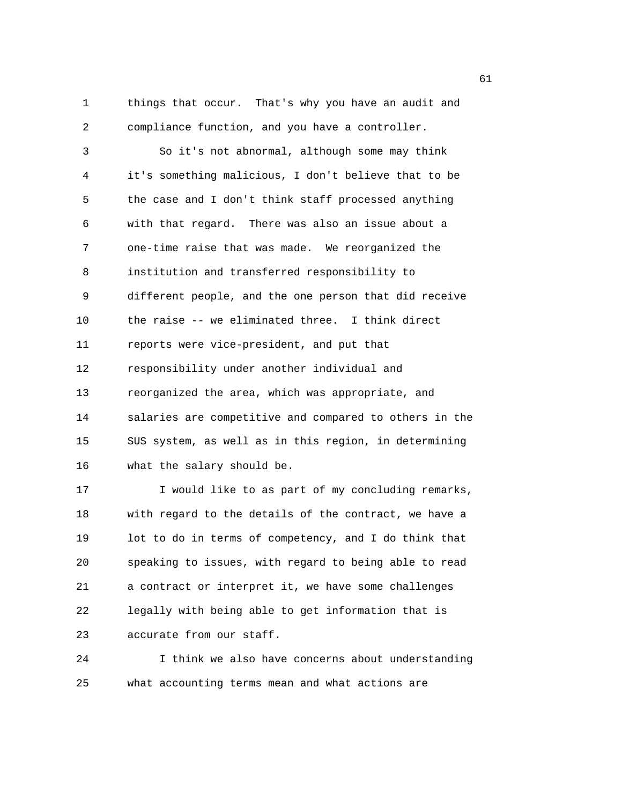1 things that occur. That's why you have an audit and 2 compliance function, and you have a controller.

3 So it's not abnormal, although some may think 4 it's something malicious, I don't believe that to be 5 the case and I don't think staff processed anything 6 with that regard. There was also an issue about a 7 one-time raise that was made. We reorganized the 8 institution and transferred responsibility to 9 different people, and the one person that did receive 10 the raise -- we eliminated three. I think direct 11 reports were vice-president, and put that 12 responsibility under another individual and 13 reorganized the area, which was appropriate, and 14 salaries are competitive and compared to others in the 15 SUS system, as well as in this region, in determining 16 what the salary should be.

17 I would like to as part of my concluding remarks, 18 with regard to the details of the contract, we have a 19 lot to do in terms of competency, and I do think that 20 speaking to issues, with regard to being able to read 21 a contract or interpret it, we have some challenges 22 legally with being able to get information that is 23 accurate from our staff.

24 I think we also have concerns about understanding 25 what accounting terms mean and what actions are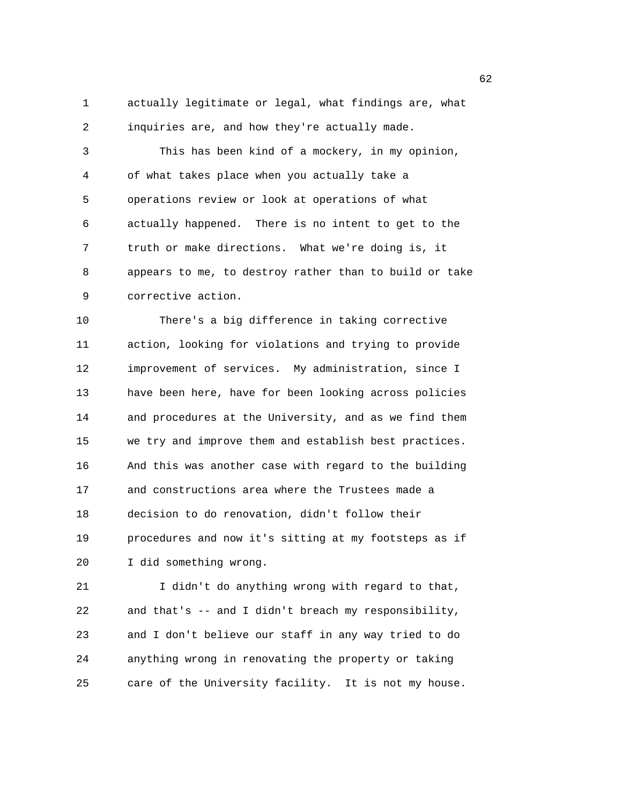1 actually legitimate or legal, what findings are, what 2 inquiries are, and how they're actually made.

3 This has been kind of a mockery, in my opinion, 4 of what takes place when you actually take a 5 operations review or look at operations of what 6 actually happened. There is no intent to get to the 7 truth or make directions. What we're doing is, it 8 appears to me, to destroy rather than to build or take 9 corrective action.

10 There's a big difference in taking corrective 11 action, looking for violations and trying to provide 12 improvement of services. My administration, since I 13 have been here, have for been looking across policies 14 and procedures at the University, and as we find them 15 we try and improve them and establish best practices. 16 And this was another case with regard to the building 17 and constructions area where the Trustees made a 18 decision to do renovation, didn't follow their 19 procedures and now it's sitting at my footsteps as if 20 I did something wrong.

21 I didn't do anything wrong with regard to that, 22 and that's -- and I didn't breach my responsibility, 23 and I don't believe our staff in any way tried to do 24 anything wrong in renovating the property or taking 25 care of the University facility. It is not my house.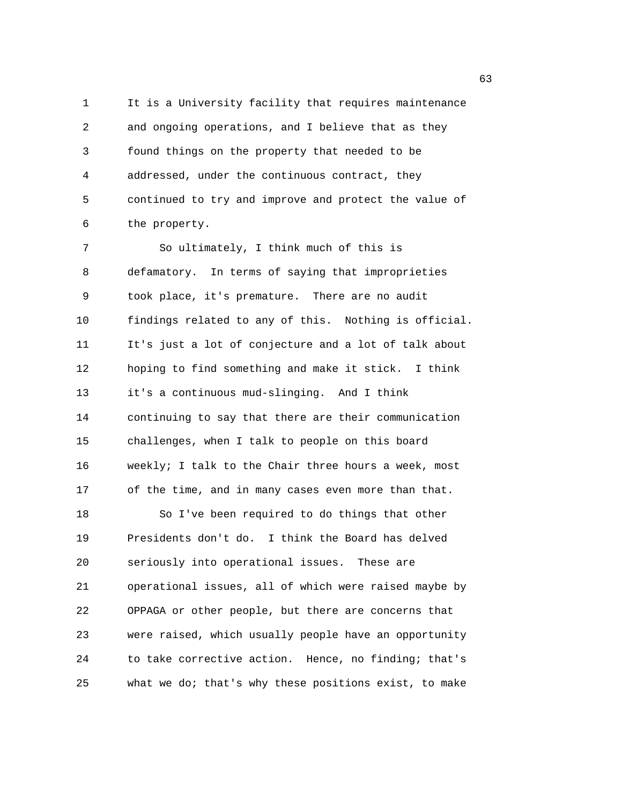1 It is a University facility that requires maintenance 2 and ongoing operations, and I believe that as they 3 found things on the property that needed to be 4 addressed, under the continuous contract, they 5 continued to try and improve and protect the value of 6 the property.

7 So ultimately, I think much of this is 8 defamatory. In terms of saying that improprieties 9 took place, it's premature. There are no audit 10 findings related to any of this. Nothing is official. 11 It's just a lot of conjecture and a lot of talk about 12 hoping to find something and make it stick. I think 13 it's a continuous mud-slinging. And I think 14 continuing to say that there are their communication 15 challenges, when I talk to people on this board 16 weekly; I talk to the Chair three hours a week, most 17 of the time, and in many cases even more than that. 18 So I've been required to do things that other 19 Presidents don't do. I think the Board has delved 20 seriously into operational issues. These are 21 operational issues, all of which were raised maybe by 22 OPPAGA or other people, but there are concerns that 23 were raised, which usually people have an opportunity 24 to take corrective action. Hence, no finding; that's 25 what we do; that's why these positions exist, to make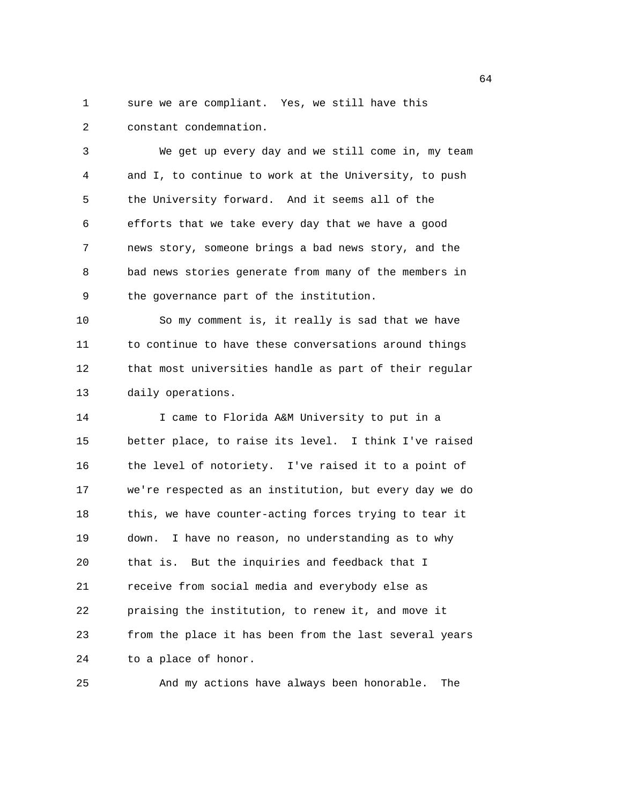1 sure we are compliant. Yes, we still have this 2 constant condemnation.

3 We get up every day and we still come in, my team 4 and I, to continue to work at the University, to push 5 the University forward. And it seems all of the 6 efforts that we take every day that we have a good 7 news story, someone brings a bad news story, and the 8 bad news stories generate from many of the members in 9 the governance part of the institution.

10 So my comment is, it really is sad that we have 11 to continue to have these conversations around things 12 that most universities handle as part of their regular 13 daily operations.

14 I came to Florida A&M University to put in a 15 better place, to raise its level. I think I've raised 16 the level of notoriety. I've raised it to a point of 17 we're respected as an institution, but every day we do 18 this, we have counter-acting forces trying to tear it 19 down. I have no reason, no understanding as to why 20 that is. But the inquiries and feedback that I 21 receive from social media and everybody else as 22 praising the institution, to renew it, and move it 23 from the place it has been from the last several years 24 to a place of honor.

25 And my actions have always been honorable. The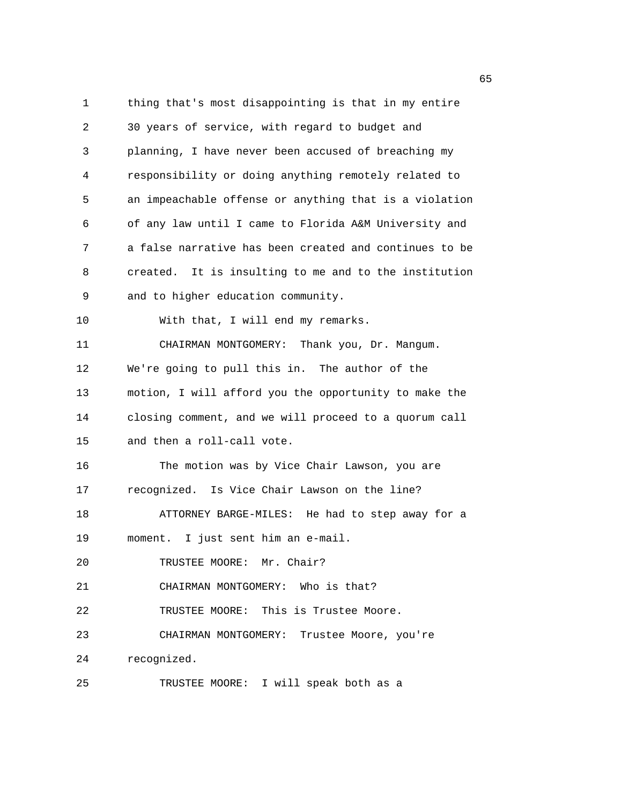1 thing that's most disappointing is that in my entire 2 30 years of service, with regard to budget and 3 planning, I have never been accused of breaching my 4 responsibility or doing anything remotely related to 5 an impeachable offense or anything that is a violation 6 of any law until I came to Florida A&M University and 7 a false narrative has been created and continues to be 8 created. It is insulting to me and to the institution 9 and to higher education community. 10 With that, I will end my remarks. 11 CHAIRMAN MONTGOMERY: Thank you, Dr. Mangum. 12 We're going to pull this in. The author of the 13 motion, I will afford you the opportunity to make the 14 closing comment, and we will proceed to a quorum call 15 and then a roll-call vote. 16 The motion was by Vice Chair Lawson, you are 17 recognized. Is Vice Chair Lawson on the line? 18 ATTORNEY BARGE-MILES: He had to step away for a 19 moment. I just sent him an e-mail. 20 TRUSTEE MOORE: Mr. Chair? 21 CHAIRMAN MONTGOMERY: Who is that? 22 TRUSTEE MOORE: This is Trustee Moore. 23 CHAIRMAN MONTGOMERY: Trustee Moore, you're 24 recognized. 25 TRUSTEE MOORE: I will speak both as a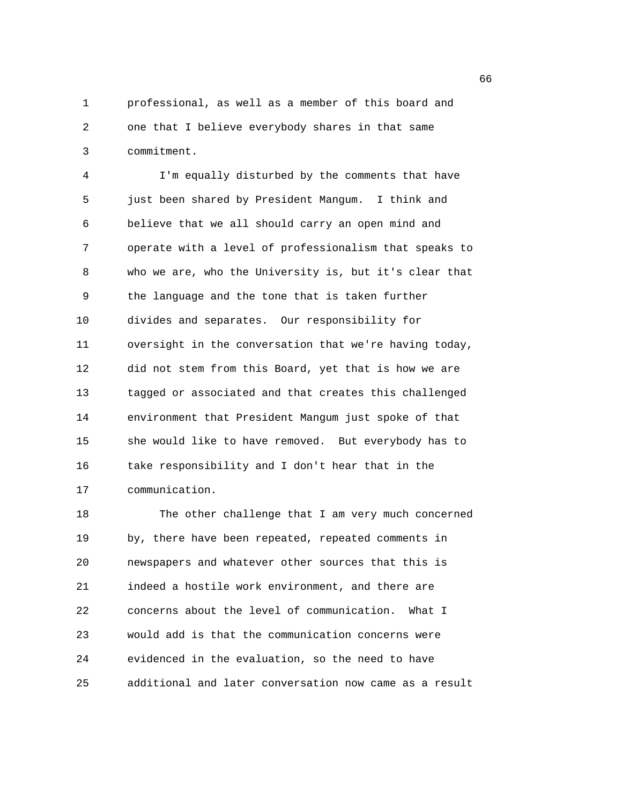1 professional, as well as a member of this board and 2 one that I believe everybody shares in that same 3 commitment.

4 I'm equally disturbed by the comments that have 5 just been shared by President Mangum. I think and 6 believe that we all should carry an open mind and 7 operate with a level of professionalism that speaks to 8 who we are, who the University is, but it's clear that 9 the language and the tone that is taken further 10 divides and separates. Our responsibility for 11 oversight in the conversation that we're having today, 12 did not stem from this Board, yet that is how we are 13 tagged or associated and that creates this challenged 14 environment that President Mangum just spoke of that 15 she would like to have removed. But everybody has to 16 take responsibility and I don't hear that in the 17 communication.

18 The other challenge that I am very much concerned 19 by, there have been repeated, repeated comments in 20 newspapers and whatever other sources that this is 21 indeed a hostile work environment, and there are 22 concerns about the level of communication. What I 23 would add is that the communication concerns were 24 evidenced in the evaluation, so the need to have 25 additional and later conversation now came as a result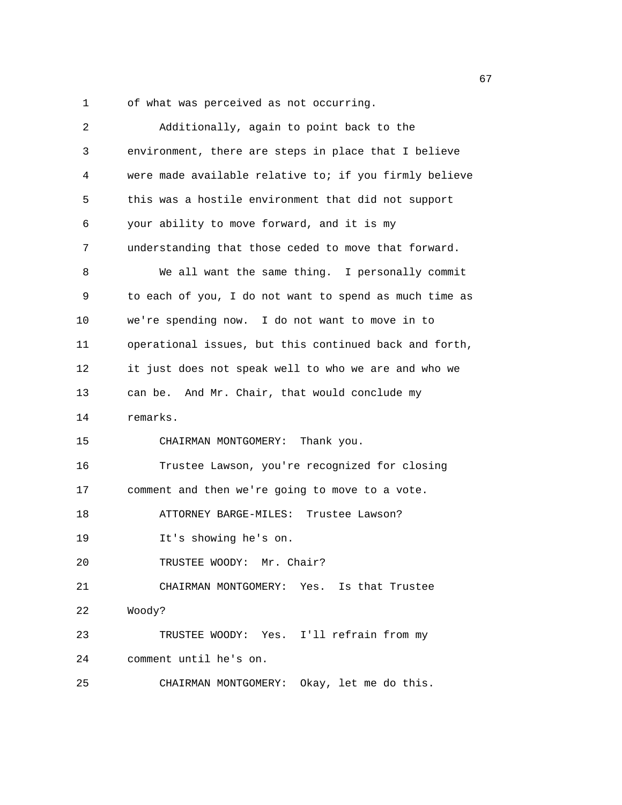1 of what was perceived as not occurring.

| 2  | Additionally, again to point back to the               |
|----|--------------------------------------------------------|
| 3  | environment, there are steps in place that I believe   |
| 4  | were made available relative to; if you firmly believe |
| 5  | this was a hostile environment that did not support    |
| 6  | your ability to move forward, and it is my             |
| 7  | understanding that those ceded to move that forward.   |
| 8  | We all want the same thing. I personally commit        |
| 9  | to each of you, I do not want to spend as much time as |
| 10 | we're spending now. I do not want to move in to        |
| 11 | operational issues, but this continued back and forth, |
| 12 | it just does not speak well to who we are and who we   |
| 13 | can be. And Mr. Chair, that would conclude my          |
| 14 | remarks.                                               |
| 15 | CHAIRMAN MONTGOMERY: Thank you.                        |
| 16 | Trustee Lawson, you're recognized for closing          |
| 17 | comment and then we're going to move to a vote.        |
| 18 | ATTORNEY BARGE-MILES: Trustee Lawson?                  |
| 19 | It's showing he's on.                                  |
| 20 | TRUSTEE WOODY: Mr. Chair?                              |
| 21 | CHAIRMAN MONTGOMERY: Yes. Is that Trustee              |
| 22 | Woody?                                                 |
| 23 | TRUSTEE WOODY: Yes. I'll refrain from my               |
| 24 | comment until he's on.                                 |
| 25 | CHAIRMAN MONTGOMERY: Okay, let me do this.             |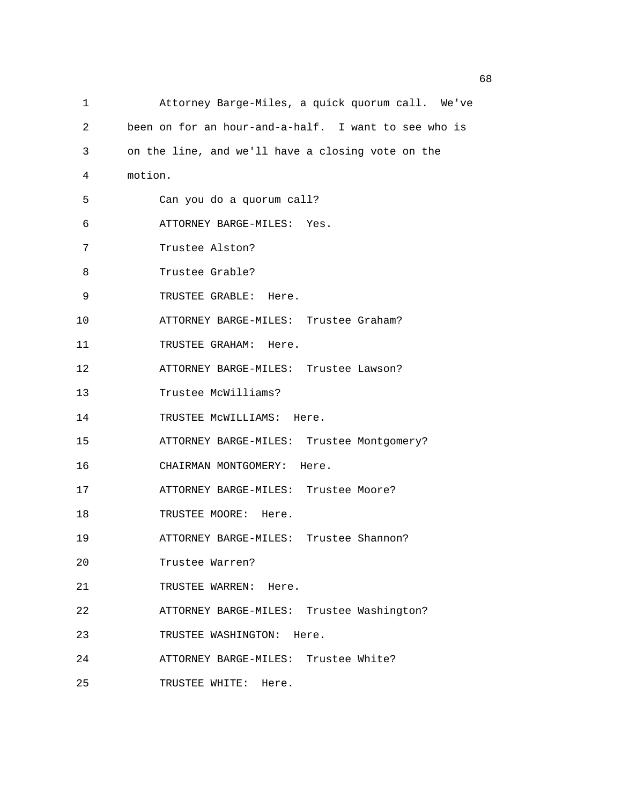| 1  | Attorney Barge-Miles, a quick quorum call. We've     |
|----|------------------------------------------------------|
| 2  | been on for an hour-and-a-half. I want to see who is |
| 3  | on the line, and we'll have a closing vote on the    |
| 4  | motion.                                              |
| 5  | Can you do a quorum call?                            |
| 6  | ATTORNEY BARGE-MILES: Yes.                           |
| 7  | Trustee Alston?                                      |
| 8  | Trustee Grable?                                      |
| 9  | TRUSTEE GRABLE: Here.                                |
| 10 | ATTORNEY BARGE-MILES: Trustee Graham?                |
| 11 | TRUSTEE GRAHAM: Here.                                |
| 12 | ATTORNEY BARGE-MILES: Trustee Lawson?                |
| 13 | Trustee McWilliams?                                  |
| 14 | TRUSTEE MCWILLIAMS: Here.                            |
| 15 | ATTORNEY BARGE-MILES: Trustee Montgomery?            |
| 16 | CHAIRMAN MONTGOMERY: Here.                           |
| 17 | ATTORNEY BARGE-MILES: Trustee Moore?                 |
| 18 | TRUSTEE MOORE: Here.                                 |
| 19 | ATTORNEY BARGE-MILES: Trustee Shannon?               |
| 20 | Trustee Warren?                                      |
| 21 | TRUSTEE WARREN:<br>Here.                             |
| 22 | ATTORNEY BARGE-MILES: Trustee Washington?            |
| 23 | TRUSTEE WASHINGTON:<br>Here.                         |
| 24 | ATTORNEY BARGE-MILES: Trustee White?                 |
| 25 | TRUSTEE WHITE: Here.                                 |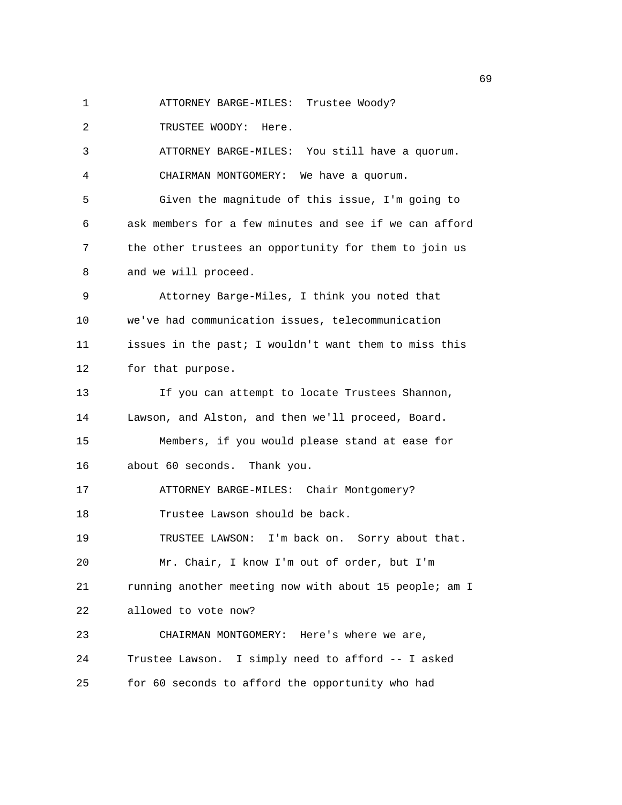- 
- 1 ATTORNEY BARGE-MILES: Trustee Woody?

2 TRUSTEE WOODY: Here.

3 ATTORNEY BARGE-MILES: You still have a quorum. 4 CHAIRMAN MONTGOMERY: We have a quorum.

5 Given the magnitude of this issue, I'm going to 6 ask members for a few minutes and see if we can afford 7 the other trustees an opportunity for them to join us 8 and we will proceed.

9 Attorney Barge-Miles, I think you noted that 10 we've had communication issues, telecommunication 11 issues in the past; I wouldn't want them to miss this 12 for that purpose.

13 If you can attempt to locate Trustees Shannon, 14 Lawson, and Alston, and then we'll proceed, Board. 15 Members, if you would please stand at ease for

16 about 60 seconds. Thank you.

17 ATTORNEY BARGE-MILES: Chair Montgomery?

18 Trustee Lawson should be back.

19 TRUSTEE LAWSON: I'm back on. Sorry about that.

20 Mr. Chair, I know I'm out of order, but I'm

21 running another meeting now with about 15 people; am I

22 allowed to vote now?

23 CHAIRMAN MONTGOMERY: Here's where we are, 24 Trustee Lawson. I simply need to afford -- I asked

25 for 60 seconds to afford the opportunity who had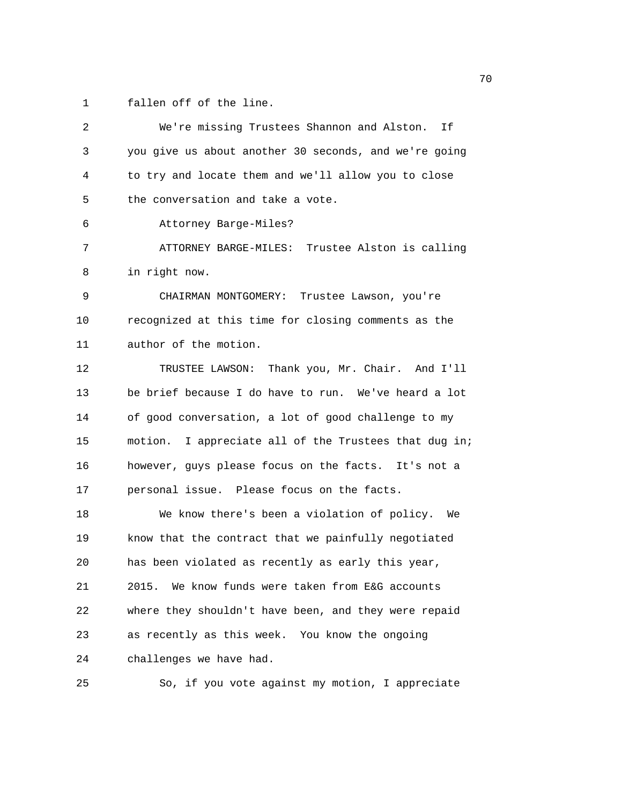1 fallen off of the line.

| 2  | We're missing Trustees Shannon and Alston.<br>If.     |
|----|-------------------------------------------------------|
| 3  | you give us about another 30 seconds, and we're going |
| 4  | to try and locate them and we'll allow you to close   |
| 5  | the conversation and take a vote.                     |
| 6  | Attorney Barge-Miles?                                 |
| 7  | ATTORNEY BARGE-MILES: Trustee Alston is calling       |
| 8  | in right now.                                         |
| 9  | CHAIRMAN MONTGOMERY:<br>Trustee Lawson, you're        |
| 10 | recognized at this time for closing comments as the   |
| 11 | author of the motion.                                 |
| 12 | TRUSTEE LAWSON: Thank you, Mr. Chair. And I'll        |
| 13 | be brief because I do have to run. We've heard a lot  |
| 14 | of good conversation, a lot of good challenge to my   |
| 15 | motion. I appreciate all of the Trustees that dug in; |
| 16 | however, guys please focus on the facts. It's not a   |
| 17 | personal issue. Please focus on the facts.            |
| 18 | We know there's been a violation of policy.<br>We     |
| 19 | know that the contract that we painfully negotiated   |
| 20 | has been violated as recently as early this year,     |
| 21 | 2015. We know funds were taken from E&G accounts      |
| 22 | where they shouldn't have been, and they were repaid  |
| 23 | as recently as this week. You know the ongoing        |
| 24 | challenges we have had.                               |
| 25 | So, if you vote against my motion, I appreciate       |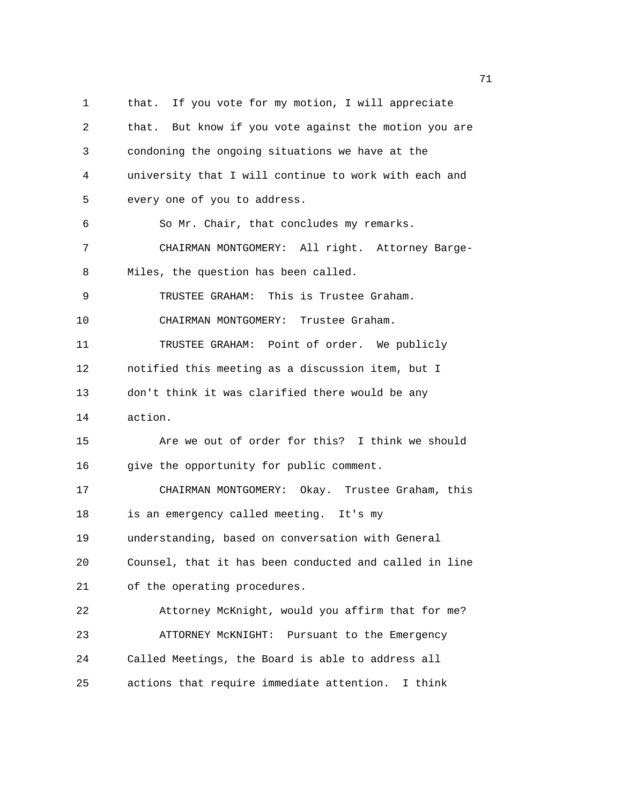1 that. If you vote for my motion, I will appreciate 2 that. But know if you vote against the motion you are 3 condoning the ongoing situations we have at the 4 university that I will continue to work with each and 5 every one of you to address. 6 So Mr. Chair, that concludes my remarks. 7 CHAIRMAN MONTGOMERY: All right. Attorney Barge-8 Miles, the question has been called. 9 TRUSTEE GRAHAM: This is Trustee Graham. 10 CHAIRMAN MONTGOMERY: Trustee Graham. 11 TRUSTEE GRAHAM: Point of order. We publicly 12 notified this meeting as a discussion item, but I 13 don't think it was clarified there would be any 14 action. 15 Are we out of order for this? I think we should 16 give the opportunity for public comment. 17 CHAIRMAN MONTGOMERY: Okay. Trustee Graham, this 18 is an emergency called meeting. It's my 19 understanding, based on conversation with General 20 Counsel, that it has been conducted and called in line 21 of the operating procedures. 22 Attorney McKnight, would you affirm that for me? 23 ATTORNEY McKNIGHT: Pursuant to the Emergency 24 Called Meetings, the Board is able to address all 25 actions that require immediate attention. I think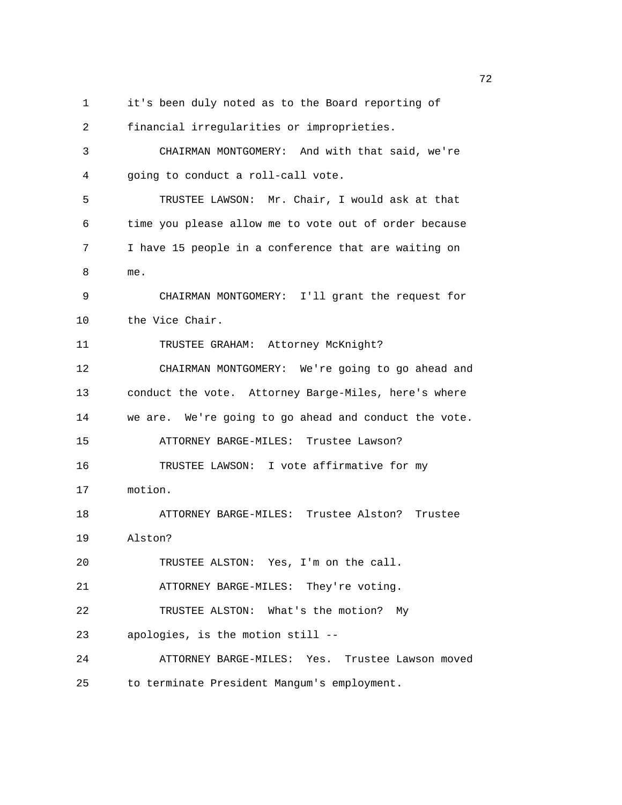1 it's been duly noted as to the Board reporting of

2 financial irregularities or improprieties. 3 CHAIRMAN MONTGOMERY: And with that said, we're 4 going to conduct a roll-call vote. 5 TRUSTEE LAWSON: Mr. Chair, I would ask at that 6 time you please allow me to vote out of order because 7 I have 15 people in a conference that are waiting on 8 me. 9 CHAIRMAN MONTGOMERY: I'll grant the request for 10 the Vice Chair. 11 TRUSTEE GRAHAM: Attorney McKnight? 12 CHAIRMAN MONTGOMERY: We're going to go ahead and 13 conduct the vote. Attorney Barge-Miles, here's where 14 we are. We're going to go ahead and conduct the vote. 15 ATTORNEY BARGE-MILES: Trustee Lawson? 16 TRUSTEE LAWSON: I vote affirmative for my 17 motion. 18 ATTORNEY BARGE-MILES: Trustee Alston? Trustee 19 Alston? 20 TRUSTEE ALSTON: Yes, I'm on the call. 21 ATTORNEY BARGE-MILES: They're voting. 22 TRUSTEE ALSTON: What's the motion? My 23 apologies, is the motion still -- 24 ATTORNEY BARGE-MILES: Yes. Trustee Lawson moved

25 to terminate President Mangum's employment.

процесство производство в село в 1972 године в 1972 године в 1972 године в 1972 године в 1972 године в 1973 го<br>В 1973 године в 1973 године в 1973 године в 1973 године в 1973 године в 1973 године в 1973 године в 1973 годин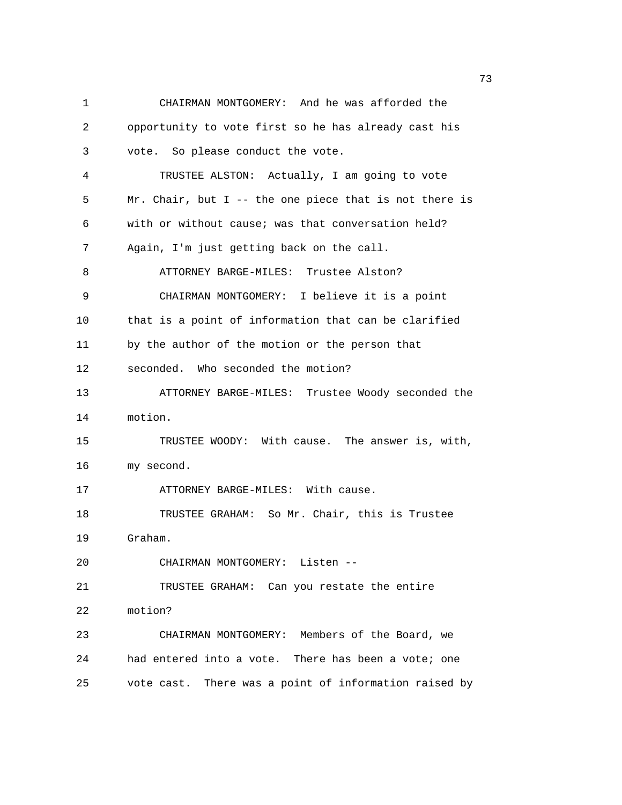1 CHAIRMAN MONTGOMERY: And he was afforded the 2 opportunity to vote first so he has already cast his 3 vote. So please conduct the vote. 4 TRUSTEE ALSTON: Actually, I am going to vote 5 Mr. Chair, but I -- the one piece that is not there is 6 with or without cause; was that conversation held? 7 Again, I'm just getting back on the call. 8 ATTORNEY BARGE-MILES: Trustee Alston? 9 CHAIRMAN MONTGOMERY: I believe it is a point 10 that is a point of information that can be clarified 11 by the author of the motion or the person that 12 seconded. Who seconded the motion? 13 ATTORNEY BARGE-MILES: Trustee Woody seconded the 14 motion. 15 TRUSTEE WOODY: With cause. The answer is, with, 16 my second. 17 ATTORNEY BARGE-MILES: With cause. 18 TRUSTEE GRAHAM: So Mr. Chair, this is Trustee 19 Graham. 20 CHAIRMAN MONTGOMERY: Listen -- 21 TRUSTEE GRAHAM: Can you restate the entire 22 motion? 23 CHAIRMAN MONTGOMERY: Members of the Board, we 24 had entered into a vote. There has been a vote; one 25 vote cast. There was a point of information raised by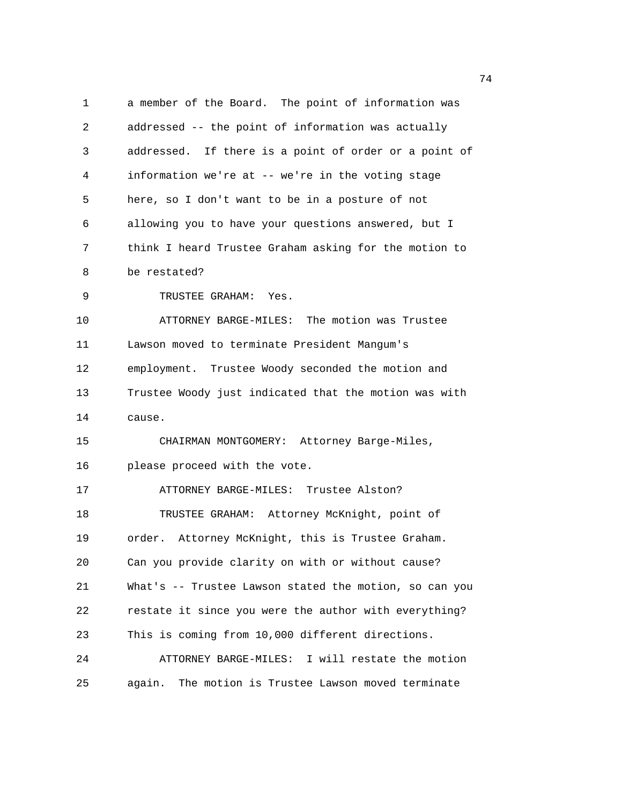1 a member of the Board. The point of information was 2 addressed -- the point of information was actually 3 addressed. If there is a point of order or a point of 4 information we're at -- we're in the voting stage 5 here, so I don't want to be in a posture of not 6 allowing you to have your questions answered, but I 7 think I heard Trustee Graham asking for the motion to 8 be restated? 9 TRUSTEE GRAHAM: Yes. 10 ATTORNEY BARGE-MILES: The motion was Trustee 11 Lawson moved to terminate President Mangum's 12 employment. Trustee Woody seconded the motion and 13 Trustee Woody just indicated that the motion was with 14 cause. 15 CHAIRMAN MONTGOMERY: Attorney Barge-Miles, 16 please proceed with the vote. 17 ATTORNEY BARGE-MILES: Trustee Alston? 18 TRUSTEE GRAHAM: Attorney McKnight, point of 19 order. Attorney McKnight, this is Trustee Graham. 20 Can you provide clarity on with or without cause? 21 What's -- Trustee Lawson stated the motion, so can you 22 restate it since you were the author with everything? 23 This is coming from 10,000 different directions. 24 ATTORNEY BARGE-MILES: I will restate the motion 25 again. The motion is Trustee Lawson moved terminate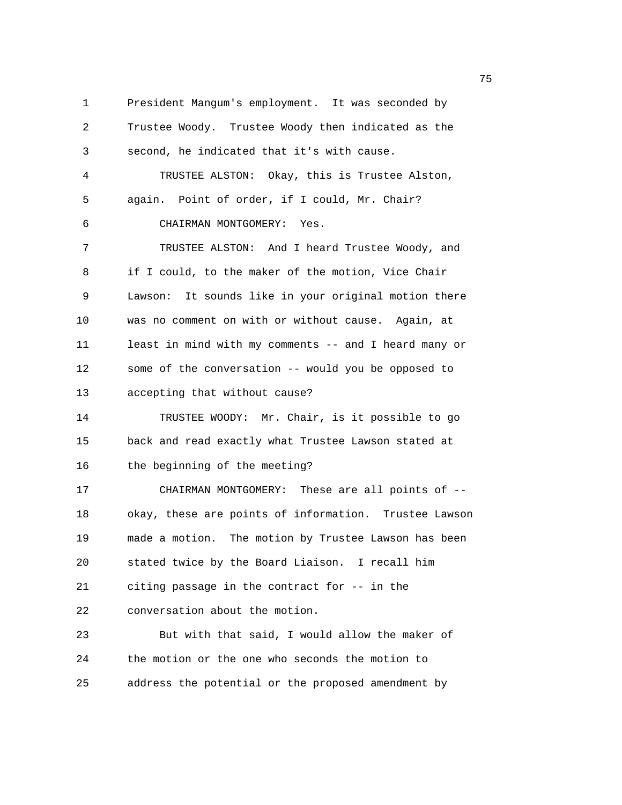1 President Mangum's employment. It was seconded by 2 Trustee Woody. Trustee Woody then indicated as the 3 second, he indicated that it's with cause. 4 TRUSTEE ALSTON: Okay, this is Trustee Alston, 5 again. Point of order, if I could, Mr. Chair? 6 CHAIRMAN MONTGOMERY: Yes. 7 TRUSTEE ALSTON: And I heard Trustee Woody, and 8 if I could, to the maker of the motion, Vice Chair 9 Lawson: It sounds like in your original motion there 10 was no comment on with or without cause. Again, at 11 least in mind with my comments -- and I heard many or 12 some of the conversation -- would you be opposed to 13 accepting that without cause? 14 TRUSTEE WOODY: Mr. Chair, is it possible to go 15 back and read exactly what Trustee Lawson stated at 16 the beginning of the meeting? 17 CHAIRMAN MONTGOMERY: These are all points of -- 18 okay, these are points of information. Trustee Lawson 19 made a motion. The motion by Trustee Lawson has been 20 stated twice by the Board Liaison. I recall him 21 citing passage in the contract for -- in the 22 conversation about the motion. 23 But with that said, I would allow the maker of 24 the motion or the one who seconds the motion to 25 address the potential or the proposed amendment by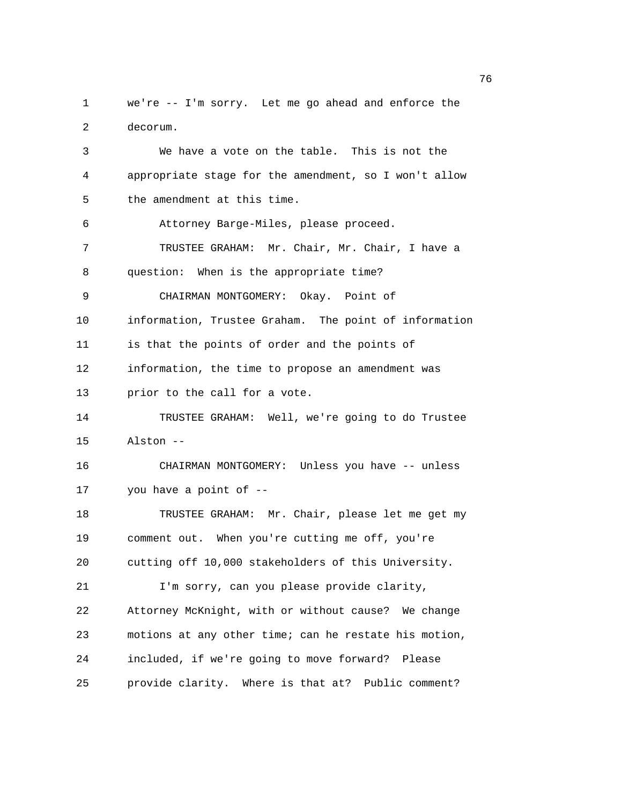1 we're -- I'm sorry. Let me go ahead and enforce the 2 decorum. 3 We have a vote on the table. This is not the 4 appropriate stage for the amendment, so I won't allow

5 the amendment at this time.

6 Attorney Barge-Miles, please proceed.

7 TRUSTEE GRAHAM: Mr. Chair, Mr. Chair, I have a 8 question: When is the appropriate time?

9 CHAIRMAN MONTGOMERY: Okay. Point of

10 information, Trustee Graham. The point of information

11 is that the points of order and the points of

12 information, the time to propose an amendment was

13 prior to the call for a vote.

14 TRUSTEE GRAHAM: Well, we're going to do Trustee 15 Alston --

16 CHAIRMAN MONTGOMERY: Unless you have -- unless 17 you have a point of --

18 TRUSTEE GRAHAM: Mr. Chair, please let me get my 19 comment out. When you're cutting me off, you're 20 cutting off 10,000 stakeholders of this University. 21 I'm sorry, can you please provide clarity,

22 Attorney McKnight, with or without cause? We change 23 motions at any other time; can he restate his motion, 24 included, if we're going to move forward? Please 25 provide clarity. Where is that at? Public comment?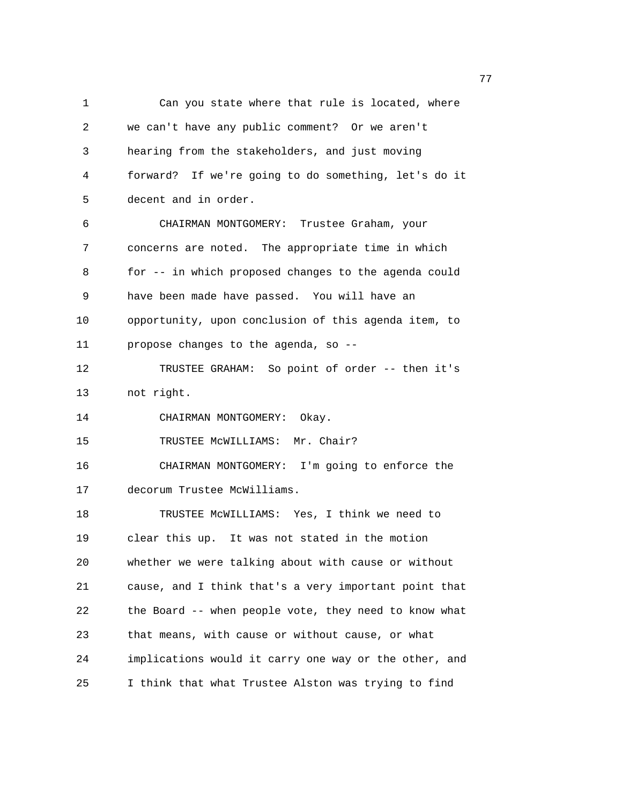1 Can you state where that rule is located, where 2 we can't have any public comment? Or we aren't 3 hearing from the stakeholders, and just moving 4 forward? If we're going to do something, let's do it 5 decent and in order. 6 CHAIRMAN MONTGOMERY: Trustee Graham, your 7 concerns are noted. The appropriate time in which 8 for -- in which proposed changes to the agenda could 9 have been made have passed. You will have an 10 opportunity, upon conclusion of this agenda item, to 11 propose changes to the agenda, so -- 12 TRUSTEE GRAHAM: So point of order -- then it's 13 not right. 14 CHAIRMAN MONTGOMERY: Okay. 15 TRUSTEE McWILLIAMS: Mr. Chair? 16 CHAIRMAN MONTGOMERY: I'm going to enforce the 17 decorum Trustee McWilliams. 18 TRUSTEE McWILLIAMS: Yes, I think we need to 19 clear this up. It was not stated in the motion 20 whether we were talking about with cause or without 21 cause, and I think that's a very important point that 22 the Board -- when people vote, they need to know what 23 that means, with cause or without cause, or what 24 implications would it carry one way or the other, and 25 I think that what Trustee Alston was trying to find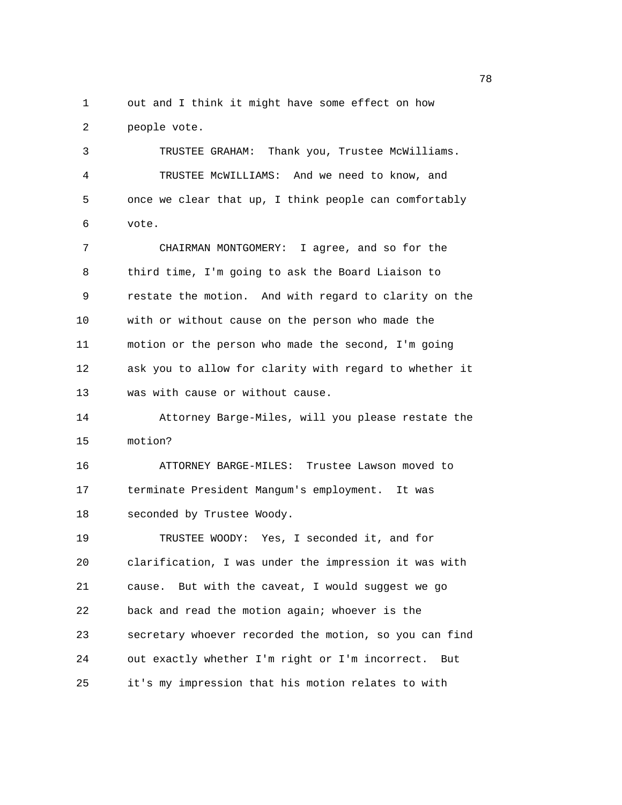1 out and I think it might have some effect on how 2 people vote.

3 TRUSTEE GRAHAM: Thank you, Trustee McWilliams. 4 TRUSTEE McWILLIAMS: And we need to know, and 5 once we clear that up, I think people can comfortably 6 vote.

7 CHAIRMAN MONTGOMERY: I agree, and so for the 8 third time, I'm going to ask the Board Liaison to 9 restate the motion. And with regard to clarity on the 10 with or without cause on the person who made the 11 motion or the person who made the second, I'm going 12 ask you to allow for clarity with regard to whether it 13 was with cause or without cause.

14 Attorney Barge-Miles, will you please restate the 15 motion?

16 ATTORNEY BARGE-MILES: Trustee Lawson moved to 17 terminate President Mangum's employment. It was 18 seconded by Trustee Woody.

19 TRUSTEE WOODY: Yes, I seconded it, and for 20 clarification, I was under the impression it was with 21 cause. But with the caveat, I would suggest we go 22 back and read the motion again; whoever is the 23 secretary whoever recorded the motion, so you can find 24 out exactly whether I'm right or I'm incorrect. But 25 it's my impression that his motion relates to with

na a shekara ta 1972 a 1972 a 1972 a 1972 a 1972 a 1972 a 1972 a 1972 a 1972 a 1972 a 1972 a 1972 a 1972 a 19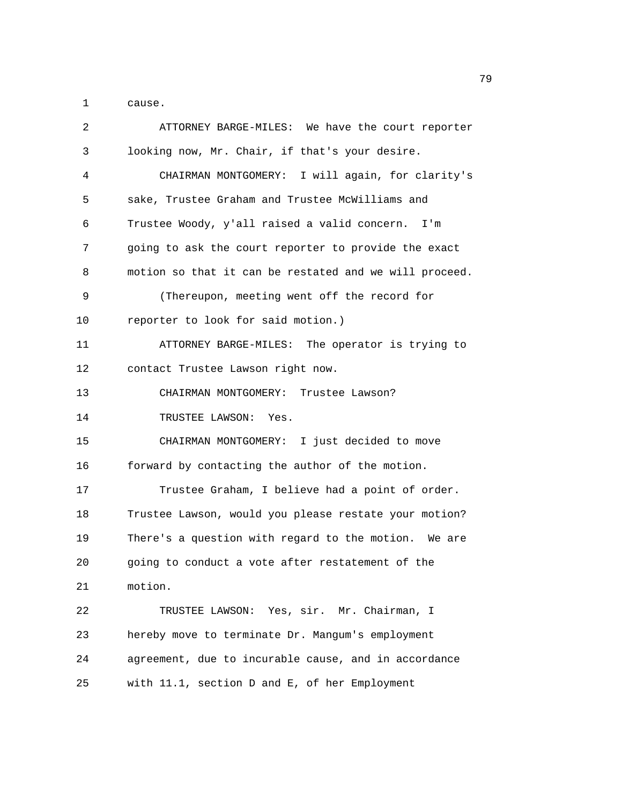1 cause.

| 2  | ATTORNEY BARGE-MILES: We have the court reporter       |
|----|--------------------------------------------------------|
| 3  | looking now, Mr. Chair, if that's your desire.         |
| 4  | CHAIRMAN MONTGOMERY: I will again, for clarity's       |
| 5  | sake, Trustee Graham and Trustee McWilliams and        |
| 6  | Trustee Woody, y'all raised a valid concern.<br>I'm    |
| 7  | going to ask the court reporter to provide the exact   |
| 8  | motion so that it can be restated and we will proceed. |
| 9  | (Thereupon, meeting went off the record for            |
| 10 | reporter to look for said motion.)                     |
| 11 | ATTORNEY BARGE-MILES: The operator is trying to        |
| 12 | contact Trustee Lawson right now.                      |
| 13 | CHAIRMAN MONTGOMERY: Trustee Lawson?                   |
| 14 | TRUSTEE LAWSON: Yes.                                   |
| 15 | CHAIRMAN MONTGOMERY: I just decided to move            |
| 16 | forward by contacting the author of the motion.        |
| 17 | Trustee Graham, I believe had a point of order.        |
| 18 | Trustee Lawson, would you please restate your motion?  |
| 19 | There's a question with regard to the motion. We are   |
| 20 | going to conduct a vote after restatement of the       |
| 21 | motion.                                                |
| 22 | TRUSTEE LAWSON: Yes, sir. Mr. Chairman, I              |
| 23 | hereby move to terminate Dr. Mangum's employment       |
| 24 | agreement, due to incurable cause, and in accordance   |
| 25 | with 11.1, section D and E, of her Employment          |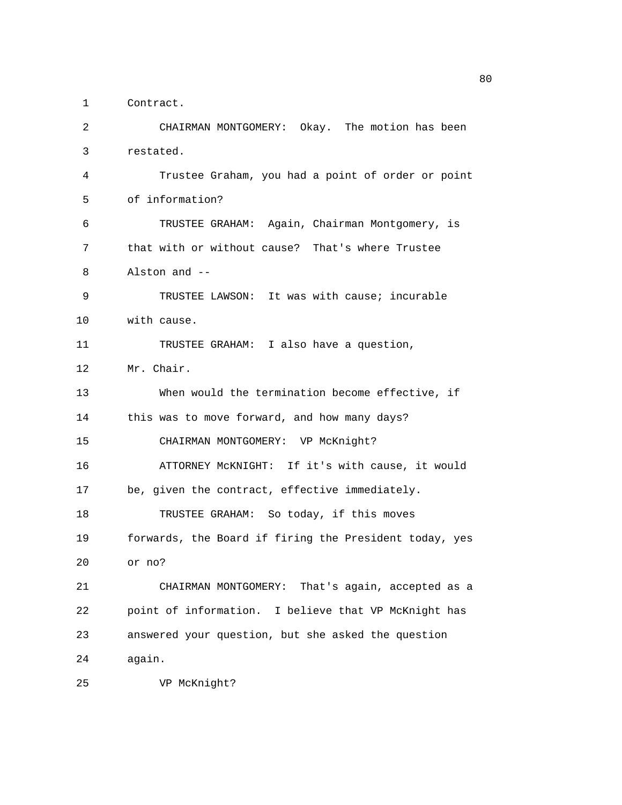1 Contract.

2 CHAIRMAN MONTGOMERY: Okay. The motion has been 3 restated. 4 Trustee Graham, you had a point of order or point 5 of information? 6 TRUSTEE GRAHAM: Again, Chairman Montgomery, is 7 that with or without cause? That's where Trustee 8 Alston and -- 9 TRUSTEE LAWSON: It was with cause; incurable 10 with cause. 11 TRUSTEE GRAHAM: I also have a question, 12 Mr. Chair. 13 When would the termination become effective, if 14 this was to move forward, and how many days? 15 CHAIRMAN MONTGOMERY: VP McKnight? 16 ATTORNEY McKNIGHT: If it's with cause, it would 17 be, given the contract, effective immediately. 18 TRUSTEE GRAHAM: So today, if this moves 19 forwards, the Board if firing the President today, yes 20 or no? 21 CHAIRMAN MONTGOMERY: That's again, accepted as a 22 point of information. I believe that VP McKnight has 23 answered your question, but she asked the question 24 again. 25 VP McKnight?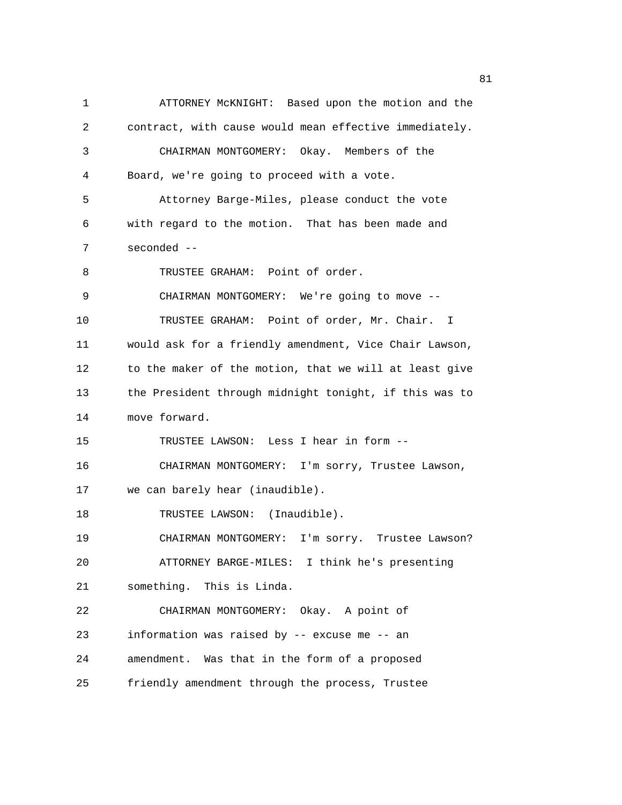1 ATTORNEY McKNIGHT: Based upon the motion and the 2 contract, with cause would mean effective immediately. 3 CHAIRMAN MONTGOMERY: Okay. Members of the 4 Board, we're going to proceed with a vote. 5 Attorney Barge-Miles, please conduct the vote 6 with regard to the motion. That has been made and 7 seconded -- 8 TRUSTEE GRAHAM: Point of order. 9 CHAIRMAN MONTGOMERY: We're going to move -- 10 TRUSTEE GRAHAM: Point of order, Mr. Chair. I 11 would ask for a friendly amendment, Vice Chair Lawson, 12 to the maker of the motion, that we will at least give 13 the President through midnight tonight, if this was to 14 move forward. 15 TRUSTEE LAWSON: Less I hear in form -- 16 CHAIRMAN MONTGOMERY: I'm sorry, Trustee Lawson, 17 we can barely hear (inaudible). 18 TRUSTEE LAWSON: (Inaudible). 19 CHAIRMAN MONTGOMERY: I'm sorry. Trustee Lawson? 20 ATTORNEY BARGE-MILES: I think he's presenting 21 something. This is Linda. 22 CHAIRMAN MONTGOMERY: Okay. A point of 23 information was raised by -- excuse me -- an 24 amendment. Was that in the form of a proposed 25 friendly amendment through the process, Trustee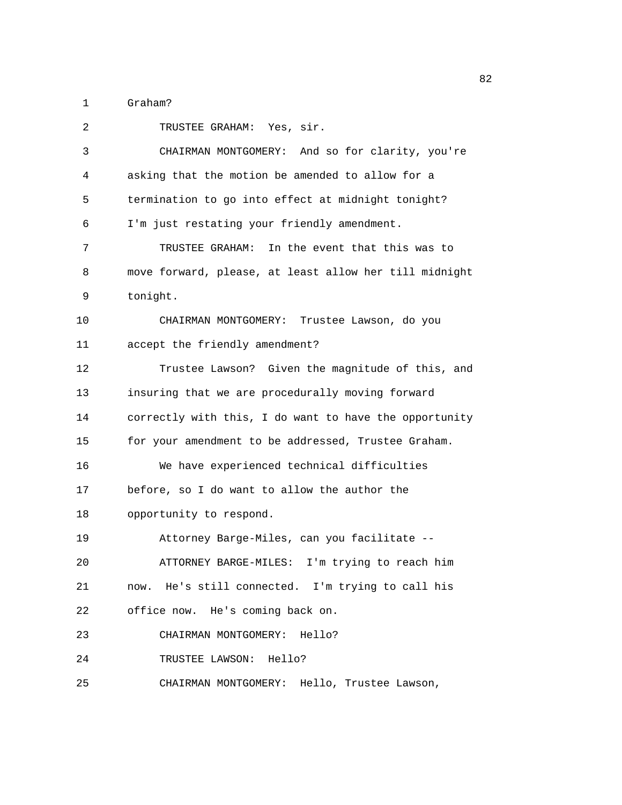1 Graham?

| 2  | TRUSTEE GRAHAM: Yes, sir.                              |
|----|--------------------------------------------------------|
| 3  | CHAIRMAN MONTGOMERY: And so for clarity, you're        |
| 4  | asking that the motion be amended to allow for a       |
| 5  | termination to go into effect at midnight tonight?     |
| 6  | I'm just restating your friendly amendment.            |
| 7  | In the event that this was to<br>TRUSTEE GRAHAM:       |
| 8  | move forward, please, at least allow her till midnight |
| 9  | tonight.                                               |
| 10 | CHAIRMAN MONTGOMERY:<br>Trustee Lawson, do you         |
| 11 | accept the friendly amendment?                         |
| 12 | Trustee Lawson? Given the magnitude of this, and       |
| 13 | insuring that we are procedurally moving forward       |
| 14 | correctly with this, I do want to have the opportunity |
| 15 | for your amendment to be addressed, Trustee Graham.    |
| 16 | We have experienced technical difficulties             |
| 17 | before, so I do want to allow the author the           |
| 18 | opportunity to respond.                                |
| 19 | Attorney Barge-Miles, can you facilitate --            |
| 20 | ATTORNEY BARGE-MILES: I'm trying to reach him          |
| 21 | now. He's still connected. I'm trying to call his      |
| 22 | office now. He's coming back on.                       |
| 23 | CHAIRMAN MONTGOMERY:<br>Hello?                         |
| 24 | TRUSTEE LAWSON: Hello?                                 |
| 25 | CHAIRMAN MONTGOMERY: Hello, Trustee Lawson,            |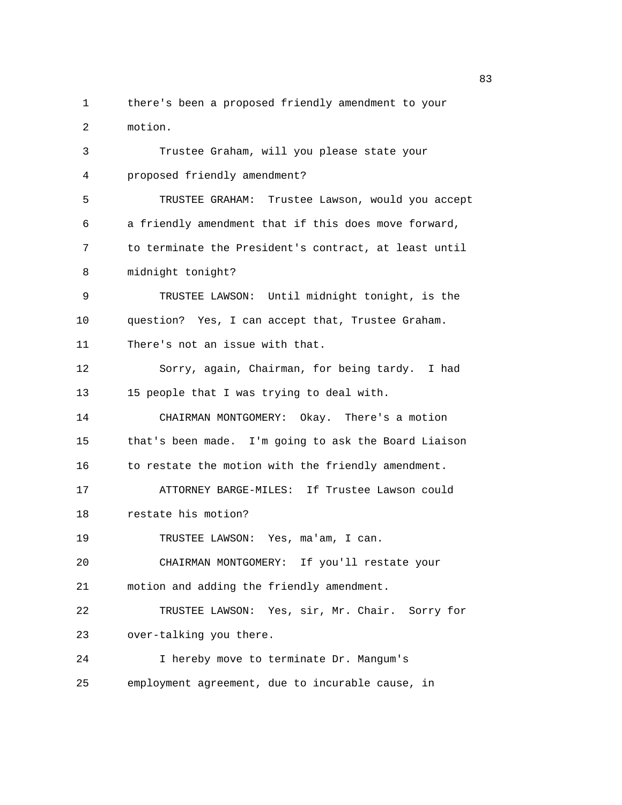1 there's been a proposed friendly amendment to your 2 motion.

3 Trustee Graham, will you please state your 4 proposed friendly amendment? 5 TRUSTEE GRAHAM: Trustee Lawson, would you accept 6 a friendly amendment that if this does move forward, 7 to terminate the President's contract, at least until 8 midnight tonight? 9 TRUSTEE LAWSON: Until midnight tonight, is the 10 question? Yes, I can accept that, Trustee Graham. 11 There's not an issue with that. 12 Sorry, again, Chairman, for being tardy. I had 13 15 people that I was trying to deal with. 14 CHAIRMAN MONTGOMERY: Okay. There's a motion 15 that's been made. I'm going to ask the Board Liaison 16 to restate the motion with the friendly amendment. 17 ATTORNEY BARGE-MILES: If Trustee Lawson could 18 restate his motion? 19 TRUSTEE LAWSON: Yes, ma'am, I can. 20 CHAIRMAN MONTGOMERY: If you'll restate your 21 motion and adding the friendly amendment. 22 TRUSTEE LAWSON: Yes, sir, Mr. Chair. Sorry for 23 over-talking you there. 24 I hereby move to terminate Dr. Mangum's 25 employment agreement, due to incurable cause, in

en andere de la constantin de la constantin de la constantin de la constantin de la constantin de la constantin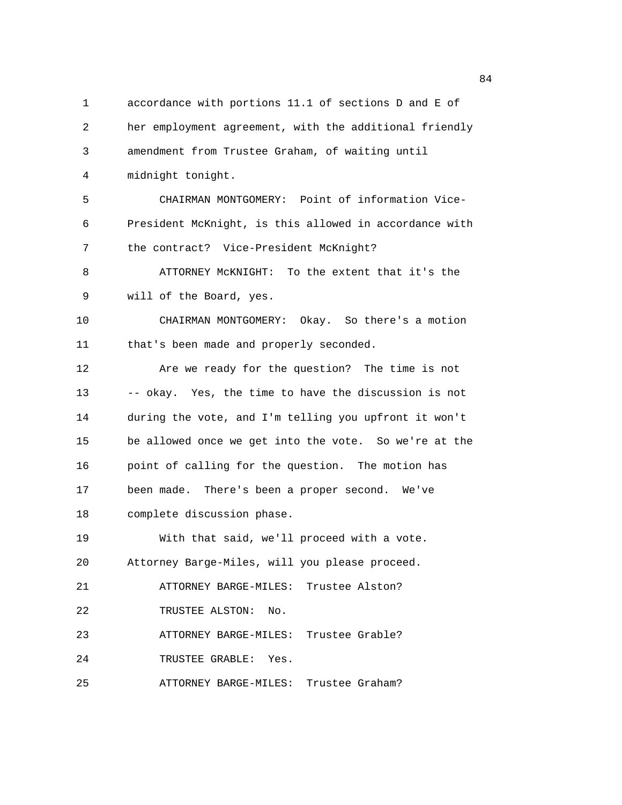1 accordance with portions 11.1 of sections D and E of 2 her employment agreement, with the additional friendly 3 amendment from Trustee Graham, of waiting until 4 midnight tonight. 5 CHAIRMAN MONTGOMERY: Point of information Vice-6 President McKnight, is this allowed in accordance with 7 the contract? Vice-President McKnight? 8 ATTORNEY McKNIGHT: To the extent that it's the 9 will of the Board, yes. 10 CHAIRMAN MONTGOMERY: Okay. So there's a motion 11 that's been made and properly seconded. 12 Are we ready for the question? The time is not 13 -- okay. Yes, the time to have the discussion is not 14 during the vote, and I'm telling you upfront it won't 15 be allowed once we get into the vote. So we're at the 16 point of calling for the question. The motion has 17 been made. There's been a proper second. We've 18 complete discussion phase. 19 With that said, we'll proceed with a vote. 20 Attorney Barge-Miles, will you please proceed. 21 ATTORNEY BARGE-MILES: Trustee Alston? 22 TRUSTEE ALSTON: No. 23 ATTORNEY BARGE-MILES: Trustee Grable? 24 TRUSTEE GRABLE: Yes. 25 ATTORNEY BARGE-MILES: Trustee Graham?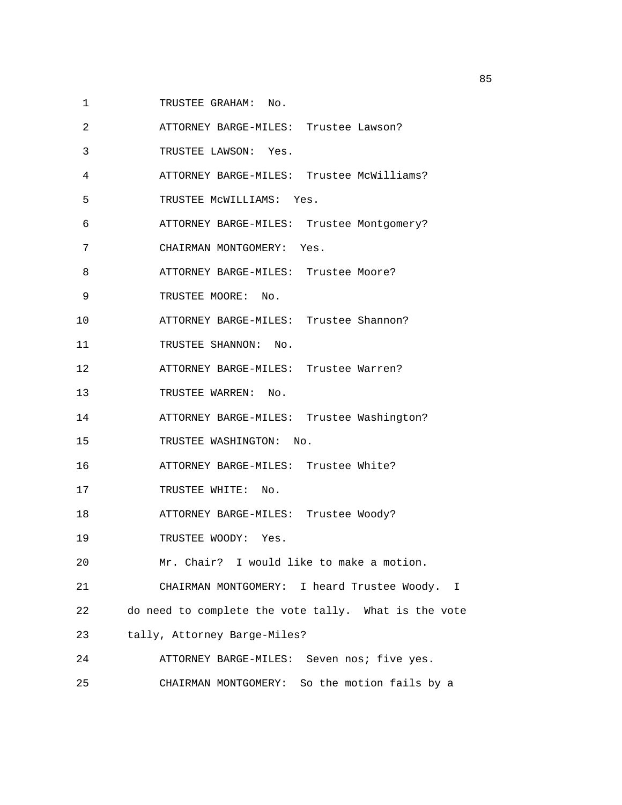- 1 TRUSTEE GRAHAM: No.
- 2 ATTORNEY BARGE-MILES: Trustee Lawson?
- 3 TRUSTEE LAWSON: Yes.
- 4 ATTORNEY BARGE-MILES: Trustee McWilliams?
- 5 TRUSTEE McWILLIAMS: Yes.
- 6 ATTORNEY BARGE-MILES: Trustee Montgomery?
- 7 CHAIRMAN MONTGOMERY: Yes.
- 8 ATTORNEY BARGE-MILES: Trustee Moore?
- 9 TRUSTEE MOORE: No.
- 10 ATTORNEY BARGE-MILES: Trustee Shannon?
- 11 TRUSTEE SHANNON: No.
- 12 ATTORNEY BARGE-MILES: Trustee Warren?
- 13 TRUSTEE WARREN: No.
- 14 ATTORNEY BARGE-MILES: Trustee Washington?
- 15 TRUSTEE WASHINGTON: No.
- 16 ATTORNEY BARGE-MILES: Trustee White?
- 17 TRUSTEE WHITE: No.
- 18 ATTORNEY BARGE-MILES: Trustee Woody?
- 19 TRUSTEE WOODY: Yes.
- 20 Mr. Chair? I would like to make a motion.
- 21 CHAIRMAN MONTGOMERY: I heard Trustee Woody. I
- 22 do need to complete the vote tally. What is the vote
- 23 tally, Attorney Barge-Miles?
- 24 ATTORNEY BARGE-MILES: Seven nos; five yes. 25 CHAIRMAN MONTGOMERY: So the motion fails by a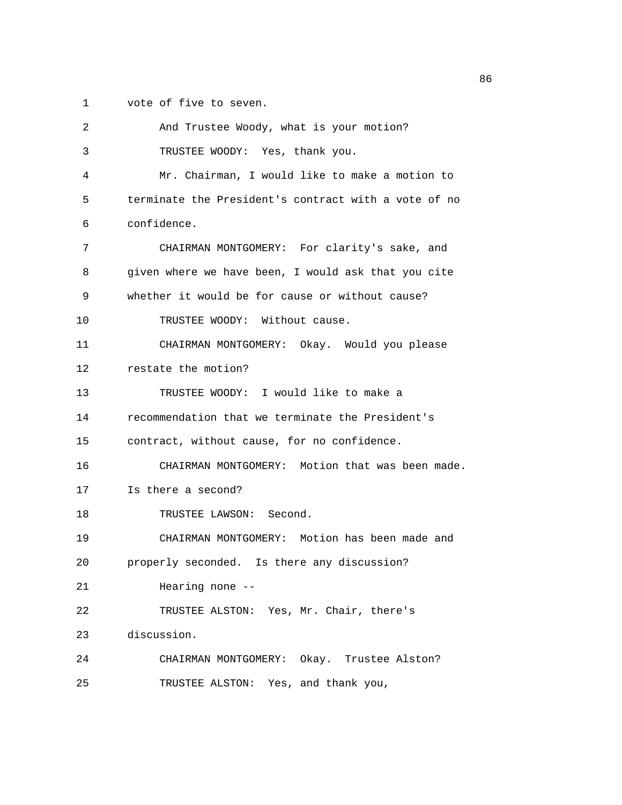1 vote of five to seven.

| 2  | And Trustee Woody, what is your motion?              |
|----|------------------------------------------------------|
| 3  | TRUSTEE WOODY: Yes, thank you.                       |
| 4  | Mr. Chairman, I would like to make a motion to       |
| 5  | terminate the President's contract with a vote of no |
| 6  | confidence.                                          |
| 7  | CHAIRMAN MONTGOMERY: For clarity's sake, and         |
| 8  | given where we have been, I would ask that you cite  |
| 9  | whether it would be for cause or without cause?      |
| 10 | TRUSTEE WOODY: Without cause.                        |
| 11 | CHAIRMAN MONTGOMERY: Okay. Would you please          |
| 12 | restate the motion?                                  |
| 13 | TRUSTEE WOODY: I would like to make a                |
| 14 | recommendation that we terminate the President's     |
| 15 | contract, without cause, for no confidence.          |
| 16 | CHAIRMAN MONTGOMERY: Motion that was been made.      |
| 17 | Is there a second?                                   |
| 18 | TRUSTEE LAWSON: Second.                              |
| 19 | CHAIRMAN MONTGOMERY: Motion has been made and        |
| 20 | properly seconded. Is there any discussion?          |
| 21 | Hearing none $-$ -                                   |
| 22 | TRUSTEE ALSTON: Yes, Mr. Chair, there's              |
| 23 | discussion.                                          |
| 24 | CHAIRMAN MONTGOMERY: Okay. Trustee Alston?           |
| 25 | TRUSTEE ALSTON: Yes, and thank you,                  |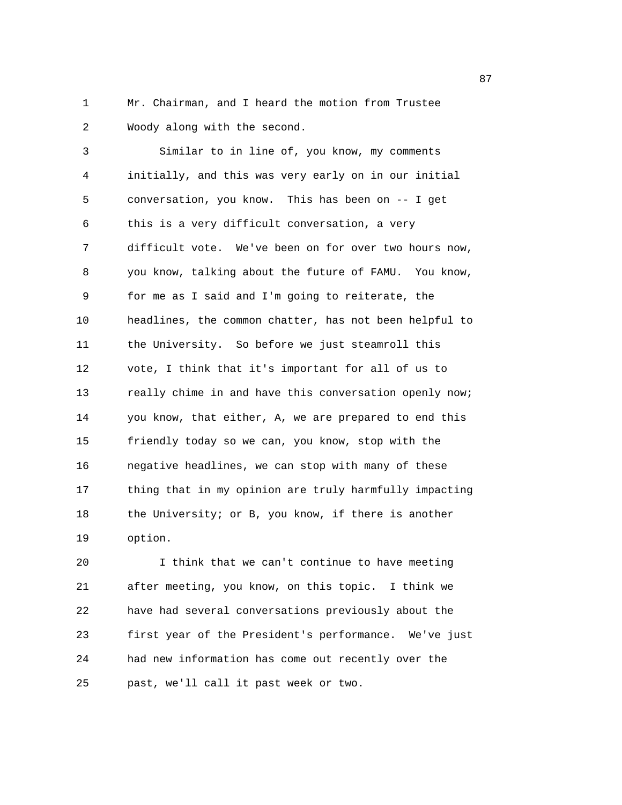1 Mr. Chairman, and I heard the motion from Trustee 2 Woody along with the second.

3 Similar to in line of, you know, my comments 4 initially, and this was very early on in our initial 5 conversation, you know. This has been on -- I get 6 this is a very difficult conversation, a very 7 difficult vote. We've been on for over two hours now, 8 you know, talking about the future of FAMU. You know, 9 for me as I said and I'm going to reiterate, the 10 headlines, the common chatter, has not been helpful to 11 the University. So before we just steamroll this 12 vote, I think that it's important for all of us to 13 really chime in and have this conversation openly now; 14 you know, that either, A, we are prepared to end this 15 friendly today so we can, you know, stop with the 16 negative headlines, we can stop with many of these 17 thing that in my opinion are truly harmfully impacting 18 the University; or B, you know, if there is another 19 option.

20 I think that we can't continue to have meeting 21 after meeting, you know, on this topic. I think we 22 have had several conversations previously about the 23 first year of the President's performance. We've just 24 had new information has come out recently over the 25 past, we'll call it past week or two.

en and the state of the state of the state of the state of the state of the state of the state of the state of the state of the state of the state of the state of the state of the state of the state of the state of the sta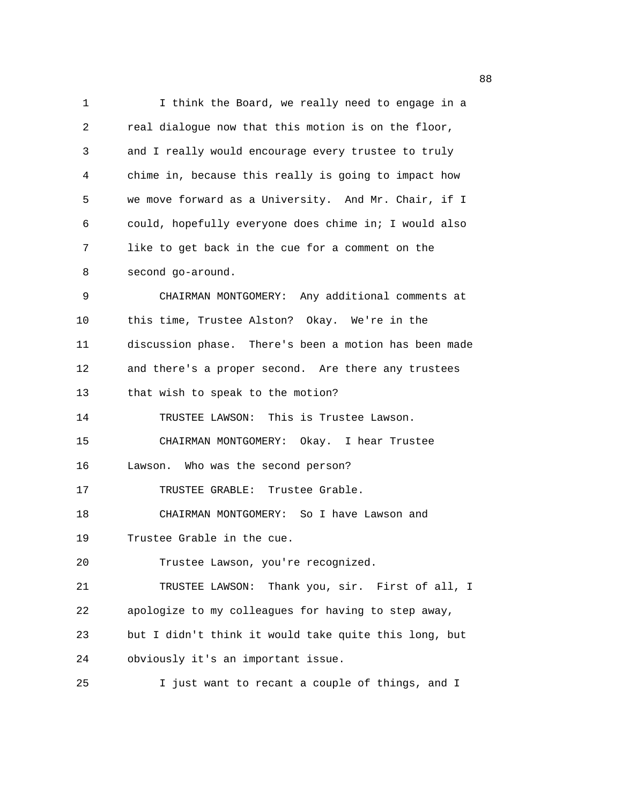1 I think the Board, we really need to engage in a 2 real dialogue now that this motion is on the floor, 3 and I really would encourage every trustee to truly 4 chime in, because this really is going to impact how 5 we move forward as a University. And Mr. Chair, if I 6 could, hopefully everyone does chime in; I would also 7 like to get back in the cue for a comment on the 8 second go-around. 9 CHAIRMAN MONTGOMERY: Any additional comments at 10 this time, Trustee Alston? Okay. We're in the 11 discussion phase. There's been a motion has been made 12 and there's a proper second. Are there any trustees 13 that wish to speak to the motion? 14 TRUSTEE LAWSON: This is Trustee Lawson. 15 CHAIRMAN MONTGOMERY: Okay. I hear Trustee 16 Lawson. Who was the second person? 17 TRUSTEE GRABLE: Trustee Grable. 18 CHAIRMAN MONTGOMERY: So I have Lawson and 19 Trustee Grable in the cue. 20 Trustee Lawson, you're recognized. 21 TRUSTEE LAWSON: Thank you, sir. First of all, I 22 apologize to my colleagues for having to step away, 23 but I didn't think it would take quite this long, but 24 obviously it's an important issue. 25 I just want to recant a couple of things, and I

e e seu a constante de la constante de la constante de la constante de la constante de la constante de la cons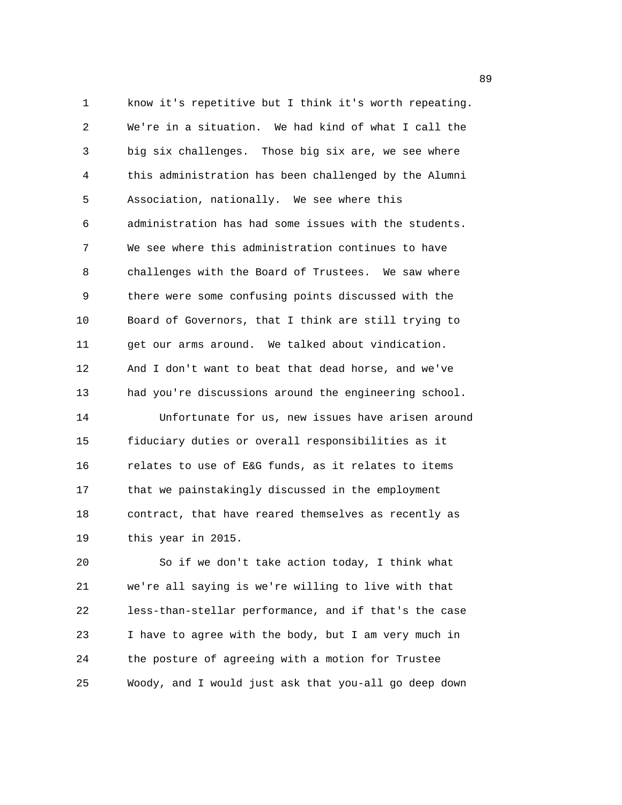1 know it's repetitive but I think it's worth repeating. 2 We're in a situation. We had kind of what I call the 3 big six challenges. Those big six are, we see where 4 this administration has been challenged by the Alumni 5 Association, nationally. We see where this 6 administration has had some issues with the students. 7 We see where this administration continues to have 8 challenges with the Board of Trustees. We saw where 9 there were some confusing points discussed with the 10 Board of Governors, that I think are still trying to 11 get our arms around. We talked about vindication. 12 And I don't want to beat that dead horse, and we've 13 had you're discussions around the engineering school. 14 Unfortunate for us, new issues have arisen around 15 fiduciary duties or overall responsibilities as it 16 relates to use of E&G funds, as it relates to items 17 that we painstakingly discussed in the employment 18 contract, that have reared themselves as recently as 19 this year in 2015.

20 So if we don't take action today, I think what 21 we're all saying is we're willing to live with that 22 less-than-stellar performance, and if that's the case 23 I have to agree with the body, but I am very much in 24 the posture of agreeing with a motion for Trustee 25 Woody, and I would just ask that you-all go deep down

e e seu a seu a constante de la constante de la constante de la constante de la constante de la constante de l<br>En 1990, en la constante de la constante de la constante de la constante de la constante de la constante de la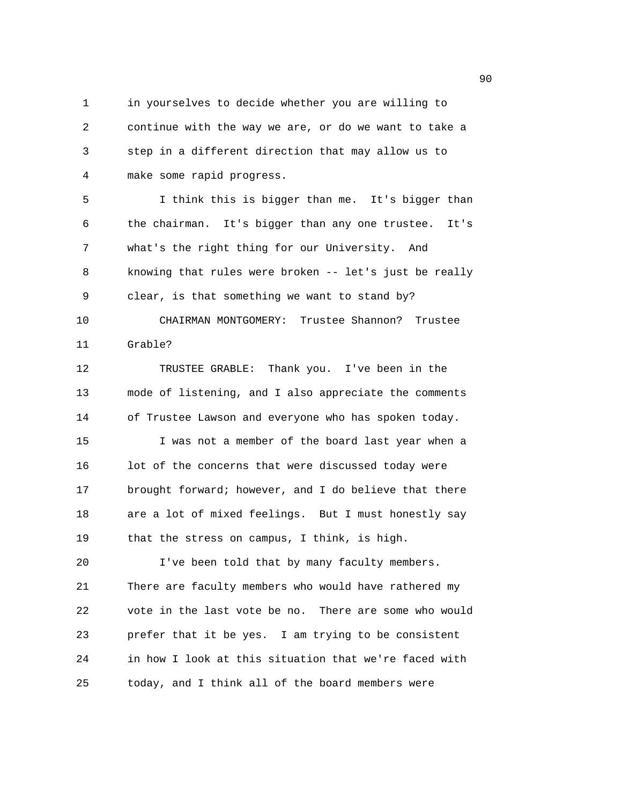1 in yourselves to decide whether you are willing to 2 continue with the way we are, or do we want to take a 3 step in a different direction that may allow us to 4 make some rapid progress.

5 I think this is bigger than me. It's bigger than 6 the chairman. It's bigger than any one trustee. It's 7 what's the right thing for our University. And 8 knowing that rules were broken -- let's just be really 9 clear, is that something we want to stand by? 10 CHAIRMAN MONTGOMERY: Trustee Shannon? Trustee 11 Grable?

12 TRUSTEE GRABLE: Thank you. I've been in the 13 mode of listening, and I also appreciate the comments 14 of Trustee Lawson and everyone who has spoken today. 15 I was not a member of the board last year when a 16 lot of the concerns that were discussed today were 17 brought forward; however, and I do believe that there 18 are a lot of mixed feelings. But I must honestly say 19 that the stress on campus, I think, is high.

20 I've been told that by many faculty members. 21 There are faculty members who would have rathered my 22 vote in the last vote be no. There are some who would 23 prefer that it be yes. I am trying to be consistent 24 in how I look at this situation that we're faced with 25 today, and I think all of the board members were

en de la construction de la construction de la construction de la construction de la construction de la constr<br>1900 : la construction de la construction de la construction de la construction de la construction de la const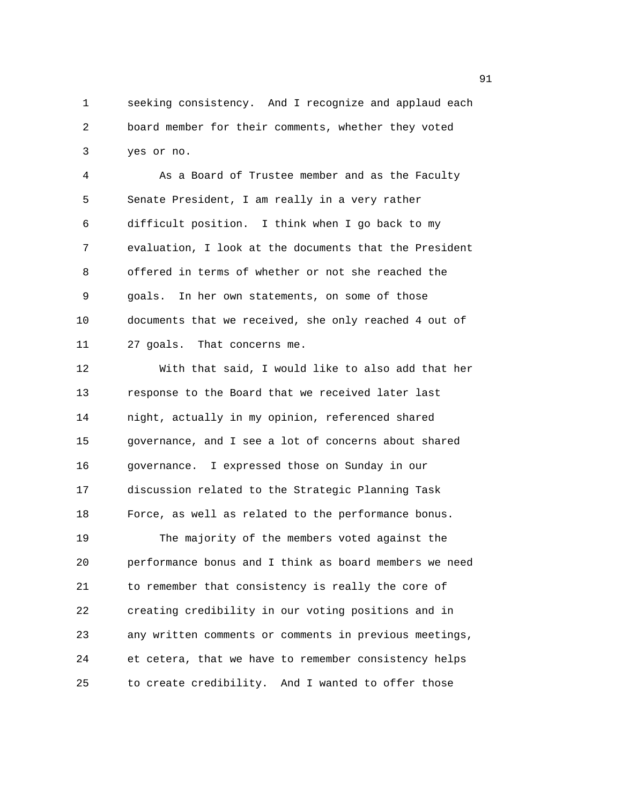1 seeking consistency. And I recognize and applaud each 2 board member for their comments, whether they voted 3 yes or no.

4 As a Board of Trustee member and as the Faculty 5 Senate President, I am really in a very rather 6 difficult position. I think when I go back to my 7 evaluation, I look at the documents that the President 8 offered in terms of whether or not she reached the 9 goals. In her own statements, on some of those 10 documents that we received, she only reached 4 out of 11 27 goals. That concerns me.

12 With that said, I would like to also add that her 13 response to the Board that we received later last 14 night, actually in my opinion, referenced shared 15 governance, and I see a lot of concerns about shared 16 governance. I expressed those on Sunday in our 17 discussion related to the Strategic Planning Task 18 Force, as well as related to the performance bonus. 19 The majority of the members voted against the 20 performance bonus and I think as board members we need 21 to remember that consistency is really the core of 22 creating credibility in our voting positions and in 23 any written comments or comments in previous meetings, 24 et cetera, that we have to remember consistency helps 25 to create credibility. And I wanted to offer those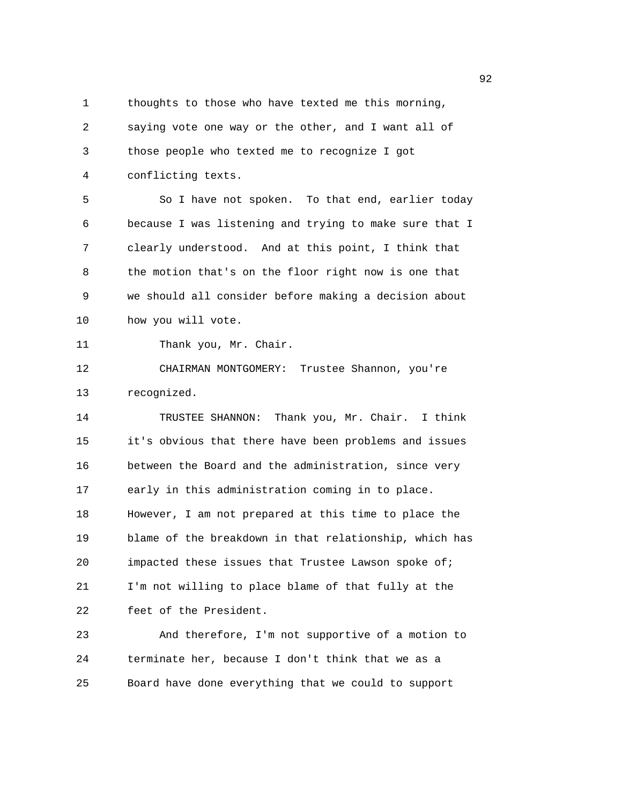1 thoughts to those who have texted me this morning, 2 saying vote one way or the other, and I want all of 3 those people who texted me to recognize I got 4 conflicting texts.

5 So I have not spoken. To that end, earlier today 6 because I was listening and trying to make sure that I 7 clearly understood. And at this point, I think that 8 the motion that's on the floor right now is one that 9 we should all consider before making a decision about 10 how you will vote.

```
11 Thank you, Mr. Chair.
```
12 CHAIRMAN MONTGOMERY: Trustee Shannon, you're 13 recognized.

14 TRUSTEE SHANNON: Thank you, Mr. Chair. I think 15 it's obvious that there have been problems and issues 16 between the Board and the administration, since very 17 early in this administration coming in to place. 18 However, I am not prepared at this time to place the 19 blame of the breakdown in that relationship, which has 20 impacted these issues that Trustee Lawson spoke of; 21 I'm not willing to place blame of that fully at the 22 feet of the President.

23 And therefore, I'm not supportive of a motion to 24 terminate her, because I don't think that we as a 25 Board have done everything that we could to support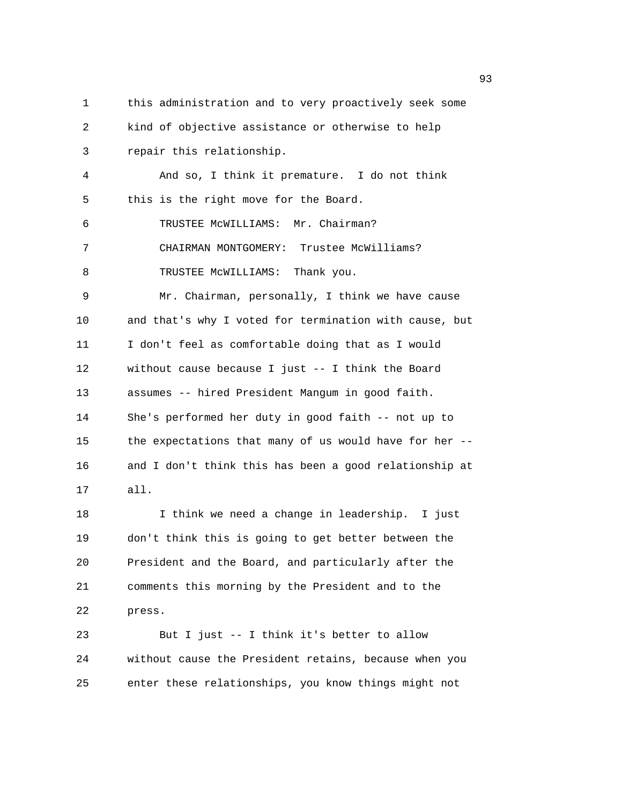1 this administration and to very proactively seek some 2 kind of objective assistance or otherwise to help 3 repair this relationship. 4 And so, I think it premature. I do not think 5 this is the right move for the Board. 6 TRUSTEE McWILLIAMS: Mr. Chairman? 7 CHAIRMAN MONTGOMERY: Trustee McWilliams? 8 TRUSTEE MCWILLIAMS: Thank you. 9 Mr. Chairman, personally, I think we have cause 10 and that's why I voted for termination with cause, but 11 I don't feel as comfortable doing that as I would 12 without cause because I just -- I think the Board 13 assumes -- hired President Mangum in good faith. 14 She's performed her duty in good faith -- not up to 15 the expectations that many of us would have for her -- 16 and I don't think this has been a good relationship at 17 all. 18 I think we need a change in leadership. I just 19 don't think this is going to get better between the 20 President and the Board, and particularly after the 21 comments this morning by the President and to the 22 press. 23 But I just -- I think it's better to allow 24 without cause the President retains, because when you 25 enter these relationships, you know things might not

experience of the contract of the contract of the contract of the contract of the contract of the contract of the contract of the contract of the contract of the contract of the contract of the contract of the contract of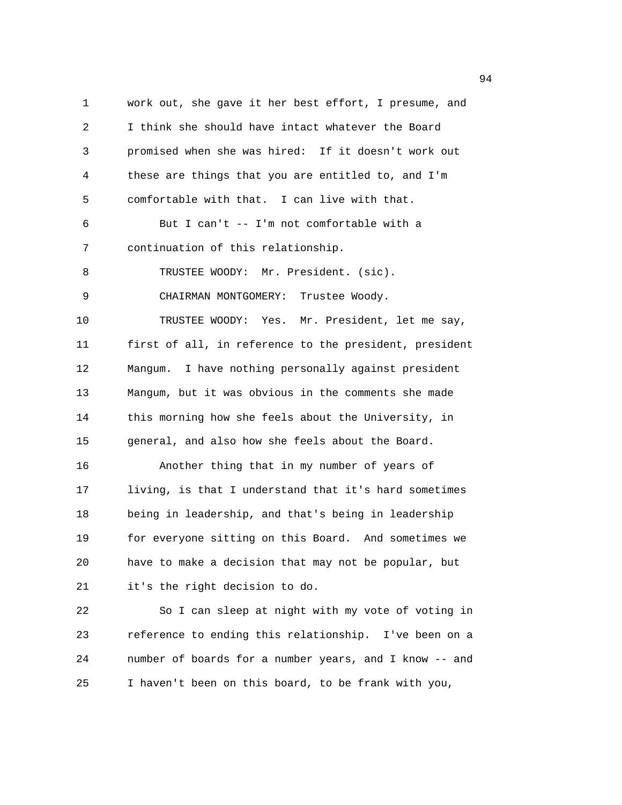1 work out, she gave it her best effort, I presume, and 2 I think she should have intact whatever the Board 3 promised when she was hired: If it doesn't work out 4 these are things that you are entitled to, and I'm 5 comfortable with that. I can live with that. 6 But I can't -- I'm not comfortable with a 7 continuation of this relationship. 8 TRUSTEE WOODY: Mr. President. (sic). 9 CHAIRMAN MONTGOMERY: Trustee Woody. 10 TRUSTEE WOODY: Yes. Mr. President, let me say, 11 first of all, in reference to the president, president 12 Mangum. I have nothing personally against president 13 Mangum, but it was obvious in the comments she made 14 this morning how she feels about the University, in 15 general, and also how she feels about the Board. 16 Another thing that in my number of years of 17 living, is that I understand that it's hard sometimes 18 being in leadership, and that's being in leadership 19 for everyone sitting on this Board. And sometimes we 20 have to make a decision that may not be popular, but 21 it's the right decision to do. 22 So I can sleep at night with my vote of voting in

23 reference to ending this relationship. I've been on a 24 number of boards for a number years, and I know -- and 25 I haven't been on this board, to be frank with you,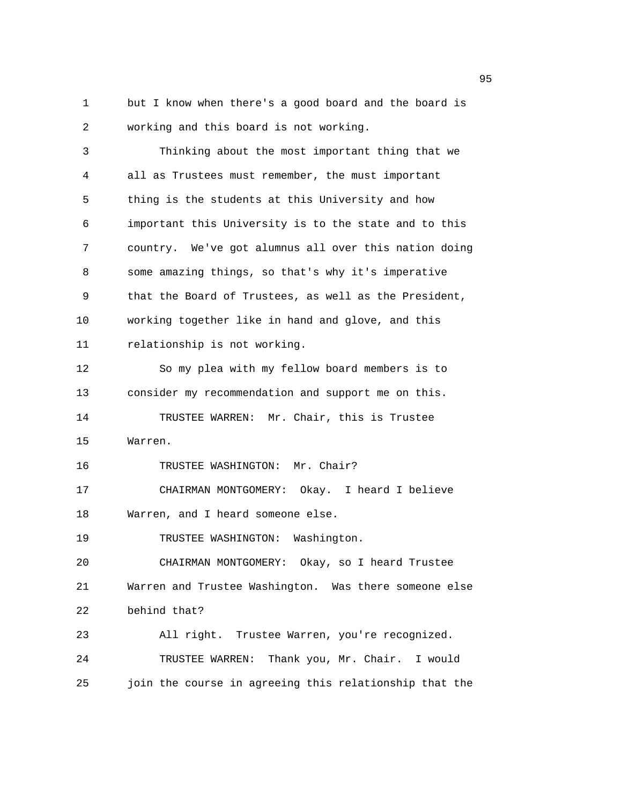1 but I know when there's a good board and the board is 2 working and this board is not working.

3 Thinking about the most important thing that we 4 all as Trustees must remember, the must important 5 thing is the students at this University and how 6 important this University is to the state and to this 7 country. We've got alumnus all over this nation doing 8 some amazing things, so that's why it's imperative 9 that the Board of Trustees, as well as the President, 10 working together like in hand and glove, and this 11 relationship is not working. 12 So my plea with my fellow board members is to 13 consider my recommendation and support me on this. 14 TRUSTEE WARREN: Mr. Chair, this is Trustee 15 Warren. 16 TRUSTEE WASHINGTON: Mr. Chair? 17 CHAIRMAN MONTGOMERY: Okay. I heard I believe 18 Warren, and I heard someone else. 19 TRUSTEE WASHINGTON: Washington. 20 CHAIRMAN MONTGOMERY: Okay, so I heard Trustee 21 Warren and Trustee Washington. Was there someone else 22 behind that? 23 All right. Trustee Warren, you're recognized. 24 TRUSTEE WARREN: Thank you, Mr. Chair. I would 25 join the course in agreeing this relationship that the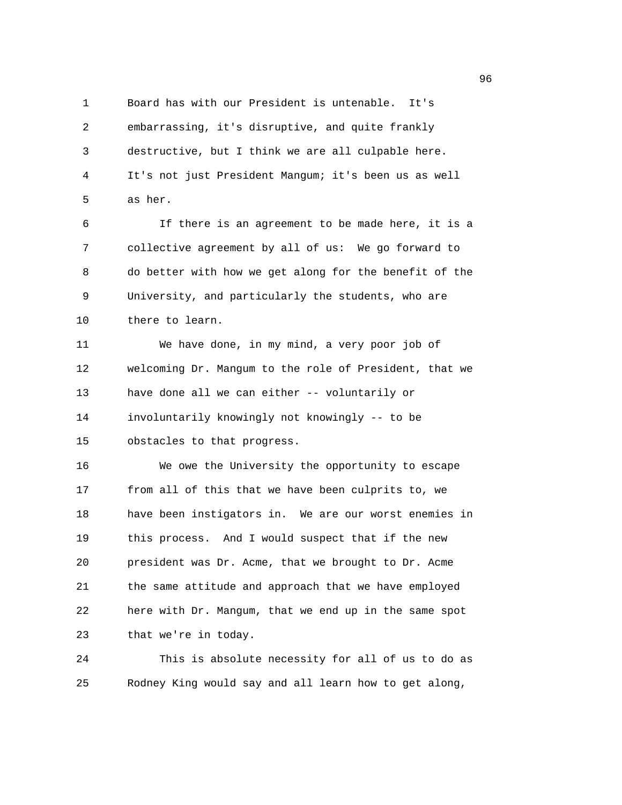1 Board has with our President is untenable. It's 2 embarrassing, it's disruptive, and quite frankly 3 destructive, but I think we are all culpable here. 4 It's not just President Mangum; it's been us as well 5 as her.

6 If there is an agreement to be made here, it is a 7 collective agreement by all of us: We go forward to 8 do better with how we get along for the benefit of the 9 University, and particularly the students, who are 10 there to learn.

11 We have done, in my mind, a very poor job of 12 welcoming Dr. Mangum to the role of President, that we 13 have done all we can either -- voluntarily or 14 involuntarily knowingly not knowingly -- to be 15 obstacles to that progress.

16 We owe the University the opportunity to escape 17 from all of this that we have been culprits to, we 18 have been instigators in. We are our worst enemies in 19 this process. And I would suspect that if the new 20 president was Dr. Acme, that we brought to Dr. Acme 21 the same attitude and approach that we have employed 22 here with Dr. Mangum, that we end up in the same spot 23 that we're in today.

24 This is absolute necessity for all of us to do as 25 Rodney King would say and all learn how to get along,

en de la construction de la construction de la construction de la construction de la construction de la constr<br>1960 : la construction de la construction de la construction de la construction de la construction de la const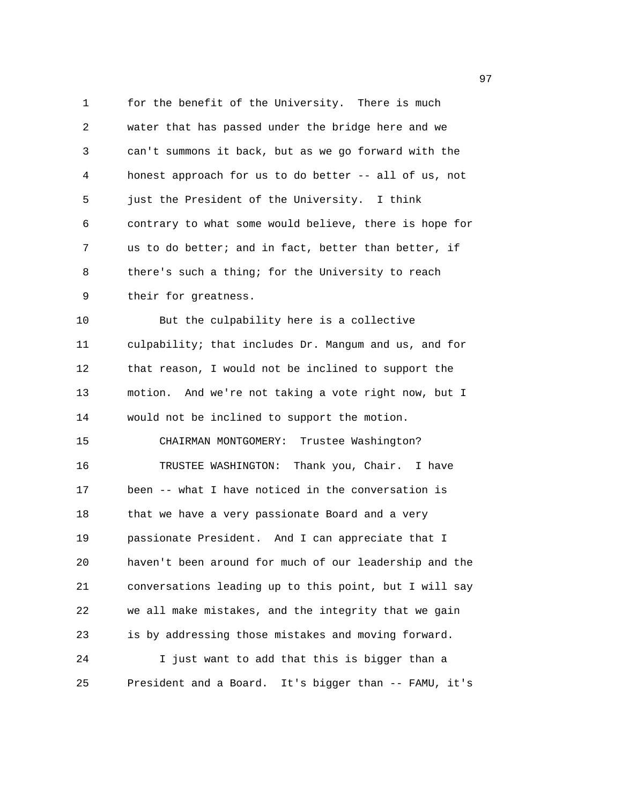1 for the benefit of the University. There is much 2 water that has passed under the bridge here and we 3 can't summons it back, but as we go forward with the 4 honest approach for us to do better -- all of us, not 5 just the President of the University. I think 6 contrary to what some would believe, there is hope for 7 us to do better; and in fact, better than better, if 8 there's such a thing; for the University to reach 9 their for greatness. 10 But the culpability here is a collective 11 culpability; that includes Dr. Mangum and us, and for 12 that reason, I would not be inclined to support the 13 motion. And we're not taking a vote right now, but I 14 would not be inclined to support the motion. 15 CHAIRMAN MONTGOMERY: Trustee Washington? 16 TRUSTEE WASHINGTON: Thank you, Chair. I have 17 been -- what I have noticed in the conversation is 18 that we have a very passionate Board and a very 19 passionate President. And I can appreciate that I 20 haven't been around for much of our leadership and the 21 conversations leading up to this point, but I will say 22 we all make mistakes, and the integrity that we gain 23 is by addressing those mistakes and moving forward. 24 I just want to add that this is bigger than a 25 President and a Board. It's bigger than -- FAMU, it's

е процесство в област 1972 година в 1972 година в 1972 година в 1972 година в 1973 година в 1973 година в 1973<br>В 1974 година в 1974 година в 1974 година в 1974 година в 1974 година в 1974 година в 1974 година в 1974 годин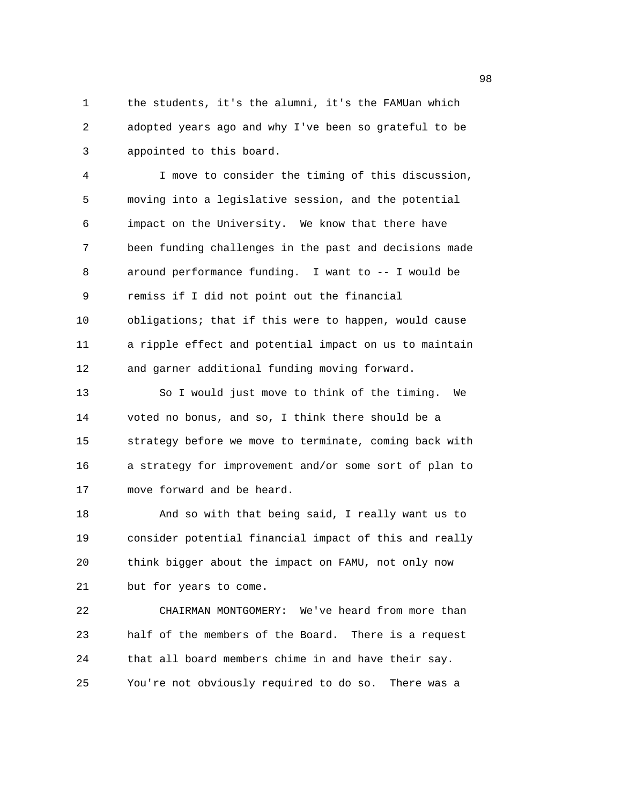1 the students, it's the alumni, it's the FAMUan which 2 adopted years ago and why I've been so grateful to be 3 appointed to this board.

4 I move to consider the timing of this discussion, 5 moving into a legislative session, and the potential 6 impact on the University. We know that there have 7 been funding challenges in the past and decisions made 8 around performance funding. I want to -- I would be 9 remiss if I did not point out the financial 10 obligations; that if this were to happen, would cause 11 a ripple effect and potential impact on us to maintain 12 and garner additional funding moving forward.

13 So I would just move to think of the timing. We 14 voted no bonus, and so, I think there should be a 15 strategy before we move to terminate, coming back with 16 a strategy for improvement and/or some sort of plan to 17 move forward and be heard.

18 And so with that being said, I really want us to 19 consider potential financial impact of this and really 20 think bigger about the impact on FAMU, not only now 21 but for years to come.

22 CHAIRMAN MONTGOMERY: We've heard from more than 23 half of the members of the Board. There is a request 24 that all board members chime in and have their say. 25 You're not obviously required to do so. There was a

en 1980 en 1980 en 1980 en 1980 en 1980 en 1980 en 1980 en 1980 en 1980 en 1980 en 1980 en 1980 en 1980 en 19<br>De grootste grootste grootste grootste grootste grootste grootste grootste grootste grootste grootste grootste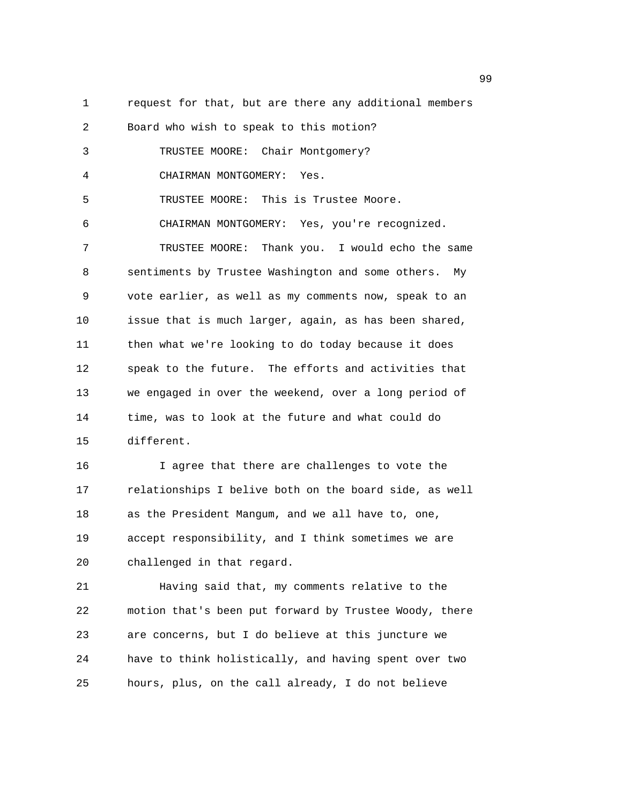2 Board who wish to speak to this motion? 3 TRUSTEE MOORE: Chair Montgomery? 4 CHAIRMAN MONTGOMERY: Yes. 5 TRUSTEE MOORE: This is Trustee Moore. 6 CHAIRMAN MONTGOMERY: Yes, you're recognized. 7 TRUSTEE MOORE: Thank you. I would echo the same

1 request for that, but are there any additional members

8 sentiments by Trustee Washington and some others. My 9 vote earlier, as well as my comments now, speak to an 10 issue that is much larger, again, as has been shared, 11 then what we're looking to do today because it does 12 speak to the future. The efforts and activities that 13 we engaged in over the weekend, over a long period of 14 time, was to look at the future and what could do 15 different.

16 I agree that there are challenges to vote the 17 relationships I belive both on the board side, as well 18 as the President Mangum, and we all have to, one, 19 accept responsibility, and I think sometimes we are 20 challenged in that regard.

21 Having said that, my comments relative to the 22 motion that's been put forward by Trustee Woody, there 23 are concerns, but I do believe at this juncture we 24 have to think holistically, and having spent over two 25 hours, plus, on the call already, I do not believe

99 and the state of the state of the state of the state of the state of the state of the state of the state of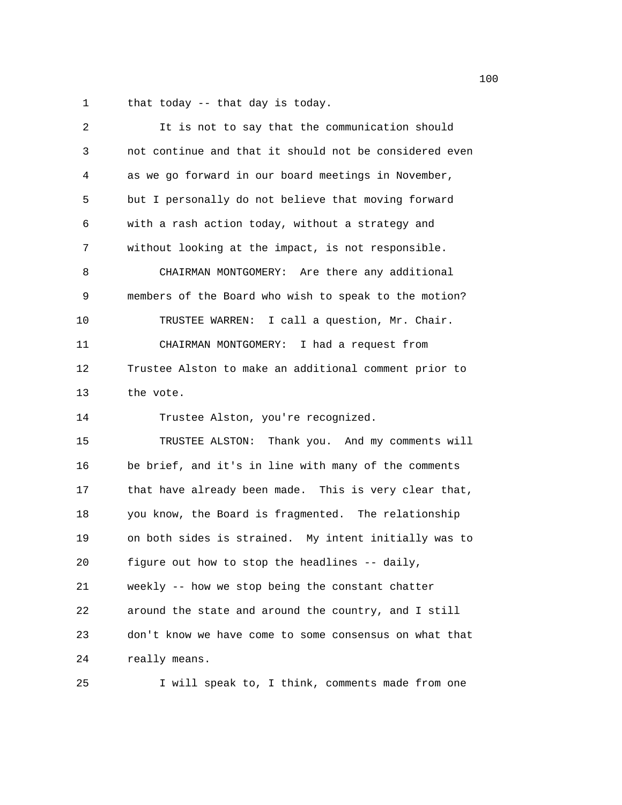1 that today -- that day is today.

| 2  | It is not to say that the communication should         |
|----|--------------------------------------------------------|
| 3  | not continue and that it should not be considered even |
| 4  | as we go forward in our board meetings in November,    |
| 5  | but I personally do not believe that moving forward    |
| 6  | with a rash action today, without a strategy and       |
| 7  | without looking at the impact, is not responsible.     |
| 8  | CHAIRMAN MONTGOMERY: Are there any additional          |
| 9  | members of the Board who wish to speak to the motion?  |
| 10 | TRUSTEE WARREN: I call a question, Mr. Chair.          |
| 11 | CHAIRMAN MONTGOMERY: I had a request from              |
| 12 | Trustee Alston to make an additional comment prior to  |
| 13 | the vote.                                              |
| 14 | Trustee Alston, you're recognized.                     |
| 15 | TRUSTEE ALSTON: Thank you. And my comments will        |
| 16 | be brief, and it's in line with many of the comments   |
| 17 | that have already been made. This is very clear that,  |
| 18 | you know, the Board is fragmented. The relationship    |
| 19 | on both sides is strained. My intent initially was to  |
| 20 | figure out how to stop the headlines -- daily,         |
| 21 | weekly -- how we stop being the constant chatter       |
| 22 | around the state and around the country, and I still   |
| 23 | don't know we have come to some consensus on what that |
| 24 | really means.                                          |
|    |                                                        |

25 I will speak to, I think, comments made from one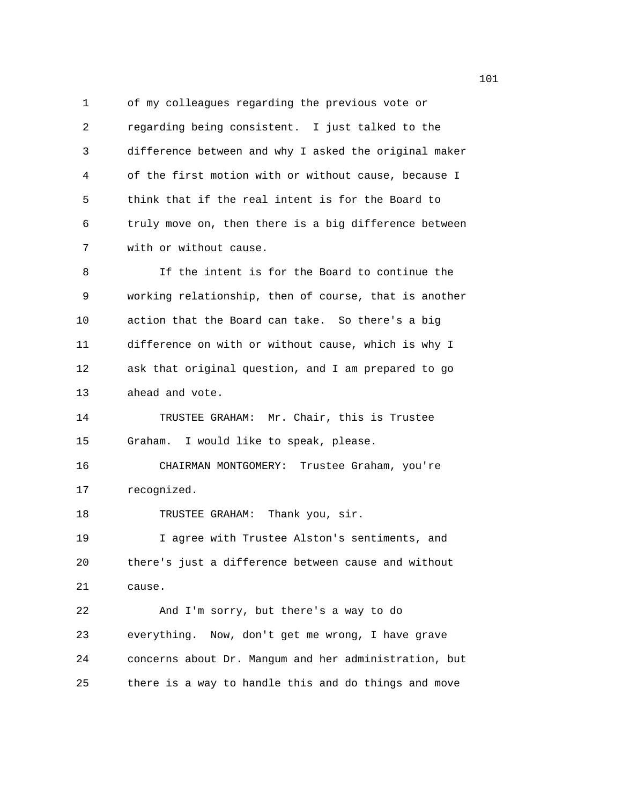1 of my colleagues regarding the previous vote or 2 regarding being consistent. I just talked to the 3 difference between and why I asked the original maker 4 of the first motion with or without cause, because I 5 think that if the real intent is for the Board to 6 truly move on, then there is a big difference between 7 with or without cause.

8 If the intent is for the Board to continue the 9 working relationship, then of course, that is another 10 action that the Board can take. So there's a big 11 difference on with or without cause, which is why I 12 ask that original question, and I am prepared to go 13 ahead and vote.

14 TRUSTEE GRAHAM: Mr. Chair, this is Trustee 15 Graham. I would like to speak, please.

16 CHAIRMAN MONTGOMERY: Trustee Graham, you're 17 recognized.

18 TRUSTEE GRAHAM: Thank you, sir.

19 I agree with Trustee Alston's sentiments, and 20 there's just a difference between cause and without 21 cause.

22 And I'm sorry, but there's a way to do 23 everything. Now, don't get me wrong, I have grave 24 concerns about Dr. Mangum and her administration, but 25 there is a way to handle this and do things and move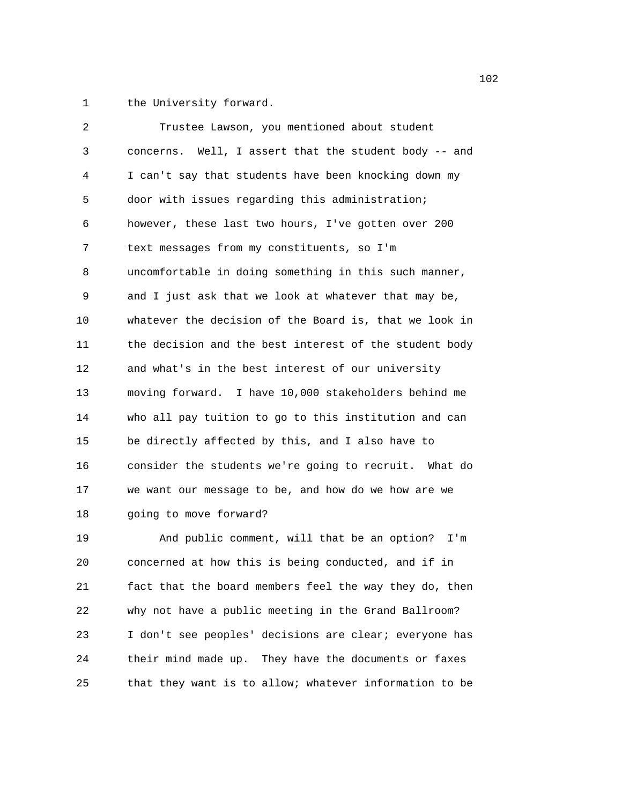1 the University forward.

| 2  | Trustee Lawson, you mentioned about student            |
|----|--------------------------------------------------------|
| 3  | concerns. Well, I assert that the student body -- and  |
| 4  | I can't say that students have been knocking down my   |
| 5  | door with issues regarding this administration;        |
| 6  | however, these last two hours, I've gotten over 200    |
| 7  | text messages from my constituents, so I'm             |
| 8  | uncomfortable in doing something in this such manner,  |
| 9  | and I just ask that we look at whatever that may be,   |
| 10 | whatever the decision of the Board is, that we look in |
| 11 | the decision and the best interest of the student body |
| 12 | and what's in the best interest of our university      |
| 13 | moving forward. I have 10,000 stakeholders behind me   |
| 14 | who all pay tuition to go to this institution and can  |
| 15 | be directly affected by this, and I also have to       |
| 16 | consider the students we're going to recruit. What do  |
| 17 | we want our message to be, and how do we how are we    |
| 18 | going to move forward?                                 |
| 19 | And public comment, will that be an option? I'm        |
| 20 | concerned at how this is being conducted, and if in    |
| 21 | fact that the board members feel the way they do, then |
| 22 | why not have a public meeting in the Grand Ballroom?   |

23 I don't see peoples' decisions are clear; everyone has 24 their mind made up. They have the documents or faxes 25 that they want is to allow; whatever information to be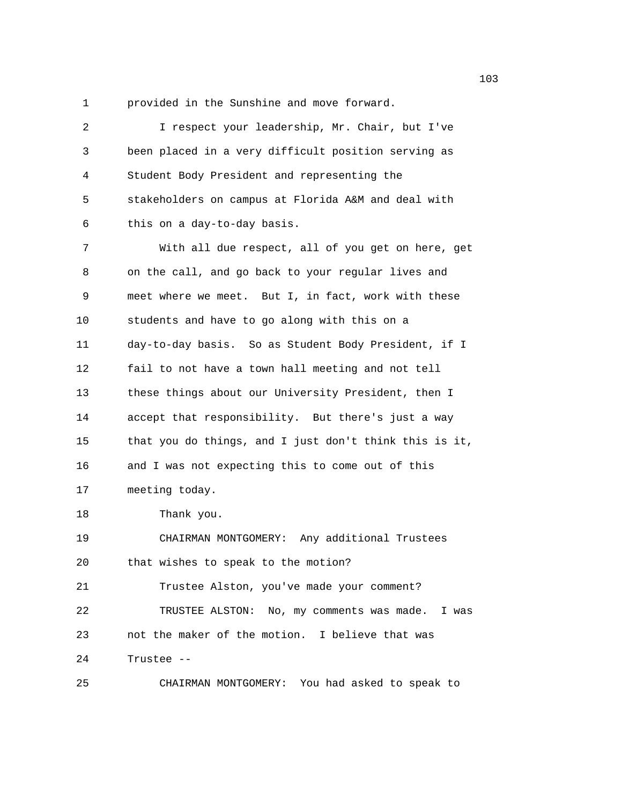1 provided in the Sunshine and move forward.

| 2  | I respect your leadership, Mr. Chair, but I've         |
|----|--------------------------------------------------------|
| 3  | been placed in a very difficult position serving as    |
| 4  | Student Body President and representing the            |
| 5  | stakeholders on campus at Florida A&M and deal with    |
| 6  | this on a day-to-day basis.                            |
| 7  | With all due respect, all of you get on here, get      |
| 8  | on the call, and go back to your regular lives and     |
| 9  | meet where we meet. But I, in fact, work with these    |
| 10 | students and have to go along with this on a           |
| 11 | day-to-day basis. So as Student Body President, if I   |
| 12 | fail to not have a town hall meeting and not tell      |
| 13 | these things about our University President, then I    |
| 14 | accept that responsibility. But there's just a way     |
| 15 | that you do things, and I just don't think this is it, |
| 16 | and I was not expecting this to come out of this       |
| 17 | meeting today.                                         |
| 18 | Thank you.                                             |
| 19 | CHAIRMAN MONTGOMERY: Any additional Trustees           |
| 20 | that wishes to speak to the motion?                    |
| 21 | Trustee Alston, you've made your comment?              |
| 22 | TRUSTEE ALSTON: No, my comments was made. I was        |
| 23 | not the maker of the motion. I believe that was        |
| 24 | Trustee --                                             |
| 25 | CHAIRMAN MONTGOMERY: You had asked to speak to         |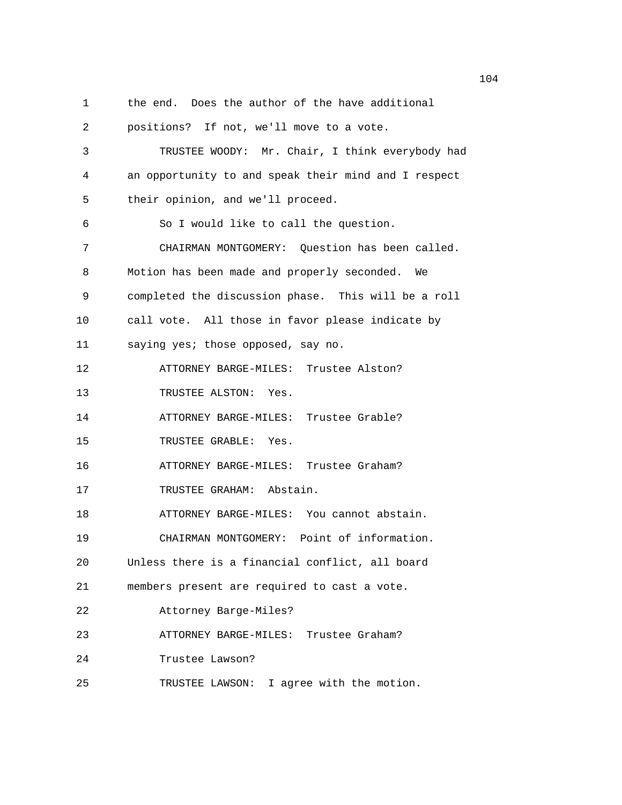1 the end. Does the author of the have additional

2 positions? If not, we'll move to a vote. 3 TRUSTEE WOODY: Mr. Chair, I think everybody had 4 an opportunity to and speak their mind and I respect 5 their opinion, and we'll proceed. 6 So I would like to call the question. 7 CHAIRMAN MONTGOMERY: Question has been called. 8 Motion has been made and properly seconded. We 9 completed the discussion phase. This will be a roll 10 call vote. All those in favor please indicate by 11 saying yes; those opposed, say no. 12 ATTORNEY BARGE-MILES: Trustee Alston? 13 TRUSTEE ALSTON: Yes. 14 ATTORNEY BARGE-MILES: Trustee Grable? 15 TRUSTEE GRABLE: Yes. 16 ATTORNEY BARGE-MILES: Trustee Graham? 17 TRUSTEE GRAHAM: Abstain. 18 ATTORNEY BARGE-MILES: You cannot abstain. 19 CHAIRMAN MONTGOMERY: Point of information. 20 Unless there is a financial conflict, all board 21 members present are required to cast a vote. 22 Attorney Barge-Miles? 23 ATTORNEY BARGE-MILES: Trustee Graham? 24 Trustee Lawson? 25 TRUSTEE LAWSON: I agree with the motion.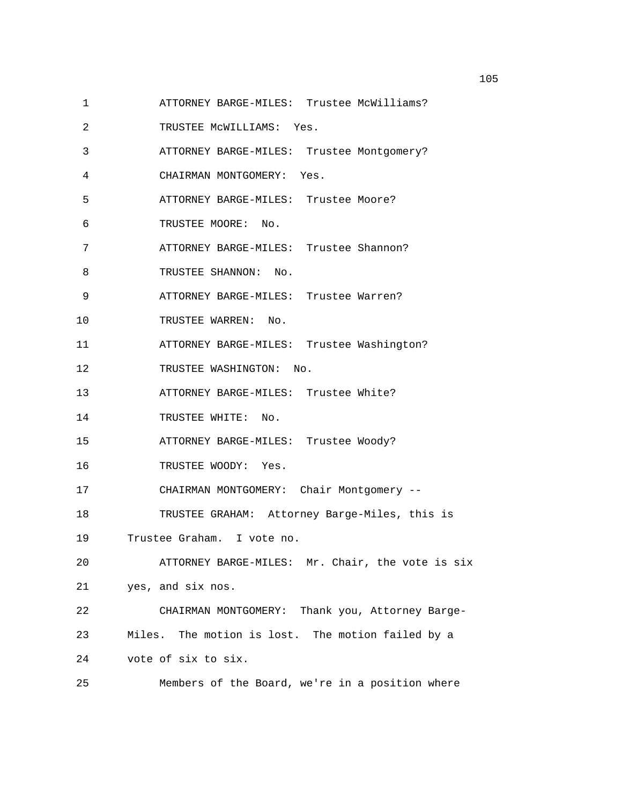- 1 ATTORNEY BARGE-MILES: Trustee McWilliams?
- 2 TRUSTEE McWILLIAMS: Yes.
- 3 ATTORNEY BARGE-MILES: Trustee Montgomery?
- 4 CHAIRMAN MONTGOMERY: Yes.
- 5 ATTORNEY BARGE-MILES: Trustee Moore?
- 6 TRUSTEE MOORE: No.
- 7 ATTORNEY BARGE-MILES: Trustee Shannon?
- 8 TRUSTEE SHANNON: No.
- 9 ATTORNEY BARGE-MILES: Trustee Warren?
- 10 TRUSTEE WARREN: No.
- 11 ATTORNEY BARGE-MILES: Trustee Washington?
- 12 TRUSTEE WASHINGTON: No.
- 13 ATTORNEY BARGE-MILES: Trustee White?
- 14 TRUSTEE WHITE: No.
- 15 ATTORNEY BARGE-MILES: Trustee Woody?
- 16 TRUSTEE WOODY: Yes.
- 17 CHAIRMAN MONTGOMERY: Chair Montgomery --
- 18 TRUSTEE GRAHAM: Attorney Barge-Miles, this is
- 19 Trustee Graham. I vote no.
- 20 ATTORNEY BARGE-MILES: Mr. Chair, the vote is six 21 yes, and six nos.
- 22 CHAIRMAN MONTGOMERY: Thank you, Attorney Barge-23 Miles. The motion is lost. The motion failed by a 24 vote of six to six.
- 25 Members of the Board, we're in a position where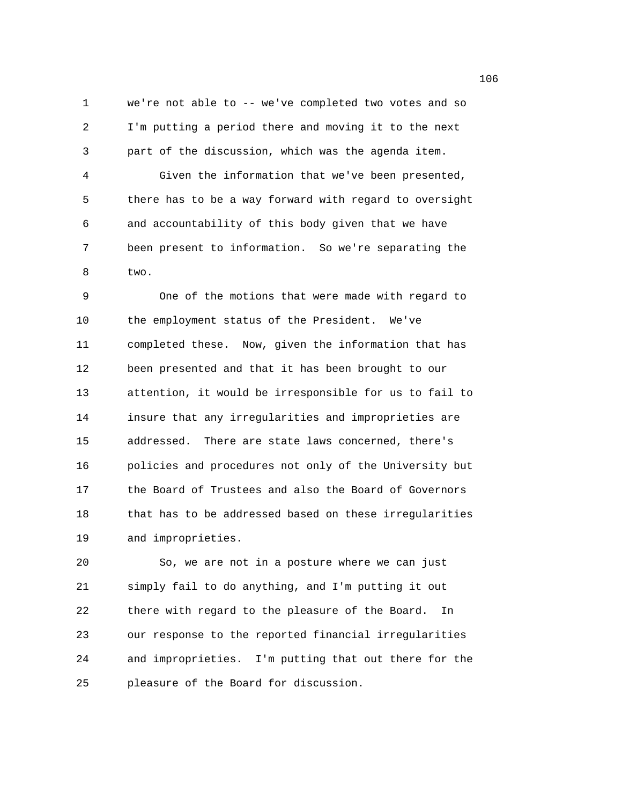1 we're not able to -- we've completed two votes and so 2 I'm putting a period there and moving it to the next 3 part of the discussion, which was the agenda item. 4 Given the information that we've been presented, 5 there has to be a way forward with regard to oversight 6 and accountability of this body given that we have 7 been present to information. So we're separating the 8 two.

9 One of the motions that were made with regard to 10 the employment status of the President. We've 11 completed these. Now, given the information that has 12 been presented and that it has been brought to our 13 attention, it would be irresponsible for us to fail to 14 insure that any irregularities and improprieties are 15 addressed. There are state laws concerned, there's 16 policies and procedures not only of the University but 17 the Board of Trustees and also the Board of Governors 18 that has to be addressed based on these irregularities 19 and improprieties.

20 So, we are not in a posture where we can just 21 simply fail to do anything, and I'm putting it out 22 there with regard to the pleasure of the Board. In 23 our response to the reported financial irregularities 24 and improprieties. I'm putting that out there for the 25 pleasure of the Board for discussion.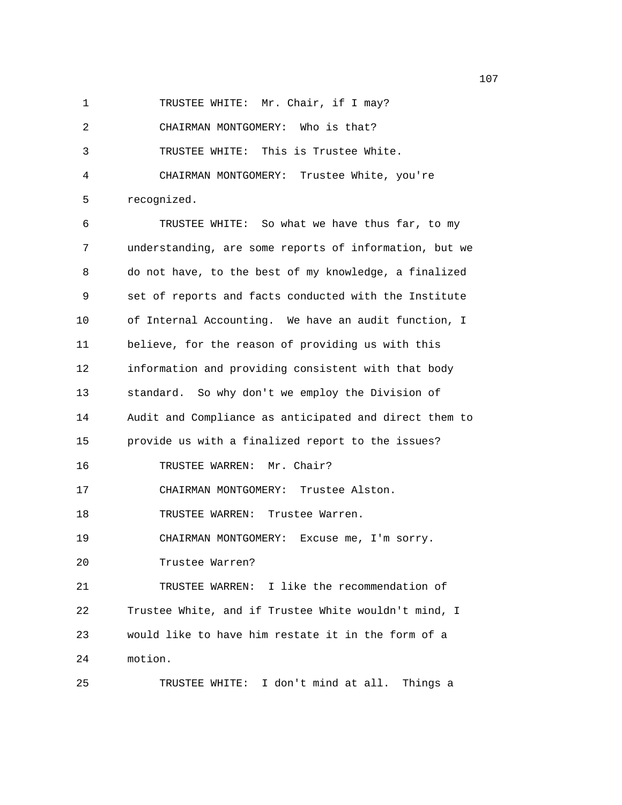1 TRUSTEE WHITE: Mr. Chair, if I may?

2 CHAIRMAN MONTGOMERY: Who is that?

3 TRUSTEE WHITE: This is Trustee White.

4 CHAIRMAN MONTGOMERY: Trustee White, you're 5 recognized.

6 TRUSTEE WHITE: So what we have thus far, to my 7 understanding, are some reports of information, but we 8 do not have, to the best of my knowledge, a finalized 9 set of reports and facts conducted with the Institute 10 of Internal Accounting. We have an audit function, I 11 believe, for the reason of providing us with this 12 information and providing consistent with that body 13 standard. So why don't we employ the Division of 14 Audit and Compliance as anticipated and direct them to 15 provide us with a finalized report to the issues? 16 TRUSTEE WARREN: Mr. Chair? 17 CHAIRMAN MONTGOMERY: Trustee Alston. 18 TRUSTEE WARREN: Trustee Warren. 19 CHAIRMAN MONTGOMERY: Excuse me, I'm sorry. 20 Trustee Warren? 21 TRUSTEE WARREN: I like the recommendation of 22 Trustee White, and if Trustee White wouldn't mind, I 23 would like to have him restate it in the form of a 24 motion. 25 TRUSTEE WHITE: I don't mind at all. Things a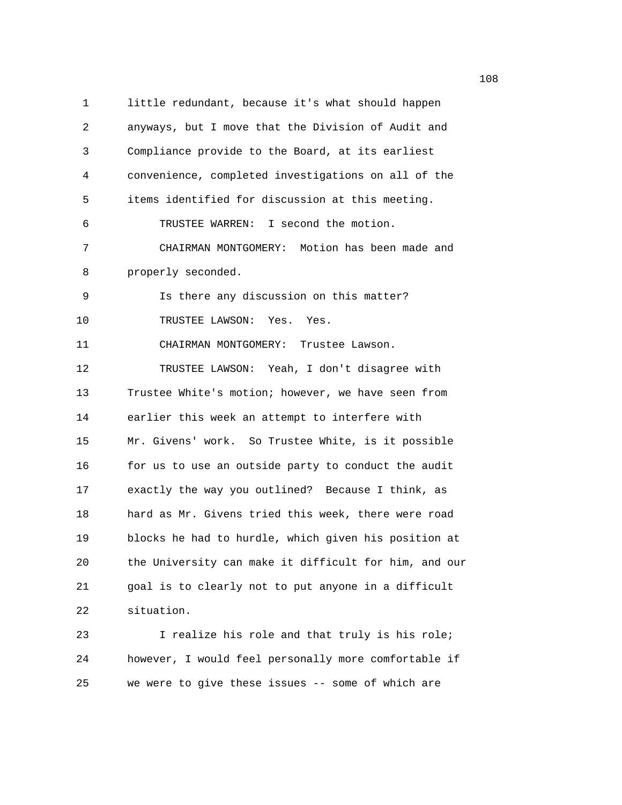1 little redundant, because it's what should happen 2 anyways, but I move that the Division of Audit and 3 Compliance provide to the Board, at its earliest 4 convenience, completed investigations on all of the 5 items identified for discussion at this meeting. 6 TRUSTEE WARREN: I second the motion. 7 CHAIRMAN MONTGOMERY: Motion has been made and 8 properly seconded. 9 Is there any discussion on this matter? 10 TRUSTEE LAWSON: Yes. Yes. 11 CHAIRMAN MONTGOMERY: Trustee Lawson. 12 TRUSTEE LAWSON: Yeah, I don't disagree with 13 Trustee White's motion; however, we have seen from 14 earlier this week an attempt to interfere with 15 Mr. Givens' work. So Trustee White, is it possible 16 for us to use an outside party to conduct the audit 17 exactly the way you outlined? Because I think, as 18 hard as Mr. Givens tried this week, there were road 19 blocks he had to hurdle, which given his position at 20 the University can make it difficult for him, and our 21 goal is to clearly not to put anyone in a difficult 22 situation.

23 I realize his role and that truly is his role; 24 however, I would feel personally more comfortable if 25 we were to give these issues -- some of which are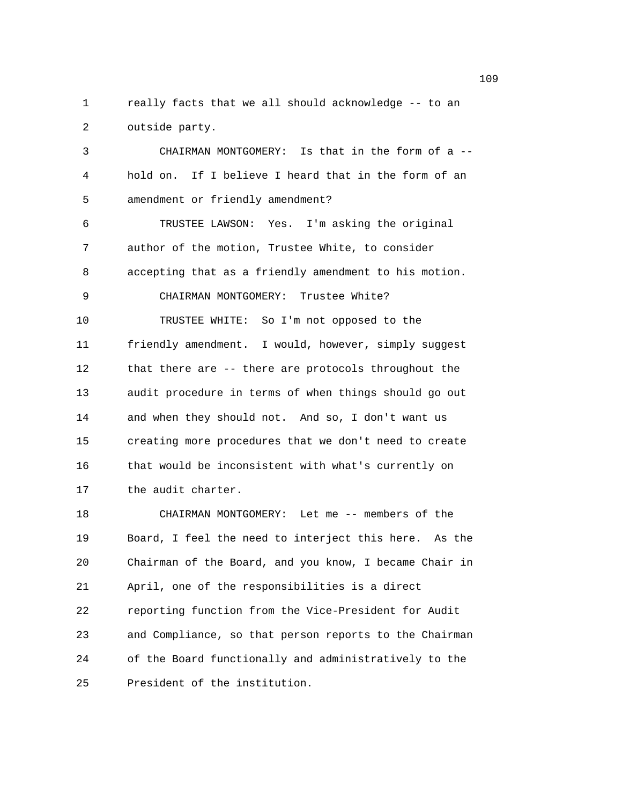1 really facts that we all should acknowledge -- to an 2 outside party.

3 CHAIRMAN MONTGOMERY: Is that in the form of a -- 4 hold on. If I believe I heard that in the form of an 5 amendment or friendly amendment? 6 TRUSTEE LAWSON: Yes. I'm asking the original 7 author of the motion, Trustee White, to consider 8 accepting that as a friendly amendment to his motion. 9 CHAIRMAN MONTGOMERY: Trustee White? 10 TRUSTEE WHITE: So I'm not opposed to the 11 friendly amendment. I would, however, simply suggest 12 that there are -- there are protocols throughout the 13 audit procedure in terms of when things should go out 14 and when they should not. And so, I don't want us 15 creating more procedures that we don't need to create 16 that would be inconsistent with what's currently on 17 the audit charter.

18 CHAIRMAN MONTGOMERY: Let me -- members of the 19 Board, I feel the need to interject this here. As the 20 Chairman of the Board, and you know, I became Chair in 21 April, one of the responsibilities is a direct 22 reporting function from the Vice-President for Audit 23 and Compliance, so that person reports to the Chairman 24 of the Board functionally and administratively to the 25 President of the institution.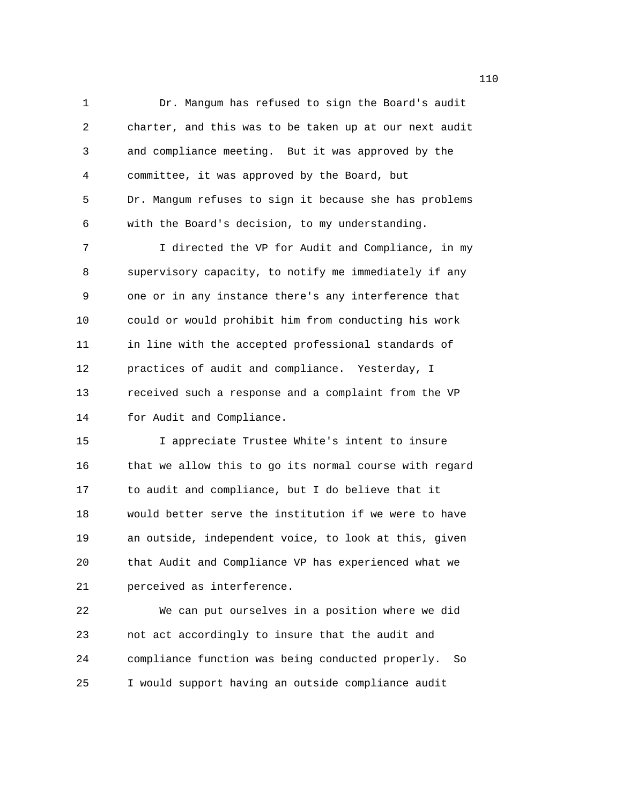1 Dr. Mangum has refused to sign the Board's audit 2 charter, and this was to be taken up at our next audit 3 and compliance meeting. But it was approved by the 4 committee, it was approved by the Board, but 5 Dr. Mangum refuses to sign it because she has problems 6 with the Board's decision, to my understanding.

7 I directed the VP for Audit and Compliance, in my 8 supervisory capacity, to notify me immediately if any 9 one or in any instance there's any interference that 10 could or would prohibit him from conducting his work 11 in line with the accepted professional standards of 12 practices of audit and compliance. Yesterday, I 13 received such a response and a complaint from the VP 14 for Audit and Compliance.

15 I appreciate Trustee White's intent to insure 16 that we allow this to go its normal course with regard 17 to audit and compliance, but I do believe that it 18 would better serve the institution if we were to have 19 an outside, independent voice, to look at this, given 20 that Audit and Compliance VP has experienced what we 21 perceived as interference.

22 We can put ourselves in a position where we did 23 not act accordingly to insure that the audit and 24 compliance function was being conducted properly. So 25 I would support having an outside compliance audit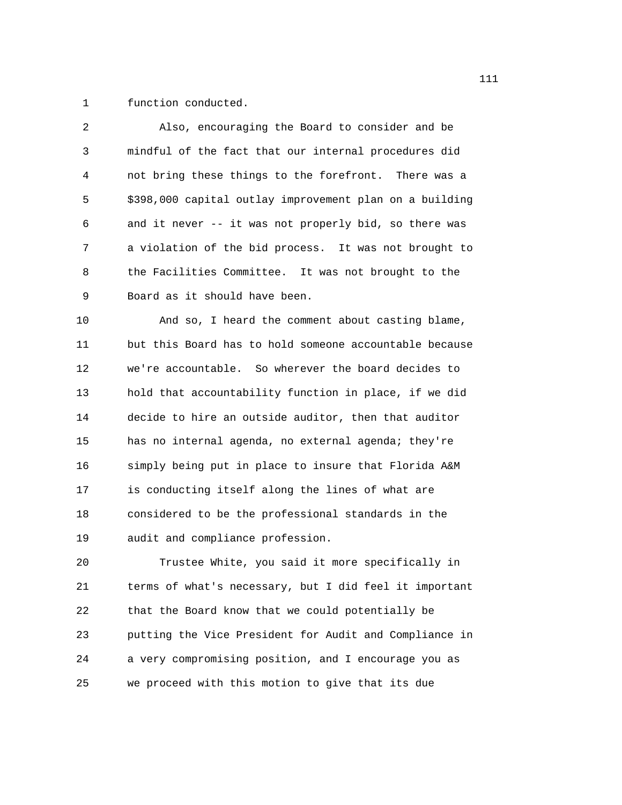1 function conducted.

| 2  | Also, encouraging the Board to consider and be          |
|----|---------------------------------------------------------|
| 3  | mindful of the fact that our internal procedures did    |
| 4  | not bring these things to the forefront. There was a    |
| 5  | \$398,000 capital outlay improvement plan on a building |
| 6  | and it never -- it was not properly bid, so there was   |
| 7  | a violation of the bid process. It was not brought to   |
| 8  | the Facilities Committee. It was not brought to the     |
| 9  | Board as it should have been.                           |
| 10 | And so, I heard the comment about casting blame,        |
| 11 | but this Board has to hold someone accountable because  |
| 12 | we're accountable. So wherever the board decides to     |
| 13 | hold that accountability function in place, if we did   |
| 14 | decide to hire an outside auditor, then that auditor    |
| 15 | has no internal agenda, no external agenda; they're     |
| 16 | simply being put in place to insure that Florida A&M    |
| 17 | is conducting itself along the lines of what are        |
| 18 | considered to be the professional standards in the      |
| 19 | audit and compliance profession.                        |
| 20 | Trustee White, you said it more specifically in         |
| 21 | terms of what's necessary, but I did feel it important  |
| 22 | that the Board know that we could potentially be        |
| 23 | putting the Vice President for Audit and Compliance in  |

25 we proceed with this motion to give that its due

24 a very compromising position, and I encourage you as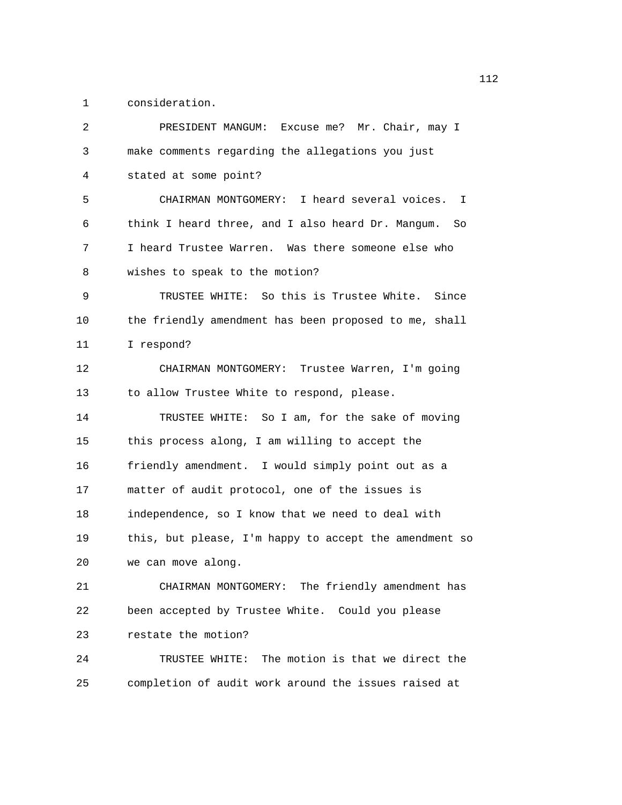1 consideration.

| 2  | PRESIDENT MANGUM:<br>Excuse me? Mr. Chair, may I       |
|----|--------------------------------------------------------|
| 3  | make comments regarding the allegations you just       |
| 4  | stated at some point?                                  |
| 5  | CHAIRMAN MONTGOMERY: I heard several voices. I         |
| 6  | think I heard three, and I also heard Dr. Mangum. So   |
| 7  | I heard Trustee Warren. Was there someone else who     |
| 8  | wishes to speak to the motion?                         |
| 9  | TRUSTEE WHITE: So this is Trustee White. Since         |
| 10 | the friendly amendment has been proposed to me, shall  |
| 11 | I respond?                                             |
| 12 | CHAIRMAN MONTGOMERY: Trustee Warren, I'm going         |
| 13 | to allow Trustee White to respond, please.             |
| 14 | TRUSTEE WHITE: So I am, for the sake of moving         |
| 15 | this process along, I am willing to accept the         |
| 16 | friendly amendment. I would simply point out as a      |
| 17 | matter of audit protocol, one of the issues is         |
| 18 | independence, so I know that we need to deal with      |
| 19 | this, but please, I'm happy to accept the amendment so |
| 20 | we can move along.                                     |
| 21 | CHAIRMAN MONTGOMERY: The friendly amendment has        |
| 22 | been accepted by Trustee White. Could you please       |
| 23 | restate the motion?                                    |
| 24 | TRUSTEE WHITE: The motion is that we direct the        |
| 25 | completion of audit work around the issues raised at   |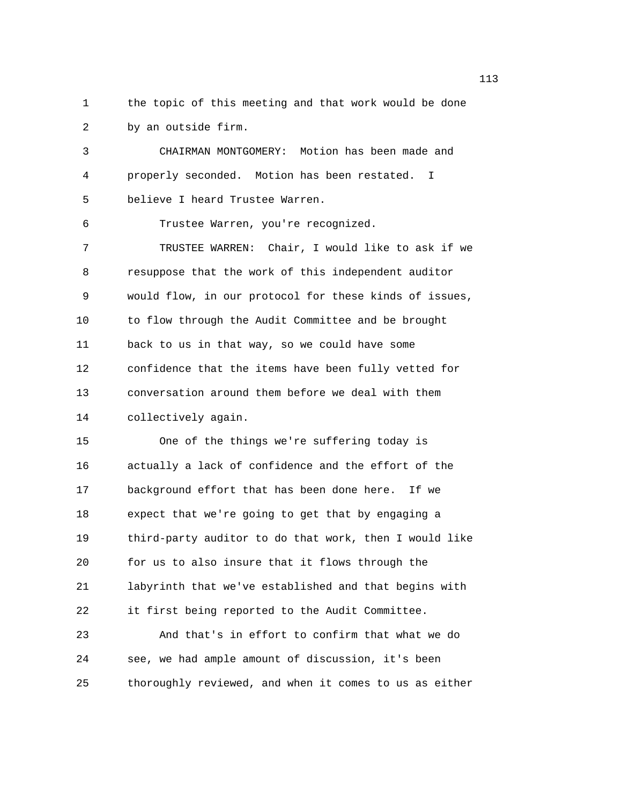1 the topic of this meeting and that work would be done 2 by an outside firm.

3 CHAIRMAN MONTGOMERY: Motion has been made and 4 properly seconded. Motion has been restated. I 5 believe I heard Trustee Warren. 6 Trustee Warren, you're recognized. 7 TRUSTEE WARREN: Chair, I would like to ask if we 8 resuppose that the work of this independent auditor 9 would flow, in our protocol for these kinds of issues, 10 to flow through the Audit Committee and be brought 11 back to us in that way, so we could have some 12 confidence that the items have been fully vetted for 13 conversation around them before we deal with them 14 collectively again. 15 One of the things we're suffering today is 16 actually a lack of confidence and the effort of the 17 background effort that has been done here. If we 18 expect that we're going to get that by engaging a 19 third-party auditor to do that work, then I would like 20 for us to also insure that it flows through the 21 labyrinth that we've established and that begins with 22 it first being reported to the Audit Committee. 23 And that's in effort to confirm that what we do 24 see, we had ample amount of discussion, it's been

25 thoroughly reviewed, and when it comes to us as either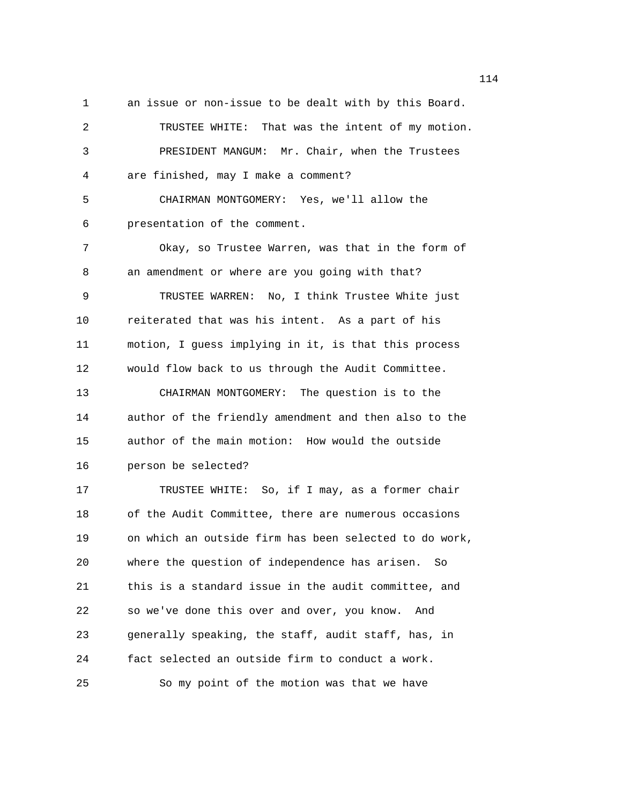1 an issue or non-issue to be dealt with by this Board.

2 TRUSTEE WHITE: That was the intent of my motion. 3 PRESIDENT MANGUM: Mr. Chair, when the Trustees 4 are finished, may I make a comment? 5 CHAIRMAN MONTGOMERY: Yes, we'll allow the 6 presentation of the comment. 7 Okay, so Trustee Warren, was that in the form of 8 an amendment or where are you going with that? 9 TRUSTEE WARREN: No, I think Trustee White just 10 reiterated that was his intent. As a part of his 11 motion, I guess implying in it, is that this process 12 would flow back to us through the Audit Committee. 13 CHAIRMAN MONTGOMERY: The question is to the 14 author of the friendly amendment and then also to the 15 author of the main motion: How would the outside 16 person be selected? 17 TRUSTEE WHITE: So, if I may, as a former chair 18 of the Audit Committee, there are numerous occasions 19 on which an outside firm has been selected to do work, 20 where the question of independence has arisen. So 21 this is a standard issue in the audit committee, and 22 so we've done this over and over, you know. And 23 generally speaking, the staff, audit staff, has, in 24 fact selected an outside firm to conduct a work. 25 So my point of the motion was that we have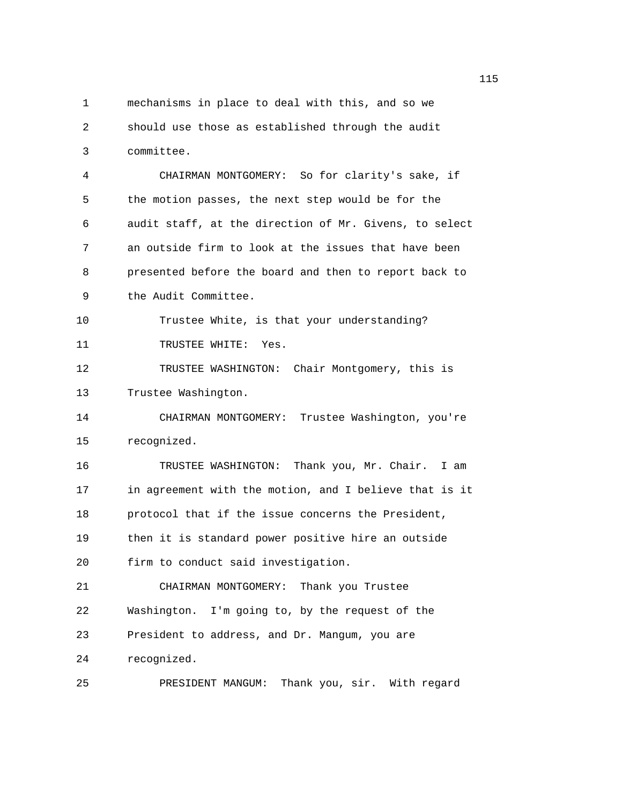1 mechanisms in place to deal with this, and so we 2 should use those as established through the audit 3 committee. 4 CHAIRMAN MONTGOMERY: So for clarity's sake, if 5 the motion passes, the next step would be for the 6 audit staff, at the direction of Mr. Givens, to select 7 an outside firm to look at the issues that have been 8 presented before the board and then to report back to 9 the Audit Committee. 10 Trustee White, is that your understanding? 11 TRUSTEE WHITE: Yes. 12 TRUSTEE WASHINGTON: Chair Montgomery, this is 13 Trustee Washington. 14 CHAIRMAN MONTGOMERY: Trustee Washington, you're 15 recognized. 16 TRUSTEE WASHINGTON: Thank you, Mr. Chair. I am 17 in agreement with the motion, and I believe that is it 18 protocol that if the issue concerns the President, 19 then it is standard power positive hire an outside 20 firm to conduct said investigation. 21 CHAIRMAN MONTGOMERY: Thank you Trustee 22 Washington. I'm going to, by the request of the 23 President to address, and Dr. Mangum, you are 24 recognized. 25 PRESIDENT MANGUM: Thank you, sir. With regard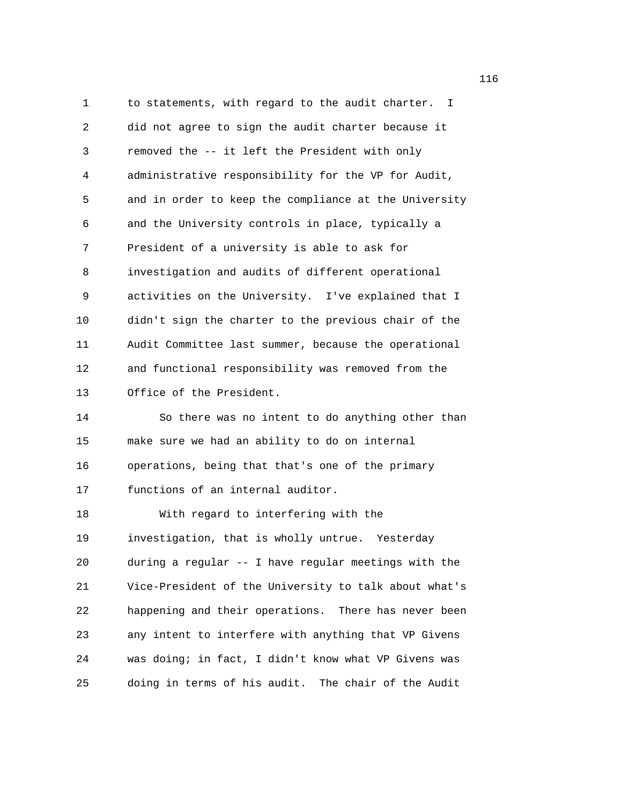1 to statements, with regard to the audit charter. I 2 did not agree to sign the audit charter because it 3 removed the -- it left the President with only 4 administrative responsibility for the VP for Audit, 5 and in order to keep the compliance at the University 6 and the University controls in place, typically a 7 President of a university is able to ask for 8 investigation and audits of different operational 9 activities on the University. I've explained that I 10 didn't sign the charter to the previous chair of the 11 Audit Committee last summer, because the operational 12 and functional responsibility was removed from the 13 Office of the President. 14 So there was no intent to do anything other than 15 make sure we had an ability to do on internal 16 operations, being that that's one of the primary 17 functions of an internal auditor. 18 With regard to interfering with the 19 investigation, that is wholly untrue. Yesterday 20 during a regular -- I have regular meetings with the 21 Vice-President of the University to talk about what's 22 happening and their operations. There has never been 23 any intent to interfere with anything that VP Givens 24 was doing; in fact, I didn't know what VP Givens was 25 doing in terms of his audit. The chair of the Audit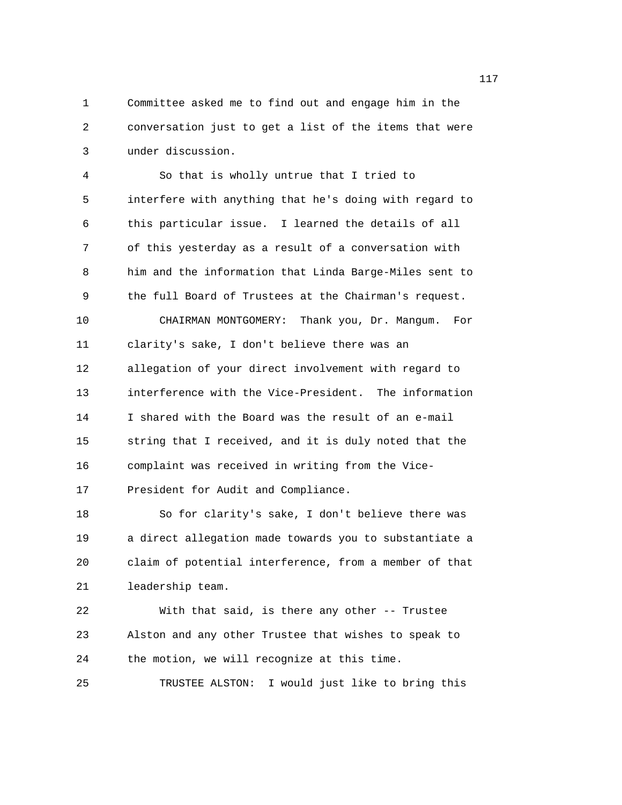1 Committee asked me to find out and engage him in the 2 conversation just to get a list of the items that were 3 under discussion.

4 So that is wholly untrue that I tried to 5 interfere with anything that he's doing with regard to 6 this particular issue. I learned the details of all 7 of this yesterday as a result of a conversation with 8 him and the information that Linda Barge-Miles sent to 9 the full Board of Trustees at the Chairman's request. 10 CHAIRMAN MONTGOMERY: Thank you, Dr. Mangum. For 11 clarity's sake, I don't believe there was an 12 allegation of your direct involvement with regard to 13 interference with the Vice-President. The information 14 I shared with the Board was the result of an e-mail 15 string that I received, and it is duly noted that the 16 complaint was received in writing from the Vice-17 President for Audit and Compliance. 18 So for clarity's sake, I don't believe there was

19 a direct allegation made towards you to substantiate a 20 claim of potential interference, from a member of that 21 leadership team.

22 With that said, is there any other -- Trustee 23 Alston and any other Trustee that wishes to speak to 24 the motion, we will recognize at this time. 25 TRUSTEE ALSTON: I would just like to bring this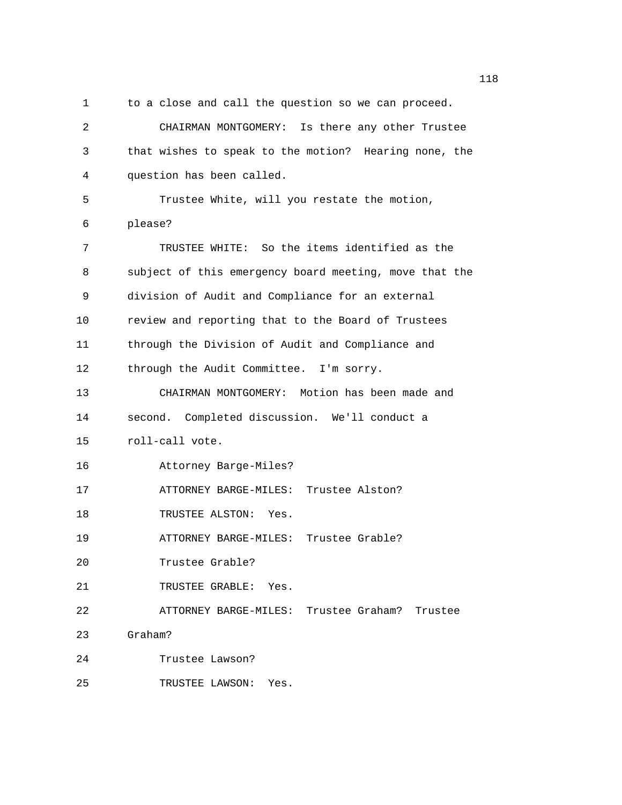1 to a close and call the question so we can proceed. 2 CHAIRMAN MONTGOMERY: Is there any other Trustee 3 that wishes to speak to the motion? Hearing none, the 4 question has been called. 5 Trustee White, will you restate the motion, 6 please? 7 TRUSTEE WHITE: So the items identified as the 8 subject of this emergency board meeting, move that the 9 division of Audit and Compliance for an external 10 review and reporting that to the Board of Trustees 11 through the Division of Audit and Compliance and 12 through the Audit Committee. I'm sorry. 13 CHAIRMAN MONTGOMERY: Motion has been made and 14 second. Completed discussion. We'll conduct a 15 roll-call vote. 16 Attorney Barge-Miles? 17 ATTORNEY BARGE-MILES: Trustee Alston? 18 TRUSTEE ALSTON: Yes. 19 ATTORNEY BARGE-MILES: Trustee Grable? 20 Trustee Grable? 21 TRUSTEE GRABLE: Yes. 22 ATTORNEY BARGE-MILES: Trustee Graham? Trustee 23 Graham? 24 Trustee Lawson? 25 TRUSTEE LAWSON: Yes.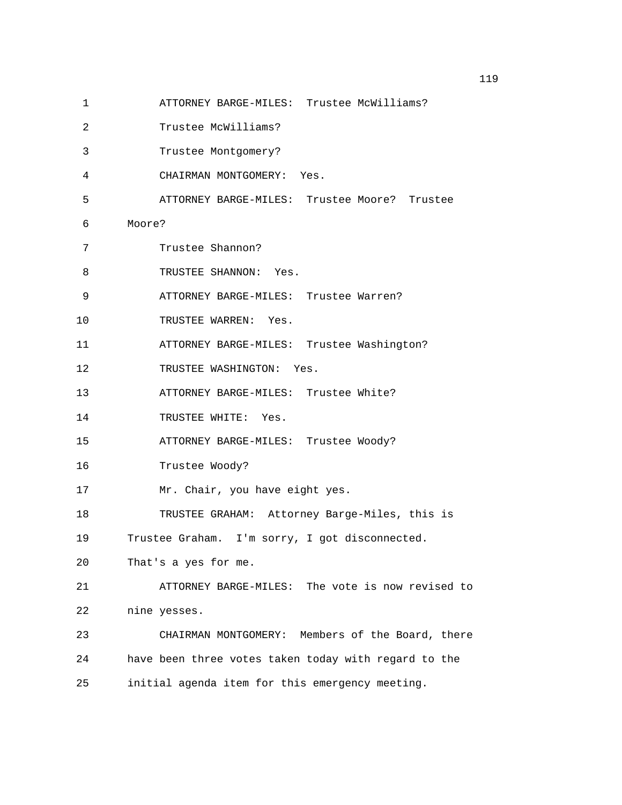- 1 ATTORNEY BARGE-MILES: Trustee McWilliams?
- 2 Trustee McWilliams?
- 3 Trustee Montgomery?
- 4 CHAIRMAN MONTGOMERY: Yes.
- 5 ATTORNEY BARGE-MILES: Trustee Moore? Trustee
- 6 Moore?
- 7 Trustee Shannon?
- 8 TRUSTEE SHANNON: Yes.
- 9 ATTORNEY BARGE-MILES: Trustee Warren?
- 10 TRUSTEE WARREN: Yes.
- 11 ATTORNEY BARGE-MILES: Trustee Washington?
- 12 TRUSTEE WASHINGTON: Yes.
- 13 ATTORNEY BARGE-MILES: Trustee White?
- 14 TRUSTEE WHITE: Yes.
- 15 ATTORNEY BARGE-MILES: Trustee Woody?
- 16 Trustee Woody?
- 17 Mr. Chair, you have eight yes.
- 18 TRUSTEE GRAHAM: Attorney Barge-Miles, this is
- 19 Trustee Graham. I'm sorry, I got disconnected.
- 20 That's a yes for me.
- 21 ATTORNEY BARGE-MILES: The vote is now revised to 22 nine yesses.
- 23 CHAIRMAN MONTGOMERY: Members of the Board, there 24 have been three votes taken today with regard to the 25 initial agenda item for this emergency meeting.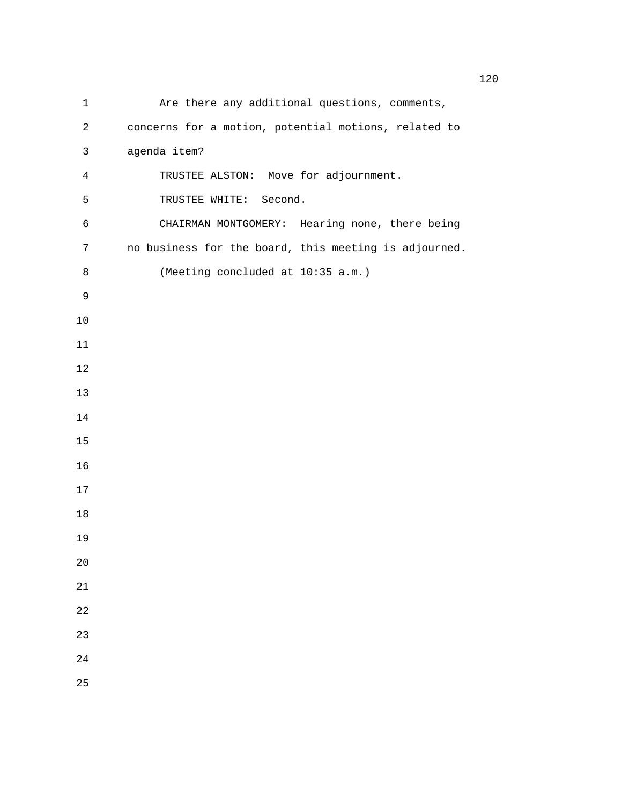| 1              | Are there any additional questions, comments,         |
|----------------|-------------------------------------------------------|
| 2              | concerns for a motion, potential motions, related to  |
| 3              | agenda item?                                          |
| $\overline{4}$ | TRUSTEE ALSTON: Move for adjournment.                 |
| 5              | TRUSTEE WHITE: Second.                                |
| 6              | CHAIRMAN MONTGOMERY: Hearing none, there being        |
| 7              | no business for the board, this meeting is adjourned. |
| 8              | (Meeting concluded at 10:35 a.m.)                     |
| 9              |                                                       |
| $10$           |                                                       |
| 11             |                                                       |
| 12             |                                                       |
| 13             |                                                       |
| 14             |                                                       |
| 15             |                                                       |
| 16             |                                                       |
| 17             |                                                       |
| 18             |                                                       |
| 19             |                                                       |
| 20             |                                                       |
| 21             |                                                       |
| 22             |                                                       |
| 23             |                                                       |
| 24             |                                                       |
| 25             |                                                       |